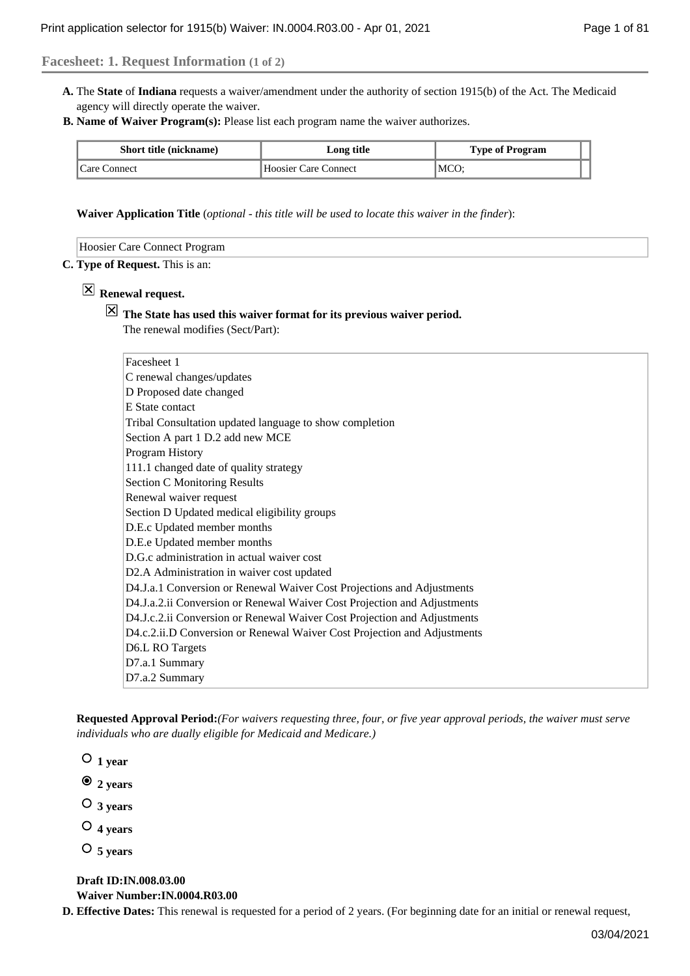### **Facesheet: 1. Request Information (1 of 2)**

- A. The State of Indiana requests a waiver/amendment under the authority of section 1915(b) of the Act. The Medicaid agency will directly operate the waiver.
- **Name of Waiver Program(s):** Please list each program name the waiver authorizes. **B.**

| <b>Short title (nickname)</b> | Long title           | <b>Type of Program</b> |  |
|-------------------------------|----------------------|------------------------|--|
| Care Connect                  | Hoosier Care Connect | MCO:                   |  |

**Waiver Application Title** (*optional - this title will be used to locate this waiver in the finder*):

| are:<br>oni<br>nect<br>тап.<br>$\sim$ $\sim$ |  |  |  |
|----------------------------------------------|--|--|--|
|----------------------------------------------|--|--|--|

#### **Type of Request.** This is an: **C.**

## **Renewal request.**

# **The State has used this waiver format for its previous waiver period.**

The renewal modifies (Sect/Part):

| Facesheet 1                                                              |
|--------------------------------------------------------------------------|
| C renewal changes/updates                                                |
| D Proposed date changed                                                  |
| E State contact                                                          |
| Tribal Consultation updated language to show completion                  |
| Section A part 1 D.2 add new MCE                                         |
| Program History                                                          |
| 111.1 changed date of quality strategy                                   |
| <b>Section C Monitoring Results</b>                                      |
| Renewal waiver request                                                   |
| Section D Updated medical eligibility groups                             |
| D.E.c Updated member months                                              |
| D.E.e Updated member months                                              |
| D.G.c administration in actual waiver cost                               |
| D2.A Administration in waiver cost updated                               |
| D4.J.a.1 Conversion or Renewal Waiver Cost Projections and Adjustments   |
| D4.J.a.2.ii Conversion or Renewal Waiver Cost Projection and Adjustments |
| D4.J.c.2.ii Conversion or Renewal Waiver Cost Projection and Adjustments |
| D4.c.2.ii.D Conversion or Renewal Waiver Cost Projection and Adjustments |
| D6.L RO Targets                                                          |
| D7.a.1 Summary                                                           |
| D7.a.2 Summary                                                           |

**Requested Approval Period:***(For waivers requesting three, four, or five year approval periods, the waiver must serve individuals who are dually eligible for Medicaid and Medicare.)*

 $\circ$  1 year

- **2 years**
- **3 years**
- **4 years**
- **5 years**

**Draft ID:IN.008.03.00 Waiver Number:IN.0004.R03.00**

**D. Effective Dates:** This renewal is requested for a period of 2 years. (For beginning date for an initial or renewal request,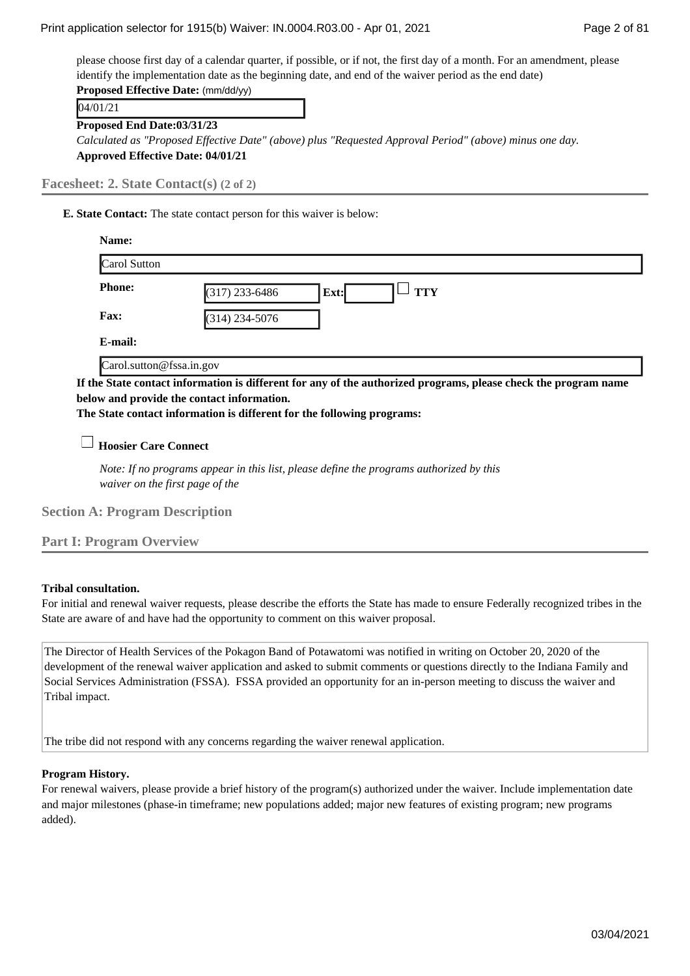please choose first day of a calendar quarter, if possible, or if not, the first day of a month. For an amendment, please identify the implementation date as the beginning date, and end of the waiver period as the end date) **Proposed Effective Date:** (mm/dd/yy)

04/01/21

**Proposed End Date:03/31/23**

*Calculated as "Proposed Effective Date" (above) plus "Requested Approval Period" (above) minus one day.* **Approved Effective Date: 04/01/21**

**Facesheet: 2. State Contact(s) (2 of 2)**

**State Contact:** The state contact person for this waiver is below: **E.** 

| Name:                    |                                        |
|--------------------------|----------------------------------------|
| Carol Sutton             |                                        |
| <b>Phone:</b>            | $(317)$ 233-6486<br><b>TTY</b><br>Ext: |
| Fax:                     | $(314)$ 234-5076                       |
| E-mail:                  |                                        |
| Carol.sutton@fssa.in.gov |                                        |

**If the State contact information is different for any of the authorized programs, please check the program name below and provide the contact information.**

**The State contact information is different for the following programs:**

**Hoosier Care Connect**

*Note: If no programs appear in this list, please define the programs authorized by this waiver on the first page of the*

**Section A: Program Description**

**Part I: Program Overview**

### **Tribal consultation.**

For initial and renewal waiver requests, please describe the efforts the State has made to ensure Federally recognized tribes in the State are aware of and have had the opportunity to comment on this waiver proposal.

The Director of Health Services of the Pokagon Band of Potawatomi was notified in writing on October 20, 2020 of the development of the renewal waiver application and asked to submit comments or questions directly to the Indiana Family and Social Services Administration (FSSA). FSSA provided an opportunity for an in-person meeting to discuss the waiver and Tribal impact.

The tribe did not respond with any concerns regarding the waiver renewal application.

### **Program History.**

For renewal waivers, please provide a brief history of the program(s) authorized under the waiver. Include implementation date and major milestones (phase-in timeframe; new populations added; major new features of existing program; new programs added).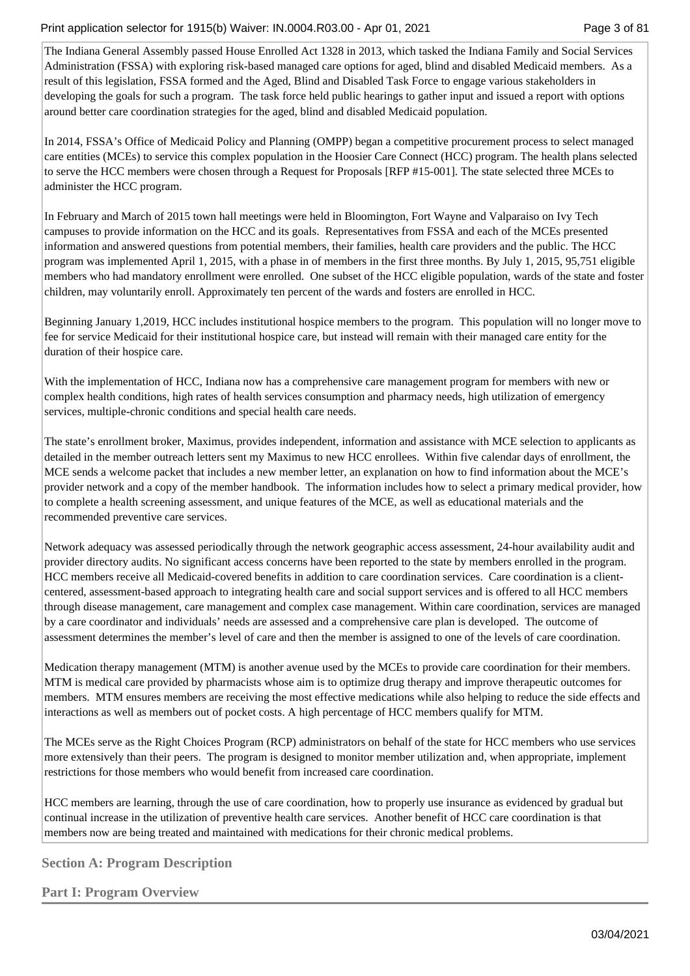The Indiana General Assembly passed House Enrolled Act 1328 in 2013, which tasked the Indiana Family and Social Services Administration (FSSA) with exploring risk-based managed care options for aged, blind and disabled Medicaid members. As a result of this legislation, FSSA formed and the Aged, Blind and Disabled Task Force to engage various stakeholders in developing the goals for such a program. The task force held public hearings to gather input and issued a report with options around better care coordination strategies for the aged, blind and disabled Medicaid population.

In 2014, FSSA's Office of Medicaid Policy and Planning (OMPP) began a competitive procurement process to select managed care entities (MCEs) to service this complex population in the Hoosier Care Connect (HCC) program. The health plans selected to serve the HCC members were chosen through a Request for Proposals [RFP #15-001]. The state selected three MCEs to administer the HCC program.

In February and March of 2015 town hall meetings were held in Bloomington, Fort Wayne and Valparaiso on Ivy Tech campuses to provide information on the HCC and its goals. Representatives from FSSA and each of the MCEs presented information and answered questions from potential members, their families, health care providers and the public. The HCC program was implemented April 1, 2015, with a phase in of members in the first three months. By July 1, 2015, 95,751 eligible members who had mandatory enrollment were enrolled. One subset of the HCC eligible population, wards of the state and foster children, may voluntarily enroll. Approximately ten percent of the wards and fosters are enrolled in HCC.

Beginning January 1,2019, HCC includes institutional hospice members to the program. This population will no longer move to fee for service Medicaid for their institutional hospice care, but instead will remain with their managed care entity for the duration of their hospice care.

With the implementation of HCC, Indiana now has a comprehensive care management program for members with new or complex health conditions, high rates of health services consumption and pharmacy needs, high utilization of emergency services, multiple-chronic conditions and special health care needs.

The state's enrollment broker, Maximus, provides independent, information and assistance with MCE selection to applicants as detailed in the member outreach letters sent my Maximus to new HCC enrollees. Within five calendar days of enrollment, the MCE sends a welcome packet that includes a new member letter, an explanation on how to find information about the MCE's provider network and a copy of the member handbook. The information includes how to select a primary medical provider, how to complete a health screening assessment, and unique features of the MCE, as well as educational materials and the recommended preventive care services.

Network adequacy was assessed periodically through the network geographic access assessment, 24-hour availability audit and provider directory audits. No significant access concerns have been reported to the state by members enrolled in the program. HCC members receive all Medicaid-covered benefits in addition to care coordination services. Care coordination is a clientcentered, assessment-based approach to integrating health care and social support services and is offered to all HCC members through disease management, care management and complex case management. Within care coordination, services are managed by a care coordinator and individuals' needs are assessed and a comprehensive care plan is developed. The outcome of assessment determines the member's level of care and then the member is assigned to one of the levels of care coordination.

Medication therapy management (MTM) is another avenue used by the MCEs to provide care coordination for their members. MTM is medical care provided by pharmacists whose aim is to optimize drug therapy and improve therapeutic outcomes for members. MTM ensures members are receiving the most effective medications while also helping to reduce the side effects and interactions as well as members out of pocket costs. A high percentage of HCC members qualify for MTM.

The MCEs serve as the Right Choices Program (RCP) administrators on behalf of the state for HCC members who use services more extensively than their peers. The program is designed to monitor member utilization and, when appropriate, implement restrictions for those members who would benefit from increased care coordination.

HCC members are learning, through the use of care coordination, how to properly use insurance as evidenced by gradual but continual increase in the utilization of preventive health care services. Another benefit of HCC care coordination is that members now are being treated and maintained with medications for their chronic medical problems.

**Section A: Program Description**

**Part I: Program Overview**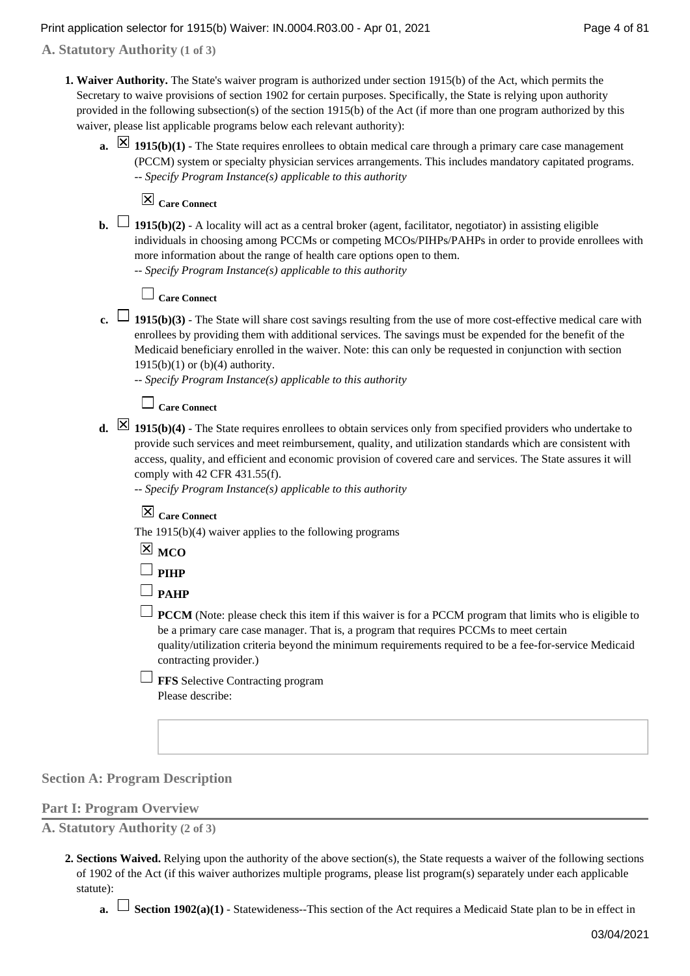**A. Statutory Authority (1 of 3)**

- **Waiver Authority.** The State's waiver program is authorized under section 1915(b) of the Act, which permits the **1.**  Secretary to waive provisions of section 1902 for certain purposes. Specifically, the State is relying upon authority provided in the following subsection(s) of the section 1915(b) of the Act (if more than one program authorized by this waiver, please list applicable programs below each relevant authority):
	- 1915(b)(1) The State requires enrollees to obtain medical care through a primary care case management (PCCM) system or specialty physician services arrangements. This includes mandatory capitated programs. *-- Specify Program Instance(s) applicable to this authority*

**Care Connect**

**b.**  $\Box$  **1915(b)(2)** - A locality will act as a central broker (agent, facilitator, negotiator) in assisting eligible individuals in choosing among PCCMs or competing MCOs/PIHPs/PAHPs in order to provide enrollees with more information about the range of health care options open to them.

*-- Specify Program Instance(s) applicable to this authority*

## **Care Connect**

- **1915(b)(3)** The State will share cost savings resulting from the use of more cost-effective medical care with enrollees by providing them with additional services. The savings must be expended for the benefit of the Medicaid beneficiary enrolled in the waiver. Note: this can only be requested in conjunction with section 1915(b)(1) or (b)(4) authority.
	- *-- Specify Program Instance(s) applicable to this authority*

## **Care Connect**

**1915(b)(4)** - The State requires enrollees to obtain services only from specified providers who undertake to provide such services and meet reimbursement, quality, and utilization standards which are consistent with access, quality, and efficient and economic provision of covered care and services. The State assures it will comply with 42 CFR 431.55(f).

*-- Specify Program Instance(s) applicable to this authority*

**Care Connect**

The 1915(b)(4) waiver applies to the following programs

|--|--|

 $\square$  PIHP

 $\Box$  **PAHP** 

- $\Box$  **PCCM** (Note: please check this item if this waiver is for a PCCM program that limits who is eligible to be a primary care case manager. That is, a program that requires PCCMs to meet certain quality/utilization criteria beyond the minimum requirements required to be a fee-for-service Medicaid contracting provider.)
- **FFS** Selective Contracting program Please describe:

### **Section A: Program Description**

#### **Part I: Program Overview**

**A. Statutory Authority (2 of 3)**

- **Sections Waived.** Relying upon the authority of the above section(s), the State requests a waiver of the following sections **2.**  of 1902 of the Act (if this waiver authorizes multiple programs, please list program(s) separately under each applicable statute):
	- **a.**  $\Box$  **Section 1902(a)(1)** Statewideness--This section of the Act requires a Medicaid State plan to be in effect in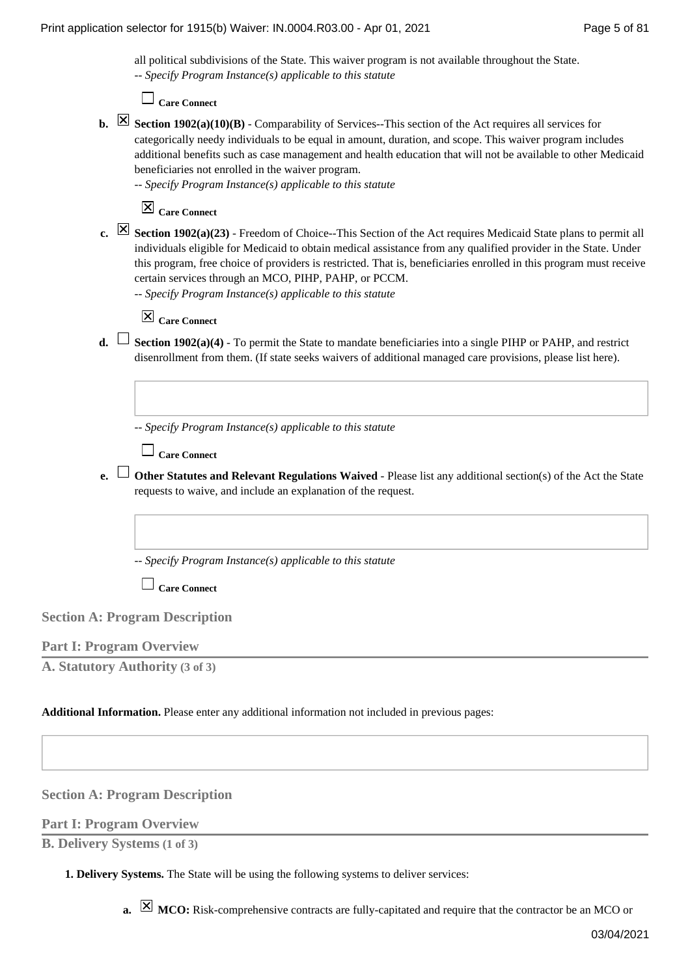all political subdivisions of the State. This waiver program is not available throughout the State. *-- Specify Program Instance(s) applicable to this statute*

**Care Connect**

**b.**  $\boxtimes$  **Section 1902(a)(10)(B)** - Comparability of Services--This section of the Act requires all services for categorically needy individuals to be equal in amount, duration, and scope. This waiver program includes additional benefits such as case management and health education that will not be available to other Medicaid beneficiaries not enrolled in the waiver program.

*-- Specify Program Instance(s) applicable to this statute*

## **Care Connect**

**Section 1902(a)(23)** - Freedom of Choice--This Section of the Act requires Medicaid State plans to permit all **c.**  individuals eligible for Medicaid to obtain medical assistance from any qualified provider in the State. Under this program, free choice of providers is restricted. That is, beneficiaries enrolled in this program must receive certain services through an MCO, PIHP, PAHP, or PCCM.

*-- Specify Program Instance(s) applicable to this statute*

## **Care Connect**

**d.** └ Section 1902(a)(4) - To permit the State to mandate beneficiaries into a single PIHP or PAHP, and restrict disenrollment from them. (If state seeks waivers of additional managed care provisions, please list here).

*-- Specify Program Instance(s) applicable to this statute*

**Care Connect**

**Other Statutes and Relevant Regulations Waived** - Please list any additional section(s) of the Act the State **e.**  requests to waive, and include an explanation of the request.

*-- Specify Program Instance(s) applicable to this statute*

**Care Connect**

**Section A: Program Description**

### **Part I: Program Overview**

**A. Statutory Authority (3 of 3)**

**Additional Information.** Please enter any additional information not included in previous pages:

**Section A: Program Description**

**Part I: Program Overview**

**B. Delivery Systems (1 of 3)**

**Delivery Systems.** The State will be using the following systems to deliver services: **1.** 

**a. MCO:** Risk-comprehensive contracts are fully-capitated and require that the contractor be an MCO or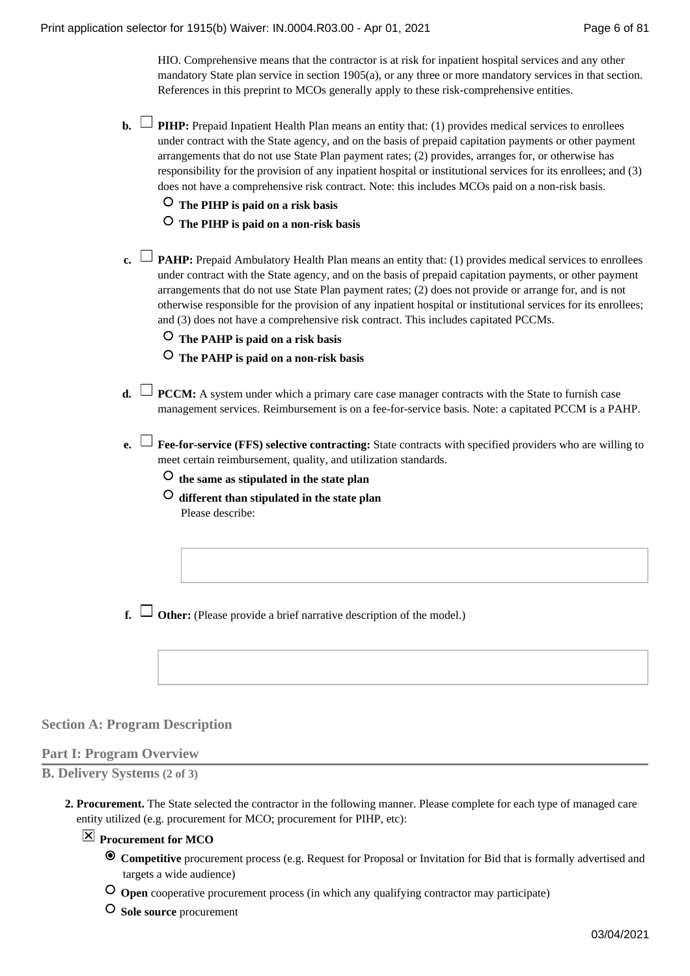HIO. Comprehensive means that the contractor is at risk for inpatient hospital services and any other mandatory State plan service in section 1905(a), or any three or more mandatory services in that section. References in this preprint to MCOs generally apply to these risk-comprehensive entities.

- **b.**  $\Box$  PIHP: Prepaid Inpatient Health Plan means an entity that: (1) provides medical services to enrollees under contract with the State agency, and on the basis of prepaid capitation payments or other payment arrangements that do not use State Plan payment rates; (2) provides, arranges for, or otherwise has responsibility for the provision of any inpatient hospital or institutional services for its enrollees; and (3) does not have a comprehensive risk contract. Note: this includes MCOs paid on a non-risk basis.
	- **The PIHP is paid on a risk basis**
	- **The PIHP is paid on a non-risk basis**
- **PAHP:** Prepaid Ambulatory Health Plan means an entity that: (1) provides medical services to enrollees **c.**  under contract with the State agency, and on the basis of prepaid capitation payments, or other payment arrangements that do not use State Plan payment rates; (2) does not provide or arrange for, and is not otherwise responsible for the provision of any inpatient hospital or institutional services for its enrollees; and (3) does not have a comprehensive risk contract. This includes capitated PCCMs.
	- **The PAHP is paid on a risk basis**
	- **The PAHP is paid on a non-risk basis**
- **d.**  $\Box$  **PCCM:** A system under which a primary care case manager contracts with the State to furnish case management services. Reimbursement is on a fee-for-service basis. Note: a capitated PCCM is a PAHP.
- **Executive Exe-for-service (FFS) selective contracting:** State contracts with specified providers who are willing to meet certain reimbursement, quality, and utilization standards.
	- **the same as stipulated in the state plan**
	- **different than stipulated in the state plan** Please describe:
- **f.**  $\Box$  Other: (Please provide a brief narrative description of the model.)

### **Section A: Program Description**

### **Part I: Program Overview**

**B. Delivery Systems (2 of 3)**

**Procurement.** The State selected the contractor in the following manner. Please complete for each type of managed care **2.**  entity utilized (e.g. procurement for MCO; procurement for PIHP, etc):

### **Procurement for MCO**

- **Competitive** procurement process (e.g. Request for Proposal or Invitation for Bid that is formally advertised and targets a wide audience)
- **Open** cooperative procurement process (in which any qualifying contractor may participate)
- **Sole source** procurement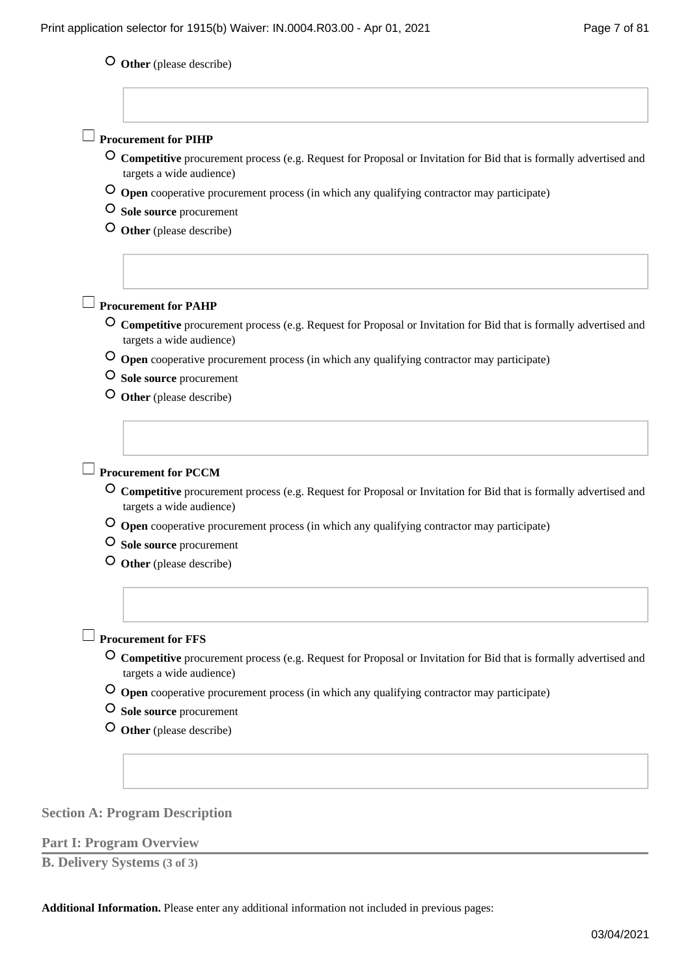## **Other** (please describe)

| <b>Procurement for PIHP</b>                                                                                                                                                 |
|-----------------------------------------------------------------------------------------------------------------------------------------------------------------------------|
| Competitive procurement process (e.g. Request for Proposal or Invitation for Bid that is formally advertised and<br>targets a wide audience)                                |
| O Open cooperative procurement process (in which any qualifying contractor may participate)                                                                                 |
| O Sole source procurement                                                                                                                                                   |
| Other (please describe)                                                                                                                                                     |
| <b>Procurement for PAHP</b>                                                                                                                                                 |
| Competitive procurement process (e.g. Request for Proposal or Invitation for Bid that is formally advertised and<br>targets a wide audience)                                |
| O Open cooperative procurement process (in which any qualifying contractor may participate)                                                                                 |
| O Sole source procurement                                                                                                                                                   |
| Other (please describe)                                                                                                                                                     |
|                                                                                                                                                                             |
| <b>Procurement for PCCM</b><br>Competitive procurement process (e.g. Request for Proposal or Invitation for Bid that is formally advertised and<br>targets a wide audience) |
|                                                                                                                                                                             |
| O Open cooperative procurement process (in which any qualifying contractor may participate)<br>O Sole source procurement                                                    |
| Other (please describe)                                                                                                                                                     |
|                                                                                                                                                                             |
| <b>Procurement for FFS</b><br>Competitive procurement process (e.g. Request for Proposal or Invitation for Bid that is formally advertised and                              |
| targets a wide audience)                                                                                                                                                    |
| O Open cooperative procurement process (in which any qualifying contractor may participate)<br>O Sole source procurement                                                    |

## **Section A: Program Description**

### **Part I: Program Overview**

**B. Delivery Systems (3 of 3)**

**Additional Information.** Please enter any additional information not included in previous pages: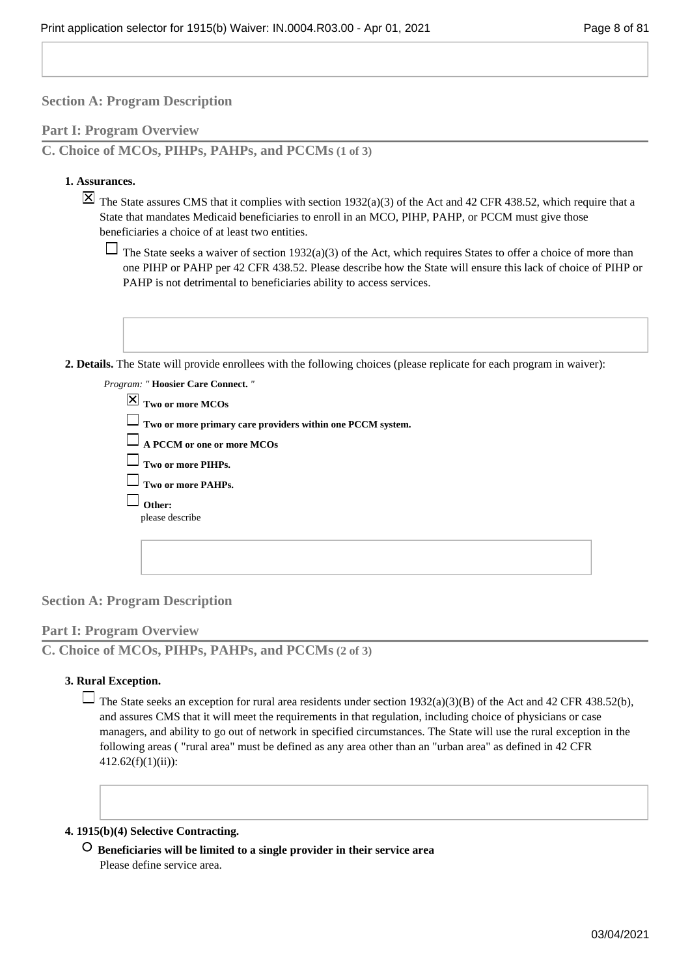### **Part I: Program Overview**

**C. Choice of MCOs, PIHPs, PAHPs, and PCCMs (1 of 3)**

### **Assurances. 1.**

 $\boxtimes$  The State assures CMS that it complies with section 1932(a)(3) of the Act and 42 CFR 438.52, which require that a State that mandates Medicaid beneficiaries to enroll in an MCO, PIHP, PAHP, or PCCM must give those beneficiaries a choice of at least two entities.

 $\Box$  The State seeks a waiver of section 1932(a)(3) of the Act, which requires States to offer a choice of more than one PIHP or PAHP per 42 CFR 438.52. Please describe how the State will ensure this lack of choice of PIHP or PAHP is not detrimental to beneficiaries ability to access services.

**Details.** The State will provide enrollees with the following choices (please replicate for each program in waiver): **2.** 

| Program: "Hoosier Care Connect."                                  |
|-------------------------------------------------------------------|
| $\boxed{\times}$ Two or more MCOs                                 |
| $\Box$ Two or more primary care providers within one PCCM system. |
| $\Box$ A PCCM or one or more MCOs                                 |
| $\Box$ Two or more PIHPs.                                         |
| $\Box$ Two or more PAHPs.                                         |
| Other:                                                            |
| please describe                                                   |
|                                                                   |
|                                                                   |

### **Section A: Program Description**

### **Part I: Program Overview**

**C. Choice of MCOs, PIHPs, PAHPs, and PCCMs (2 of 3)**

### **Rural Exception. 3.**

The State seeks an exception for rural area residents under section  $1932(a)(3)(B)$  of the Act and 42 CFR 438.52(b), and assures CMS that it will meet the requirements in that regulation, including choice of physicians or case managers, and ability to go out of network in specified circumstances. The State will use the rural exception in the following areas ( "rural area" must be defined as any area other than an "urban area" as defined in 42 CFR  $412.62(f)(1)(ii)$ :

#### **1915(b)(4) Selective Contracting. 4.**

 **Beneficiaries will be limited to a single provider in their service area** Please define service area.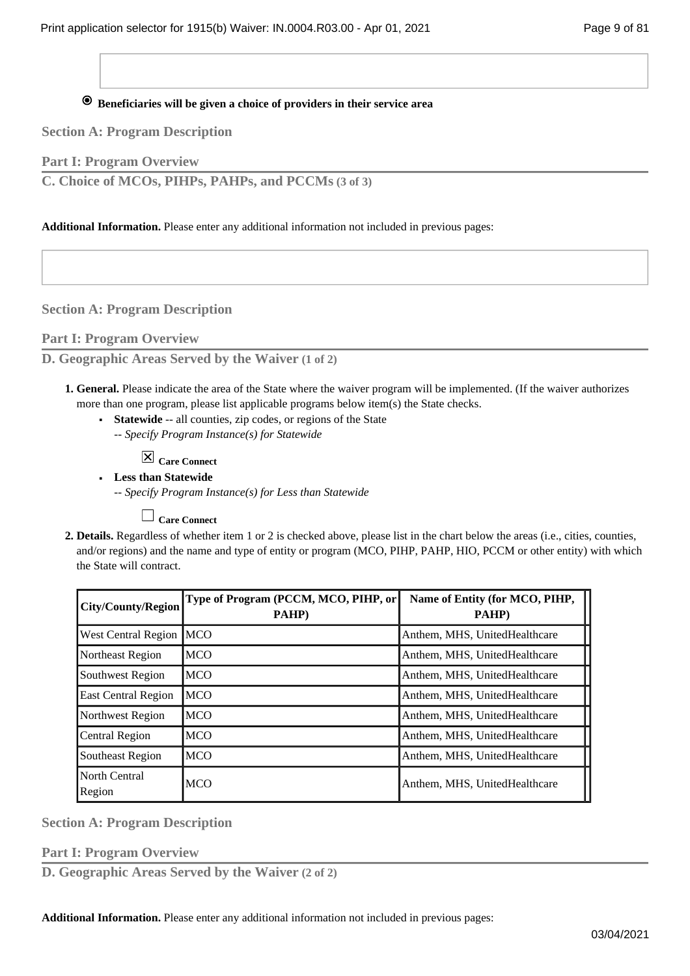## **Beneficiaries will be given a choice of providers in their service area**

**Section A: Program Description**

**Part I: Program Overview**

**C. Choice of MCOs, PIHPs, PAHPs, and PCCMs (3 of 3)**

**Additional Information.** Please enter any additional information not included in previous pages:

**Section A: Program Description**

**Part I: Program Overview**

**D. Geographic Areas Served by the Waiver (1 of 2)**

- **General.** Please indicate the area of the State where the waiver program will be implemented. (If the waiver authorizes **1.**  more than one program, please list applicable programs below item(s) the State checks.
	- Statewide -- all counties, zip codes, or regions of the State
		- *-- Specify Program Instance(s) for Statewide*

**Care Connect**

**Less than Statewide ■**

*-- Specify Program Instance(s) for Less than Statewide*

**Care Connect**

**Details.** Regardless of whether item 1 or 2 is checked above, please list in the chart below the areas (i.e., cities, counties, **2.**  and/or regions) and the name and type of entity or program (MCO, PIHP, PAHP, HIO, PCCM or other entity) with which the State will contract.

| <b>City/County/Region</b>  | Type of Program (PCCM, MCO, PIHP, or<br>PAHP) | Name of Entity (for MCO, PIHP,<br>PAHP) |
|----------------------------|-----------------------------------------------|-----------------------------------------|
| <b>West Central Region</b> | <b>MCO</b>                                    | Anthem, MHS, UnitedHealthcare           |
| Northeast Region           | <b>MCO</b>                                    | Anthem, MHS, UnitedHealthcare           |
| Southwest Region           | <b>MCO</b>                                    | Anthem, MHS, UnitedHealthcare           |
| East Central Region        | <b>MCO</b>                                    | Anthem, MHS, UnitedHealthcare           |
| Northwest Region           | <b>MCO</b>                                    | Anthem, MHS, UnitedHealthcare           |
| Central Region             | <b>MCO</b>                                    | Anthem, MHS, UnitedHealthcare           |
| Southeast Region           | <b>MCO</b>                                    | Anthem, MHS, UnitedHealthcare           |
| North Central<br>Region    | <b>MCO</b>                                    | Anthem, MHS, UnitedHealthcare           |

**Section A: Program Description**

**Part I: Program Overview**

**D. Geographic Areas Served by the Waiver (2 of 2)**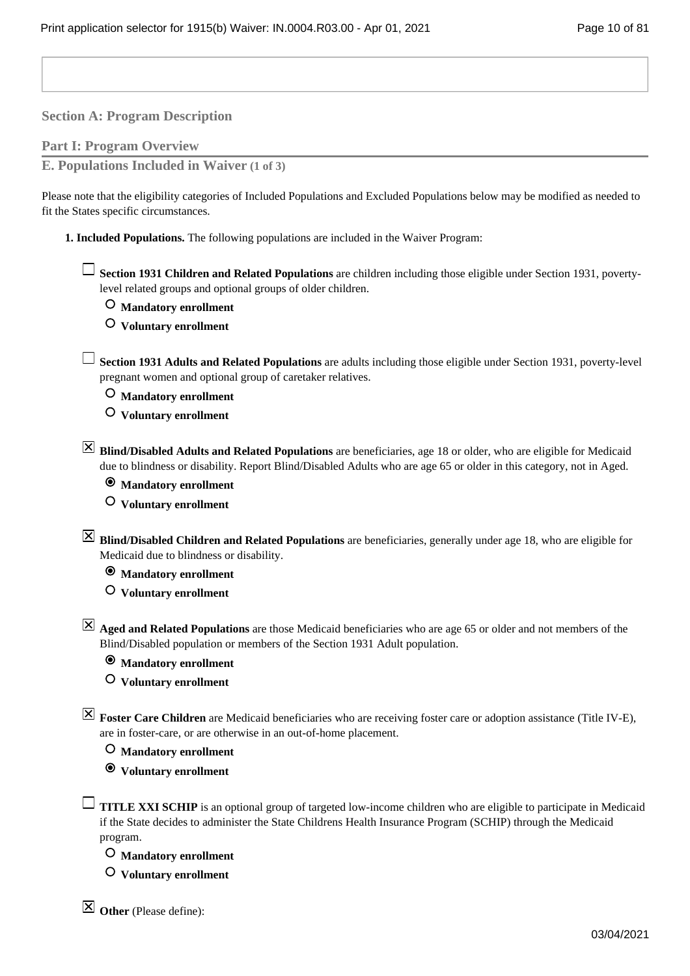**Part I: Program Overview**

**E. Populations Included in Waiver (1 of 3)**

Please note that the eligibility categories of Included Populations and Excluded Populations below may be modified as needed to fit the States specific circumstances.

1. Included Populations. The following populations are included in the Waiver Program:

**Section 1931 Children and Related Populations** are children including those eligible under Section 1931, povertylevel related groups and optional groups of older children.

 **Mandatory enrollment**

 **Voluntary enrollment**

**Section 1931 Adults and Related Populations** are adults including those eligible under Section 1931, poverty-level pregnant women and optional group of caretaker relatives.

 **Mandatory enrollment**

 **Voluntary enrollment**

**Blind/Disabled Adults and Related Populations** are beneficiaries, age 18 or older, who are eligible for Medicaid due to blindness or disability. Report Blind/Disabled Adults who are age 65 or older in this category, not in Aged.

 **Mandatory enrollment**

 **Voluntary enrollment**

**Blind/Disabled Children and Related Populations** are beneficiaries, generally under age 18, who are eligible for Medicaid due to blindness or disability.

 **Mandatory enrollment**

 **Voluntary enrollment**

**Aged and Related Populations** are those Medicaid beneficiaries who are age 65 or older and not members of the Blind/Disabled population or members of the Section 1931 Adult population.

 **Mandatory enrollment**

 **Voluntary enrollment**

**Foster Care Children** are Medicaid beneficiaries who are receiving foster care or adoption assistance (Title IV-E), are in foster-care, or are otherwise in an out-of-home placement.

 **Mandatory enrollment**

 **Voluntary enrollment**

**TITLE XXI SCHIP** is an optional group of targeted low-income children who are eligible to participate in Medicaid if the State decides to administer the State Childrens Health Insurance Program (SCHIP) through the Medicaid program.

 **Mandatory enrollment**

 **Voluntary enrollment**

 $\boxtimes$  Other (Please define):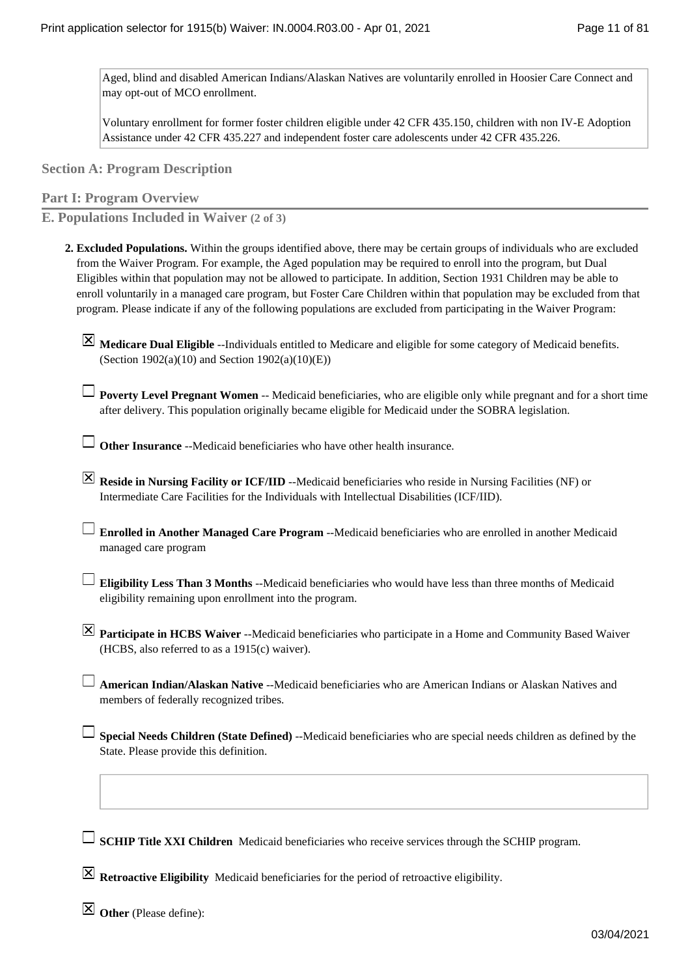Aged, blind and disabled American Indians/Alaskan Natives are voluntarily enrolled in Hoosier Care Connect and may opt-out of MCO enrollment.

Voluntary enrollment for former foster children eligible under 42 CFR 435.150, children with non IV-E Adoption Assistance under 42 CFR 435.227 and independent foster care adolescents under 42 CFR 435.226.

**Section A: Program Description**

**Part I: Program Overview**

**E. Populations Included in Waiver (2 of 3)**

- **Excluded Populations.** Within the groups identified above, there may be certain groups of individuals who are excluded **2.**  from the Waiver Program. For example, the Aged population may be required to enroll into the program, but Dual Eligibles within that population may not be allowed to participate. In addition, Section 1931 Children may be able to enroll voluntarily in a managed care program, but Foster Care Children within that population may be excluded from that program. Please indicate if any of the following populations are excluded from participating in the Waiver Program:
	- **Medicare Dual Eligible** --Individuals entitled to Medicare and eligible for some category of Medicaid benefits. (Section  $1902(a)(10)$  and Section  $1902(a)(10)(E)$ )
	- **Poverty Level Pregnant Women** -- Medicaid beneficiaries, who are eligible only while pregnant and for a short time after delivery. This population originally became eligible for Medicaid under the SOBRA legislation.

**Other Insurance** --Medicaid beneficiaries who have other health insurance.

- **EX** Reside in Nursing Facility or ICF/IID --Medicaid beneficiaries who reside in Nursing Facilities (NF) or Intermediate Care Facilities for the Individuals with Intellectual Disabilities (ICF/IID).
- **Enrolled in Another Managed Care Program** --Medicaid beneficiaries who are enrolled in another Medicaid managed care program
- **Eligibility Less Than 3 Months** --Medicaid beneficiaries who would have less than three months of Medicaid eligibility remaining upon enrollment into the program.
- **Participate in HCBS Waiver** --Medicaid beneficiaries who participate in a Home and Community Based Waiver (HCBS, also referred to as a 1915(c) waiver).
- **American Indian/Alaskan Native** --Medicaid beneficiaries who are American Indians or Alaskan Natives and members of federally recognized tribes.
- **Special Needs Children (State Defined)** --Medicaid beneficiaries who are special needs children as defined by the State. Please provide this definition.

**SCHIP Title XXI Children** Medicaid beneficiaries who receive services through the SCHIP program.

**Retroactive Eligibility** Medicaid beneficiaries for the period of retroactive eligibility.

**Other** (Please define):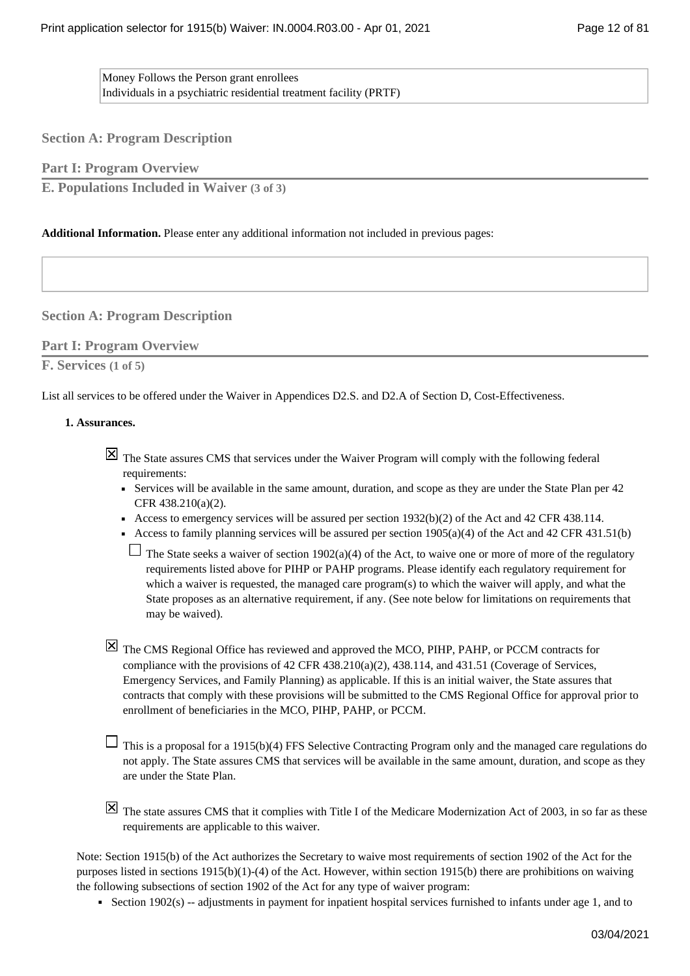Money Follows the Person grant enrollees Individuals in a psychiatric residential treatment facility (PRTF)

**Section A: Program Description**

**Part I: Program Overview**

**E. Populations Included in Waiver (3 of 3)**

### **Additional Information.** Please enter any additional information not included in previous pages:

### **Section A: Program Description**

### **Part I: Program Overview**

### **F. Services (1 of 5)**

List all services to be offered under the Waiver in Appendices D2.S. and D2.A of Section D, Cost-Effectiveness.

### **Assurances. 1.**

 $\boxtimes$  The State assures CMS that services under the Waiver Program will comply with the following federal requirements:

- Services will be available in the same amount, duration, and scope as they are under the State Plan per 42 CFR 438.210(a)(2).
- Access to emergency services will be assured per section 1932(b)(2) of the Act and 42 CFR 438.114.
- Access to family planning services will be assured per section  $1905(a)(4)$  of the Act and 42 CFR 431.51(b)

 $\Box$  The State seeks a waiver of section 1902(a)(4) of the Act, to waive one or more of more of the regulatory requirements listed above for PIHP or PAHP programs. Please identify each regulatory requirement for which a waiver is requested, the managed care program(s) to which the waiver will apply, and what the State proposes as an alternative requirement, if any. (See note below for limitations on requirements that may be waived).

 $\boxtimes$  The CMS Regional Office has reviewed and approved the MCO, PIHP, PAHP, or PCCM contracts for compliance with the provisions of 42 CFR 438.210(a)(2), 438.114, and 431.51 (Coverage of Services, Emergency Services, and Family Planning) as applicable. If this is an initial waiver, the State assures that contracts that comply with these provisions will be submitted to the CMS Regional Office for approval prior to enrollment of beneficiaries in the MCO, PIHP, PAHP, or PCCM.

 $\Box$  This is a proposal for a 1915(b)(4) FFS Selective Contracting Program only and the managed care regulations do not apply. The State assures CMS that services will be available in the same amount, duration, and scope as they are under the State Plan.

 $\boxtimes$  The state assures CMS that it complies with Title I of the Medicare Modernization Act of 2003, in so far as these requirements are applicable to this waiver.

Note: Section 1915(b) of the Act authorizes the Secretary to waive most requirements of section 1902 of the Act for the purposes listed in sections 1915(b)(1)-(4) of the Act. However, within section 1915(b) there are prohibitions on waiving the following subsections of section 1902 of the Act for any type of waiver program:

■ Section 1902(s) -- adjustments in payment for inpatient hospital services furnished to infants under age 1, and to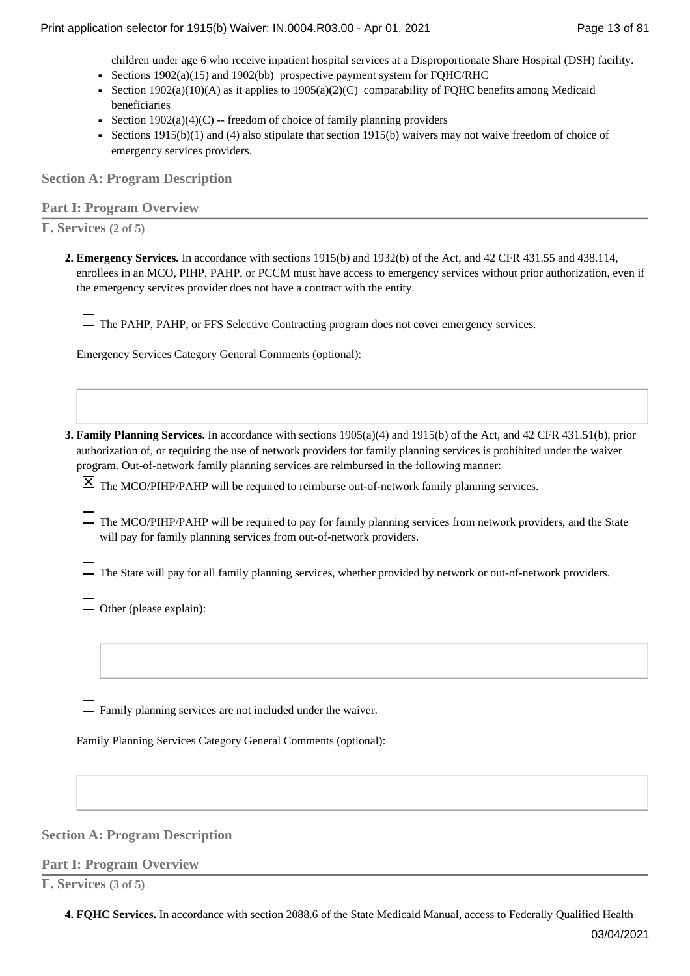children under age 6 who receive inpatient hospital services at a Disproportionate Share Hospital (DSH) facility.

- Sections  $1902(a)(15)$  and  $1902(bb)$  prospective payment system for FOHC/RHC
- Section 1902(a)(10)(A) as it applies to 1905(a)(2)(C) comparability of FQHC benefits among Medicaid beneficiaries
- Bection  $1902(a)(4)(C)$  -- freedom of choice of family planning providers
- Sections 1915(b)(1) and (4) also stipulate that section 1915(b) waivers may not waive freedom of choice of emergency services providers.

**Section A: Program Description**

### **Part I: Program Overview**

**F. Services (2 of 5)**

**Emergency Services.** In accordance with sections 1915(b) and 1932(b) of the Act, and 42 CFR 431.55 and 438.114, **2.**  enrollees in an MCO, PIHP, PAHP, or PCCM must have access to emergency services without prior authorization, even if the emergency services provider does not have a contract with the entity.

The PAHP, PAHP, or FFS Selective Contracting program does not cover emergency services.

Emergency Services Category General Comments (optional):

**Family Planning Services.** In accordance with sections 1905(a)(4) and 1915(b) of the Act, and 42 CFR 431.51(b), prior **3.**  authorization of, or requiring the use of network providers for family planning services is prohibited under the waiver program. Out-of-network family planning services are reimbursed in the following manner:

 $\boxtimes$  The MCO/PIHP/PAHP will be required to reimburse out-of-network family planning services.

 $\Box$  The MCO/PIHP/PAHP will be required to pay for family planning services from network providers, and the State will pay for family planning services from out-of-network providers.

 $\Box$  The State will pay for all family planning services, whether provided by network or out-of-network providers.

 $\Box$  Other (please explain):

 $\Box$  Family planning services are not included under the waiver.

Family Planning Services Category General Comments (optional):

### **Section A: Program Description**

### **Part I: Program Overview**

**F. Services (3 of 5)**

**4. FQHC Services.** In accordance with section 2088.6 of the State Medicaid Manual, access to Federally Qualified Health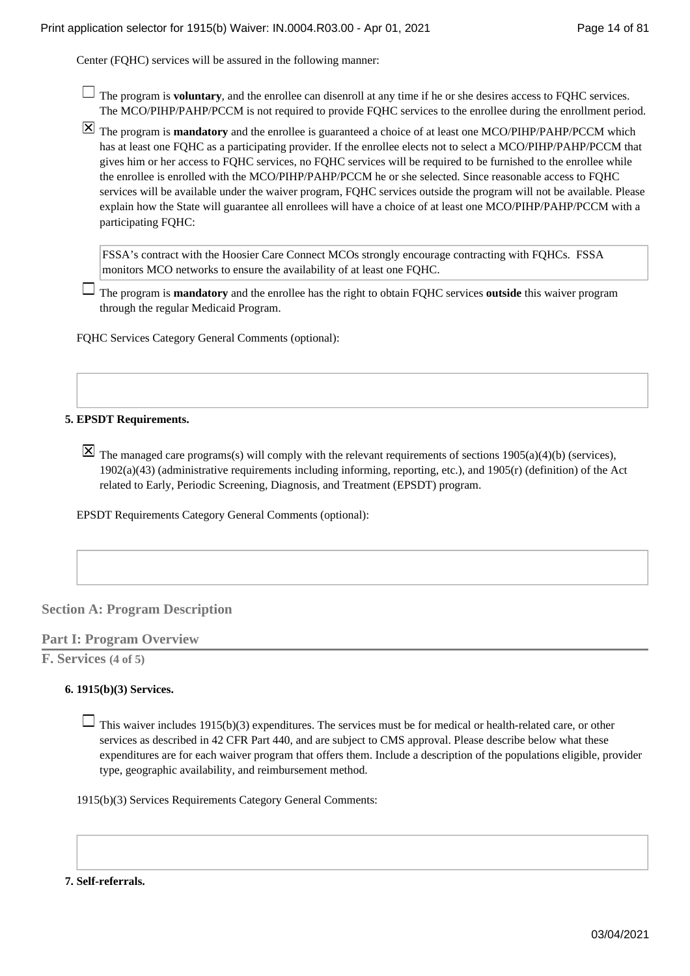Center (FQHC) services will be assured in the following manner:

- $\Box$  The program is **voluntary**, and the enrollee can disenroll at any time if he or she desires access to FQHC services. The MCO/PIHP/PAHP/PCCM is not required to provide FQHC services to the enrollee during the enrollment period.
- The program is **mandatory** and the enrollee is guaranteed a choice of at least one MCO/PIHP/PAHP/PCCM which has at least one FQHC as a participating provider. If the enrollee elects not to select a MCO/PIHP/PAHP/PCCM that gives him or her access to FQHC services, no FQHC services will be required to be furnished to the enrollee while the enrollee is enrolled with the MCO/PIHP/PAHP/PCCM he or she selected. Since reasonable access to FQHC services will be available under the waiver program, FQHC services outside the program will not be available. Please explain how the State will guarantee all enrollees will have a choice of at least one MCO/PIHP/PAHP/PCCM with a participating FQHC:

FSSA's contract with the Hoosier Care Connect MCOs strongly encourage contracting with FQHCs. FSSA monitors MCO networks to ensure the availability of at least one FQHC.

The program is **mandatory** and the enrollee has the right to obtain FQHC services **outside** this waiver program through the regular Medicaid Program.

FQHC Services Category General Comments (optional):

### **EPSDT Requirements. 5.**

 $\boxtimes$  The managed care programs(s) will comply with the relevant requirements of sections 1905(a)(4)(b) (services), 1902(a)(43) (administrative requirements including informing, reporting, etc.), and 1905(r) (definition) of the Act related to Early, Periodic Screening, Diagnosis, and Treatment (EPSDT) program.

EPSDT Requirements Category General Comments (optional):

### **Section A: Program Description**

### **Part I: Program Overview**

**F. Services (4 of 5)**

### **1915(b)(3) Services. 6.**

 $\Box$  This waiver includes 1915(b)(3) expenditures. The services must be for medical or health-related care, or other services as described in 42 CFR Part 440, and are subject to CMS approval. Please describe below what these expenditures are for each waiver program that offers them. Include a description of the populations eligible, provider type, geographic availability, and reimbursement method.

1915(b)(3) Services Requirements Category General Comments:

#### **7. Self-referrals.**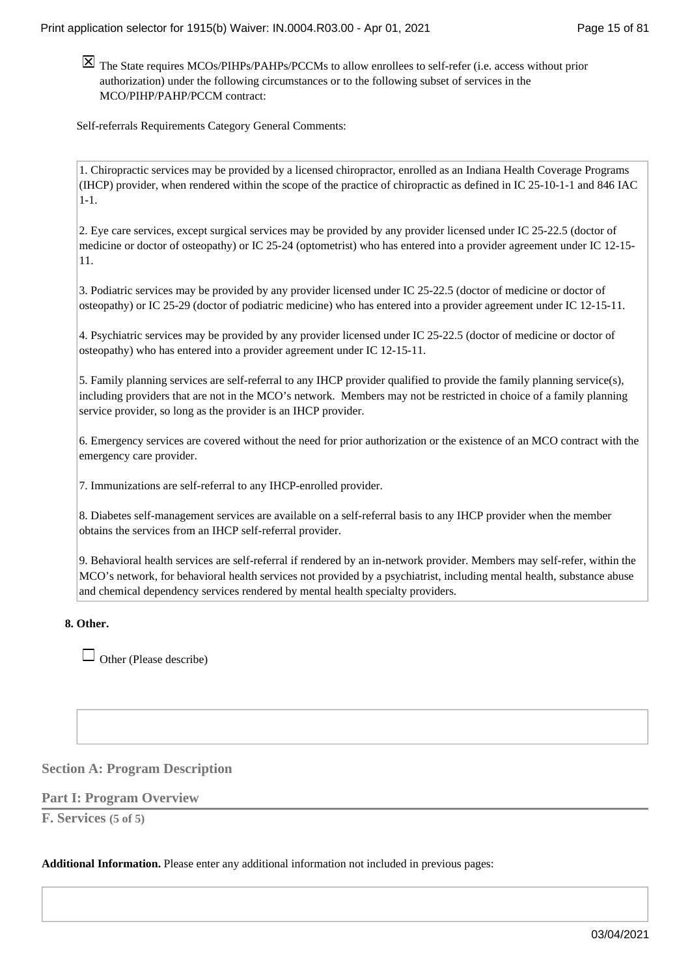The State requires MCOs/PIHPs/PAHPs/PCCMs to allow enrollees to self-refer (i.e. access without prior authorization) under the following circumstances or to the following subset of services in the MCO/PIHP/PAHP/PCCM contract:

Self-referrals Requirements Category General Comments:

1. Chiropractic services may be provided by a licensed chiropractor, enrolled as an Indiana Health Coverage Programs (IHCP) provider, when rendered within the scope of the practice of chiropractic as defined in IC 25-10-1-1 and 846 IAC  $1-1$ 

2. Eye care services, except surgical services may be provided by any provider licensed under IC 25-22.5 (doctor of medicine or doctor of osteopathy) or IC 25-24 (optometrist) who has entered into a provider agreement under IC 12-15- 11.

3. Podiatric services may be provided by any provider licensed under IC 25-22.5 (doctor of medicine or doctor of osteopathy) or IC 25-29 (doctor of podiatric medicine) who has entered into a provider agreement under IC 12-15-11.

4. Psychiatric services may be provided by any provider licensed under IC 25-22.5 (doctor of medicine or doctor of osteopathy) who has entered into a provider agreement under IC 12-15-11.

5. Family planning services are self-referral to any IHCP provider qualified to provide the family planning service(s), including providers that are not in the MCO's network. Members may not be restricted in choice of a family planning service provider, so long as the provider is an IHCP provider.

6. Emergency services are covered without the need for prior authorization or the existence of an MCO contract with the emergency care provider.

7. Immunizations are self-referral to any IHCP-enrolled provider.

8. Diabetes self-management services are available on a self-referral basis to any IHCP provider when the member obtains the services from an IHCP self-referral provider.

9. Behavioral health services are self-referral if rendered by an in-network provider. Members may self-refer, within the MCO's network, for behavioral health services not provided by a psychiatrist, including mental health, substance abuse and chemical dependency services rendered by mental health specialty providers.

### **Other. 8.**

 $\Box$  Other (Please describe)

### **Section A: Program Description**

### **Part I: Program Overview**

**F. Services (5 of 5)**

**Additional Information.** Please enter any additional information not included in previous pages: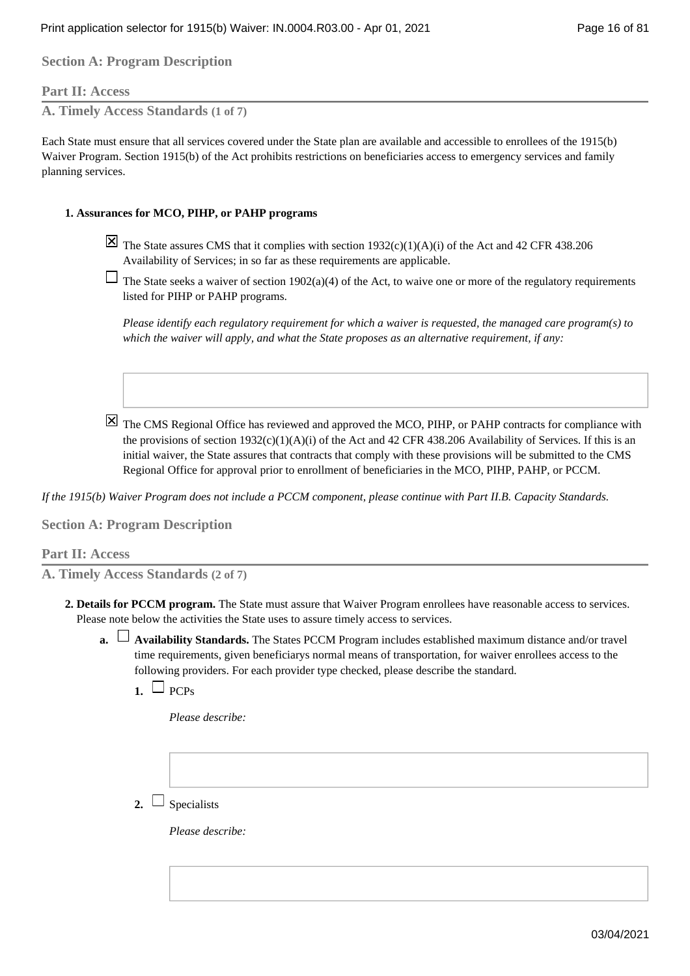### **Part II: Access**

**A. Timely Access Standards (1 of 7)**

Each State must ensure that all services covered under the State plan are available and accessible to enrollees of the 1915(b) Waiver Program. Section 1915(b) of the Act prohibits restrictions on beneficiaries access to emergency services and family planning services.

### **Assurances for MCO, PIHP, or PAHP programs 1.**

- $\overline{X}$  The State assures CMS that it complies with section 1932(c)(1)(A)(i) of the Act and 42 CFR 438.206 Availability of Services; in so far as these requirements are applicable.
- $\Box$  The State seeks a waiver of section 1902(a)(4) of the Act, to waive one or more of the regulatory requirements listed for PIHP or PAHP programs.

*Please identify each regulatory requirement for which a waiver is requested, the managed care program(s) to which the waiver will apply, and what the State proposes as an alternative requirement, if any:*

 $\overline{X}$  The CMS Regional Office has reviewed and approved the MCO, PIHP, or PAHP contracts for compliance with the provisions of section  $1932(c)(1)(A)(i)$  of the Act and 42 CFR 438.206 Availability of Services. If this is an initial waiver, the State assures that contracts that comply with these provisions will be submitted to the CMS Regional Office for approval prior to enrollment of beneficiaries in the MCO, PIHP, PAHP, or PCCM.

*If the 1915(b) Waiver Program does not include a PCCM component, please continue with Part II.B. Capacity Standards.*

**Section A: Program Description**

### **Part II: Access**

**A. Timely Access Standards (2 of 7)**

- **Details for PCCM program.** The State must assure that Waiver Program enrollees have reasonable access to services. **2.**  Please note below the activities the State uses to assure timely access to services.
	- **Availability Standards.** The States PCCM Program includes established maximum distance and/or travel **a.**  time requirements, given beneficiarys normal means of transportation, for waiver enrollees access to the following providers. For each provider type checked, please describe the standard.
		- $1. \cup PCPs$

*Please describe:*

 $2. \cup$  Specialists

*Please describe:*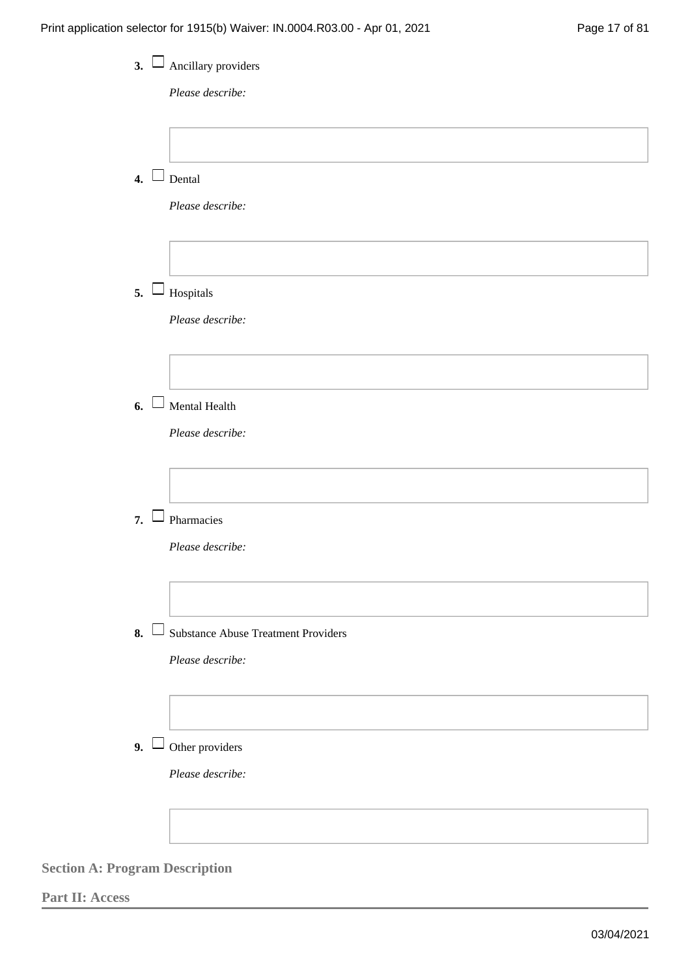| 3.1              | Ancillary providers<br>Please describe:    |
|------------------|--------------------------------------------|
|                  |                                            |
| $\overline{4}$ . | Dental                                     |
|                  | Please describe:                           |
| 5.               | Hospitals                                  |
|                  | Please describe:                           |
|                  |                                            |
| 6.<br>$\perp$    | Mental Health                              |
|                  | Please describe:                           |
| 7.               | Pharmacies                                 |
|                  | Please describe:                           |
| $8. \perp$       | <b>Substance Abuse Treatment Providers</b> |
|                  | Please describe:                           |
|                  |                                            |
| 9.1              | Other providers                            |
|                  | Please describe:                           |
|                  |                                            |

**Part II: Access**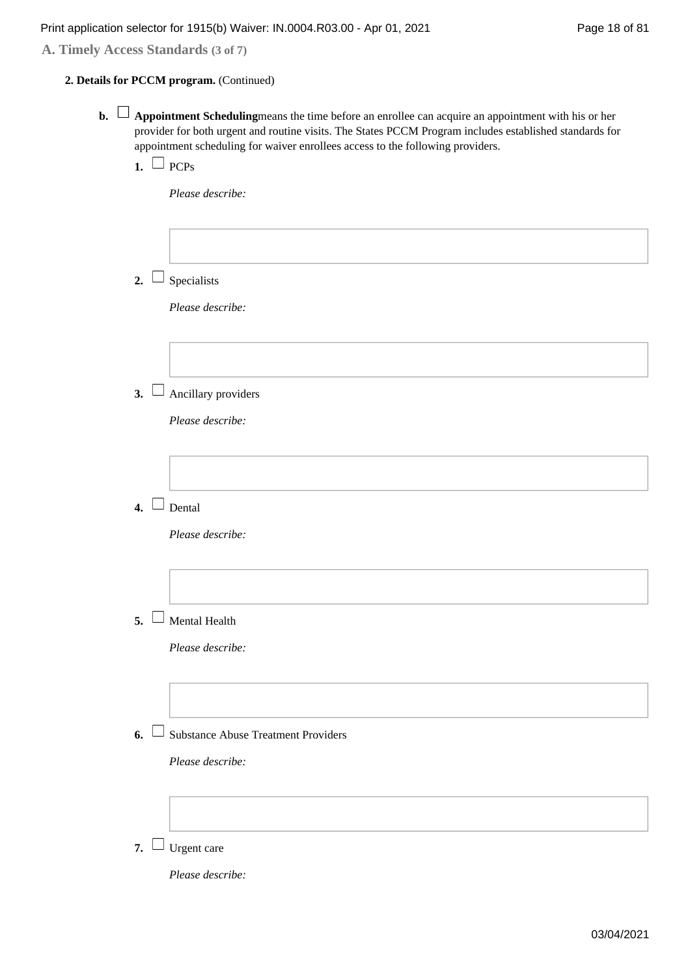**A. Timely Access Standards (3 of 7)**

### **Details for PCCM program.** (Continued) **2.**

- **b.**  $\Box$  **Appointment Scheduling** means the time before an enrollee can acquire an appointment with his or her provider for both urgent and routine visits. The States PCCM Program includes established standards for appointment scheduling for waiver enrollees access to the following providers.
	- $\blacksquare$  PCPs

*Please describe:*

- 2.  $\Box$  Specialists *Please describe:* Ancillary providers **3.**  *Please describe:*  $\blacksquare$  Dental *Please describe:* Mental Health **5.**  *Please describe:*
	- Substance Abuse Treatment Providers **6.**

*Please describe:*

7.  $\Box$  Urgent care

*Please describe:*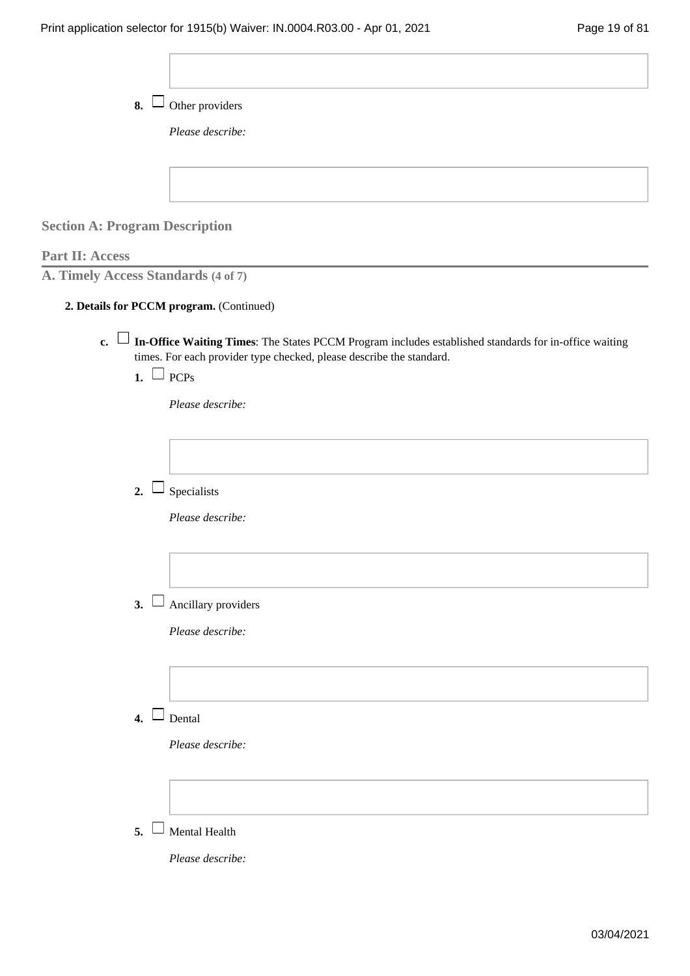| 8.                                    | Other providers                                                                                                                                                                         |
|---------------------------------------|-----------------------------------------------------------------------------------------------------------------------------------------------------------------------------------------|
|                                       | Please describe:                                                                                                                                                                        |
|                                       |                                                                                                                                                                                         |
|                                       |                                                                                                                                                                                         |
| <b>Section A: Program Description</b> |                                                                                                                                                                                         |
| <b>Part II: Access</b>                |                                                                                                                                                                                         |
| A. Timely Access Standards (4 of 7)   |                                                                                                                                                                                         |
|                                       | 2. Details for PCCM program. (Continued)                                                                                                                                                |
|                                       | c. $\Box$ In-Office Waiting Times: The States PCCM Program includes established standards for in-office waiting<br>times. For each provider type checked, please describe the standard. |
| 1. $\Box$ PCPs                        |                                                                                                                                                                                         |
|                                       | Please describe:                                                                                                                                                                        |
|                                       |                                                                                                                                                                                         |
|                                       |                                                                                                                                                                                         |
| 2.                                    | Specialists                                                                                                                                                                             |
|                                       | Please describe:                                                                                                                                                                        |
|                                       |                                                                                                                                                                                         |
|                                       |                                                                                                                                                                                         |
| 3.                                    | Ancillary providers                                                                                                                                                                     |
|                                       | Please describe:                                                                                                                                                                        |
|                                       |                                                                                                                                                                                         |
|                                       |                                                                                                                                                                                         |
| $\overline{4}$ .                      | Dental                                                                                                                                                                                  |
|                                       | Please describe:                                                                                                                                                                        |
|                                       |                                                                                                                                                                                         |
|                                       |                                                                                                                                                                                         |
| 5.                                    | Mental Health                                                                                                                                                                           |
|                                       | Please describe:                                                                                                                                                                        |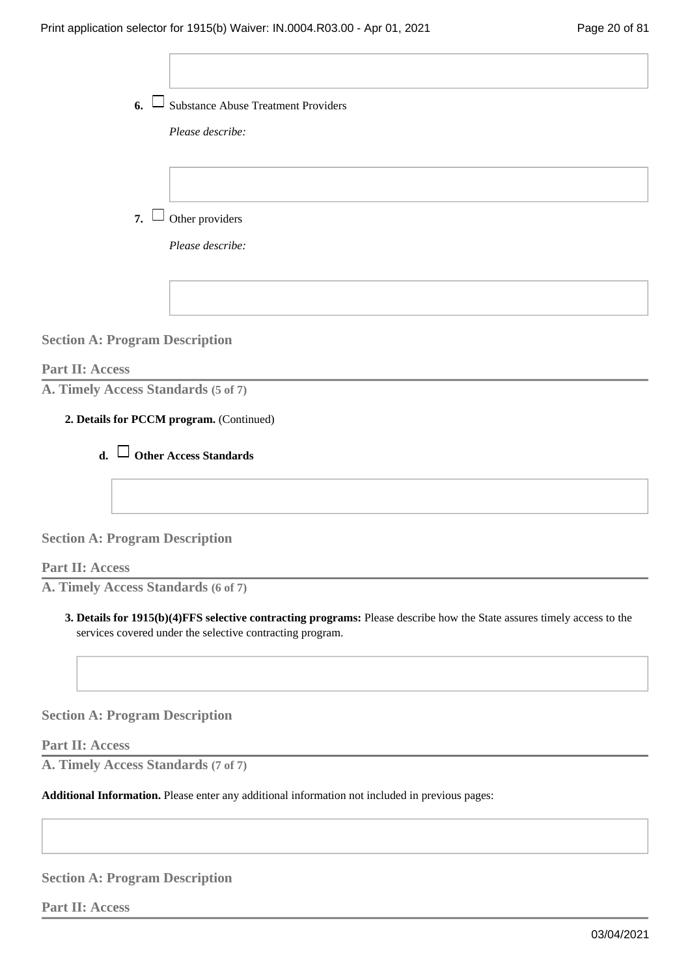Substance Abuse Treatment Providers **6.** 

*Please describe:*

7.  $\Box$  Other providers

*Please describe:*

**Section A: Program Description**

**Part II: Access**

**A. Timely Access Standards (5 of 7)**

### **Details for PCCM program.** (Continued) **2.**



### **Section A: Program Description**

**Part II: Access**

**A. Timely Access Standards (6 of 7)**

**Details for 1915(b)(4)FFS selective contracting programs:** Please describe how the State assures timely access to the **3.**  services covered under the selective contracting program.

**Section A: Program Description**

**Part II: Access**

**A. Timely Access Standards (7 of 7)**

**Additional Information.** Please enter any additional information not included in previous pages:

**Section A: Program Description**

**Part II: Access**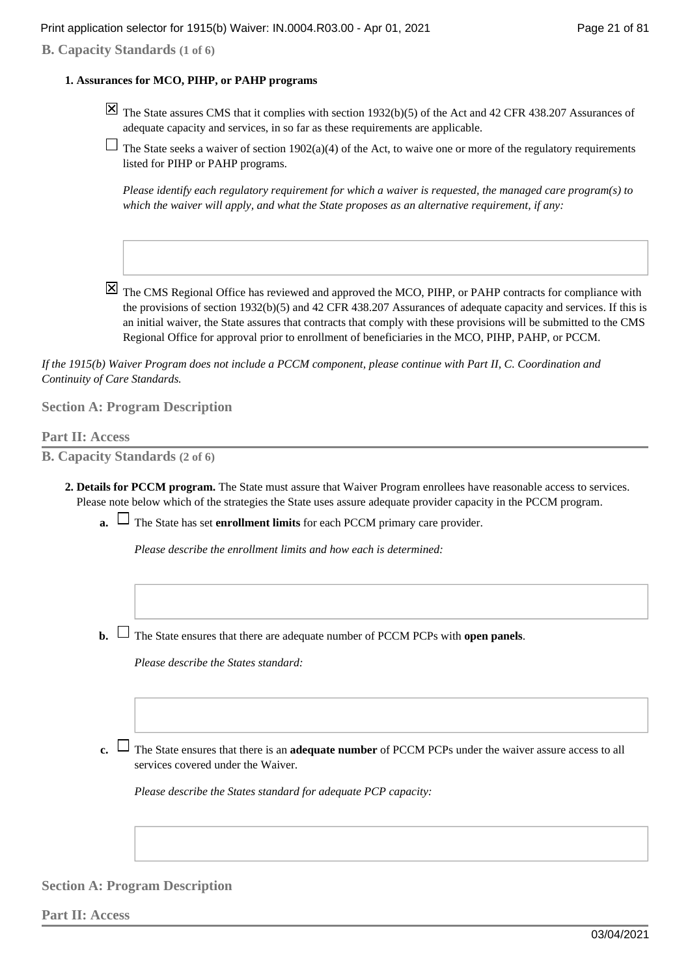### **B. Capacity Standards (1 of 6)**

### **Assurances for MCO, PIHP, or PAHP programs 1.**

- $\overline{X}$  The State assures CMS that it complies with section 1932(b)(5) of the Act and 42 CFR 438.207 Assurances of adequate capacity and services, in so far as these requirements are applicable.
- $\Box$  The State seeks a waiver of section 1902(a)(4) of the Act, to waive one or more of the regulatory requirements listed for PIHP or PAHP programs.

*Please identify each regulatory requirement for which a waiver is requested, the managed care program(s) to which the waiver will apply, and what the State proposes as an alternative requirement, if any:*

 $\boxtimes$  The CMS Regional Office has reviewed and approved the MCO, PIHP, or PAHP contracts for compliance with the provisions of section 1932(b)(5) and 42 CFR 438.207 Assurances of adequate capacity and services. If this is an initial waiver, the State assures that contracts that comply with these provisions will be submitted to the CMS Regional Office for approval prior to enrollment of beneficiaries in the MCO, PIHP, PAHP, or PCCM.

*If the 1915(b) Waiver Program does not include a PCCM component, please continue with Part II, C. Coordination and Continuity of Care Standards.*

### **Section A: Program Description**

### **Part II: Access**

**B. Capacity Standards (2 of 6)**

- **Details for PCCM program.** The State must assure that Waiver Program enrollees have reasonable access to services. **2.**  Please note below which of the strategies the State uses assure adequate provider capacity in the PCCM program.
	- **a.**  $\Box$  The State has set **enrollment limits** for each PCCM primary care provider.

*Please describe the enrollment limits and how each is determined:*

**b.**  $\Box$  The State ensures that there are adequate number of PCCM PCPs with **open panels**.

*Please describe the States standard:*

The State ensures that there is an **adequate number** of PCCM PCPs under the waiver assure access to all **c.**  services covered under the Waiver.

*Please describe the States standard for adequate PCP capacity:*

### **Section A: Program Description**

**Part II: Access**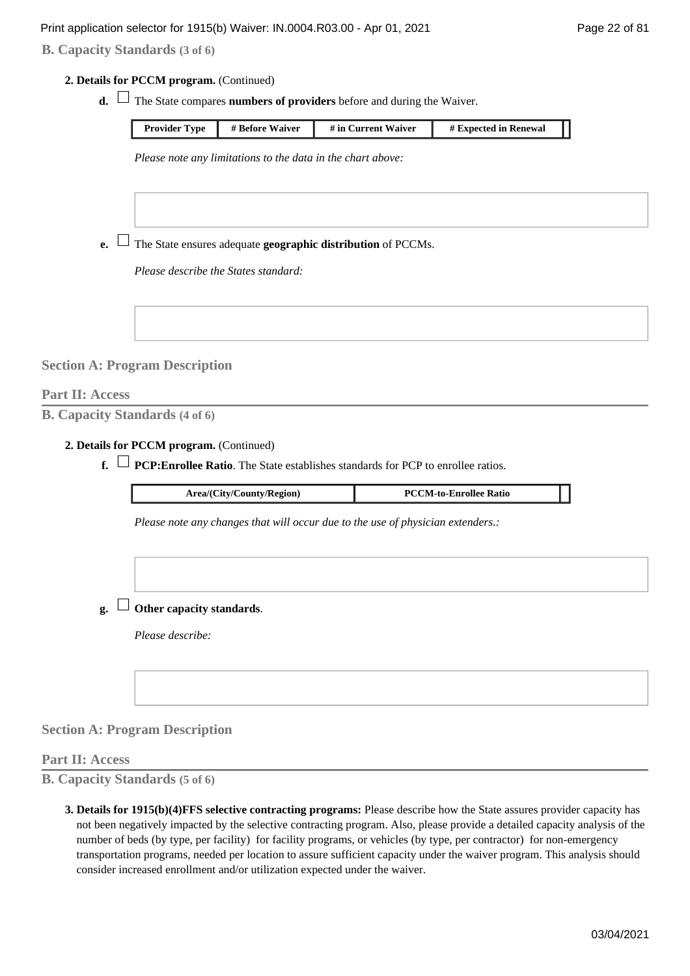### **B. Capacity Standards (3 of 6)**

**Details for PCCM program.** (Continued) **2.** 

**d.**  $\Box$  The State compares **numbers of providers** before and during the Waiver.

| <b>Provider Type</b> | # Before Waiver | # in Current Waiver | # Expected in Renewal |  |
|----------------------|-----------------|---------------------|-----------------------|--|

*Please note any limitations to the data in the chart above:*

 $\mathbf{e}$ .  $\Box$  The State ensures adequate **geographic distribution** of PCCMs.

*Please describe the States standard:*

**Section A: Program Description**

### **Part II: Access**

**B. Capacity Standards (4 of 6)**

**Details for PCCM program.** (Continued) **2.** 

 $f. \Box$  **PCP: Enrollee Ratio**. The State establishes standards for PCP to enrollee ratios.

| Area/(City/County/Region) | <b>PCCM-to-Enrollee Ratio</b> |  |
|---------------------------|-------------------------------|--|
|                           |                               |  |

*Please note any changes that will occur due to the use of physician extenders.:*

**Other capacity standards**. **g.** 

*Please describe:*

**Section A: Program Description**

### **Part II: Access**

**B. Capacity Standards (5 of 6)**

**Details for 1915(b)(4)FFS selective contracting programs:** Please describe how the State assures provider capacity has **3.**  not been negatively impacted by the selective contracting program. Also, please provide a detailed capacity analysis of the number of beds (by type, per facility) for facility programs, or vehicles (by type, per contractor) for non-emergency transportation programs, needed per location to assure sufficient capacity under the waiver program. This analysis should consider increased enrollment and/or utilization expected under the waiver.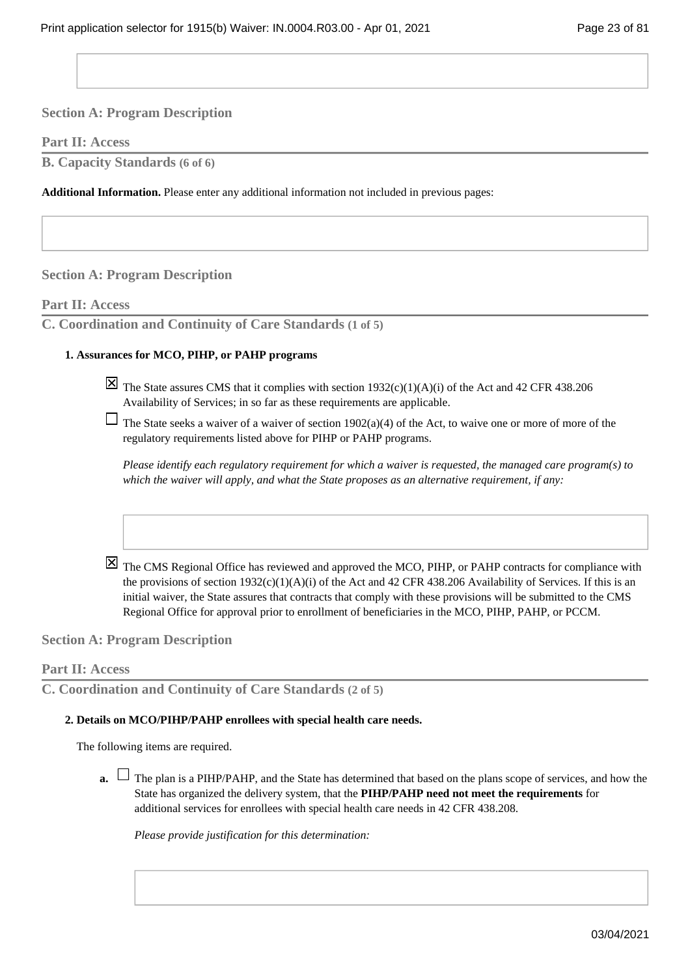### **Part II: Access**

**B. Capacity Standards (6 of 6)**

**Additional Information.** Please enter any additional information not included in previous pages:

### **Section A: Program Description**

### **Part II: Access**

**C. Coordination and Continuity of Care Standards (1 of 5)**

### **Assurances for MCO, PIHP, or PAHP programs 1.**

 $\overline{X}$  The State assures CMS that it complies with section 1932(c)(1)(A)(i) of the Act and 42 CFR 438.206 Availability of Services; in so far as these requirements are applicable.

The State seeks a waiver of a waiver of section  $1902(a)(4)$  of the Act, to waive one or more of more of the regulatory requirements listed above for PIHP or PAHP programs.

*Please identify each regulatory requirement for which a waiver is requested, the managed care program(s) to which the waiver will apply, and what the State proposes as an alternative requirement, if any:*

The CMS Regional Office has reviewed and approved the MCO, PIHP, or PAHP contracts for compliance with the provisions of section  $1932(c)(1)(A)(i)$  of the Act and 42 CFR 438.206 Availability of Services. If this is an initial waiver, the State assures that contracts that comply with these provisions will be submitted to the CMS Regional Office for approval prior to enrollment of beneficiaries in the MCO, PIHP, PAHP, or PCCM.

**Section A: Program Description**

### **Part II: Access**

```
C. Coordination and Continuity of Care Standards (2 of 5)
```
### **Details on MCO/PIHP/PAHP enrollees with special health care needs. 2.**

The following items are required.

The plan is a PIHP/PAHP, and the State has determined that based on the plans scope of services, and how the **a.**  State has organized the delivery system, that the **PIHP/PAHP need not meet the requirements** for additional services for enrollees with special health care needs in 42 CFR 438.208.

*Please provide justification for this determination:*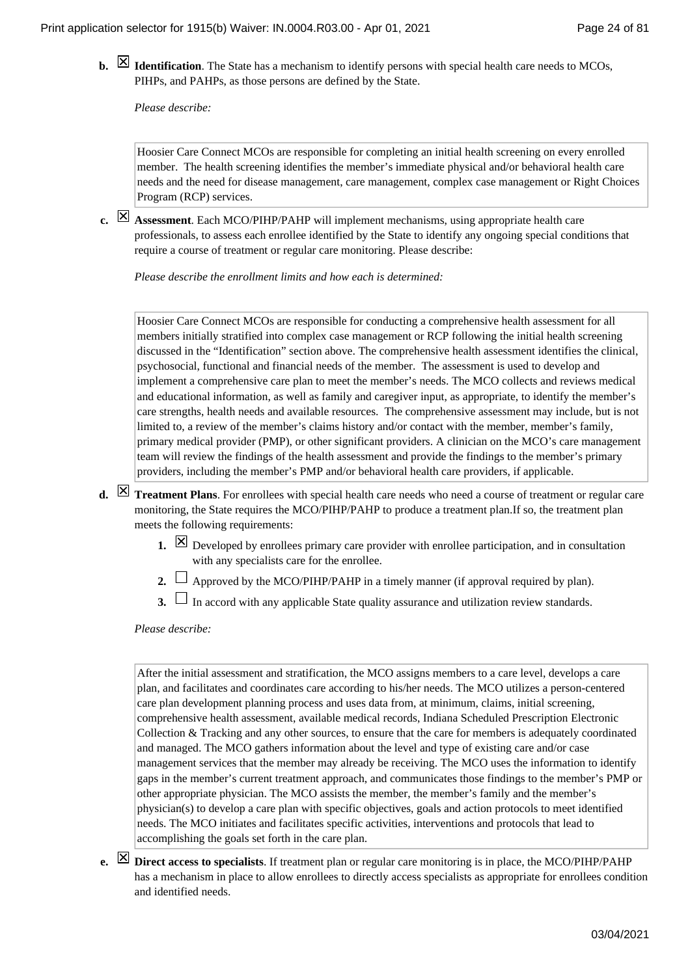**Identification**. The State has a mechanism to identify persons with special health care needs to MCOs, PIHPs, and PAHPs, as those persons are defined by the State.

*Please describe:*

Hoosier Care Connect MCOs are responsible for completing an initial health screening on every enrolled member. The health screening identifies the member's immediate physical and/or behavioral health care needs and the need for disease management, care management, complex case management or Right Choices Program (RCP) services.

**Assessment**. Each MCO/PIHP/PAHP will implement mechanisms, using appropriate health care **c.**  professionals, to assess each enrollee identified by the State to identify any ongoing special conditions that require a course of treatment or regular care monitoring. Please describe:

*Please describe the enrollment limits and how each is determined:*

Hoosier Care Connect MCOs are responsible for conducting a comprehensive health assessment for all members initially stratified into complex case management or RCP following the initial health screening discussed in the "Identification" section above. The comprehensive health assessment identifies the clinical, psychosocial, functional and financial needs of the member. The assessment is used to develop and implement a comprehensive care plan to meet the member's needs. The MCO collects and reviews medical and educational information, as well as family and caregiver input, as appropriate, to identify the member's care strengths, health needs and available resources. The comprehensive assessment may include, but is not limited to, a review of the member's claims history and/or contact with the member, member's family, primary medical provider (PMP), or other significant providers. A clinician on the MCO's care management team will review the findings of the health assessment and provide the findings to the member's primary providers, including the member's PMP and/or behavioral health care providers, if applicable.

- **d.**  $\boxtimes$  **Treatment Plans**. For enrollees with special health care needs who need a course of treatment or regular care monitoring, the State requires the MCO/PIHP/PAHP to produce a treatment plan.If so, the treatment plan meets the following requirements:
	- Developed by enrollees primary care provider with enrollee participation, and in consultation with any specialists care for the enrollee.
	- **2.**  $\Box$  Approved by the MCO/PIHP/PAHP in a timely manner (if approval required by plan).
	- **3.**  $\Box$  In accord with any applicable State quality assurance and utilization review standards.

*Please describe:*

After the initial assessment and stratification, the MCO assigns members to a care level, develops a care plan, and facilitates and coordinates care according to his/her needs. The MCO utilizes a person-centered care plan development planning process and uses data from, at minimum, claims, initial screening, comprehensive health assessment, available medical records, Indiana Scheduled Prescription Electronic Collection & Tracking and any other sources, to ensure that the care for members is adequately coordinated and managed. The MCO gathers information about the level and type of existing care and/or case management services that the member may already be receiving. The MCO uses the information to identify gaps in the member's current treatment approach, and communicates those findings to the member's PMP or other appropriate physician. The MCO assists the member, the member's family and the member's physician(s) to develop a care plan with specific objectives, goals and action protocols to meet identified needs. The MCO initiates and facilitates specific activities, interventions and protocols that lead to accomplishing the goals set forth in the care plan.

**Direct access to specialists**. If treatment plan or regular care monitoring is in place, the MCO/PIHP/PAHP **e.**  has a mechanism in place to allow enrollees to directly access specialists as appropriate for enrollees condition and identified needs.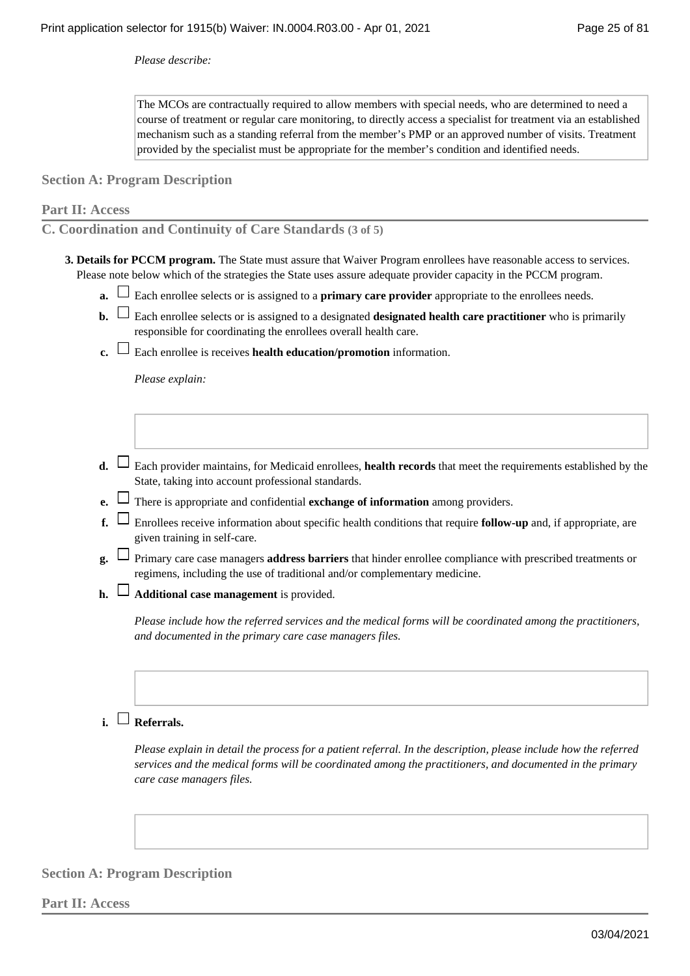*Please describe:*

The MCOs are contractually required to allow members with special needs, who are determined to need a course of treatment or regular care monitoring, to directly access a specialist for treatment via an established mechanism such as a standing referral from the member's PMP or an approved number of visits. Treatment provided by the specialist must be appropriate for the member's condition and identified needs.

**Section A: Program Description**

### **Part II: Access**

**C. Coordination and Continuity of Care Standards (3 of 5)**

- **Details for PCCM program.** The State must assure that Waiver Program enrollees have reasonable access to services. **3.**  Please note below which of the strategies the State uses assure adequate provider capacity in the PCCM program.
	- **a.**  $\Box$  Each enrollee selects or is assigned to a **primary care provider** appropriate to the enrollees needs.
	- **b.**  $\Box$  Each enrollee selects or is assigned to a designated **designated health care practitioner** who is primarily responsible for coordinating the enrollees overall health care.
	- **c.**  $\Box$  Each enrollee is receives **health education/promotion** information.

*Please explain:*

- Each provider maintains, for Medicaid enrollees, **health records** that meet the requirements established by the **d.**  State, taking into account professional standards.
- **e.** There is appropriate and confidential **exchange of information** among providers.
- $f. \Box$  Enrollees receive information about specific health conditions that require **follow-up** and, if appropriate, are given training in self-care.
- Primary care case managers **address barriers** that hinder enrollee compliance with prescribed treatments or **g.**  regimens, including the use of traditional and/or complementary medicine.
- **Additional case management** is provided. **h.**

*Please include how the referred services and the medical forms will be coordinated among the practitioners, and documented in the primary care case managers files.*

### **Referrals. i.**

*Please explain in detail the process for a patient referral. In the description, please include how the referred services and the medical forms will be coordinated among the practitioners, and documented in the primary care case managers files.*

### **Section A: Program Description**

**Part II: Access**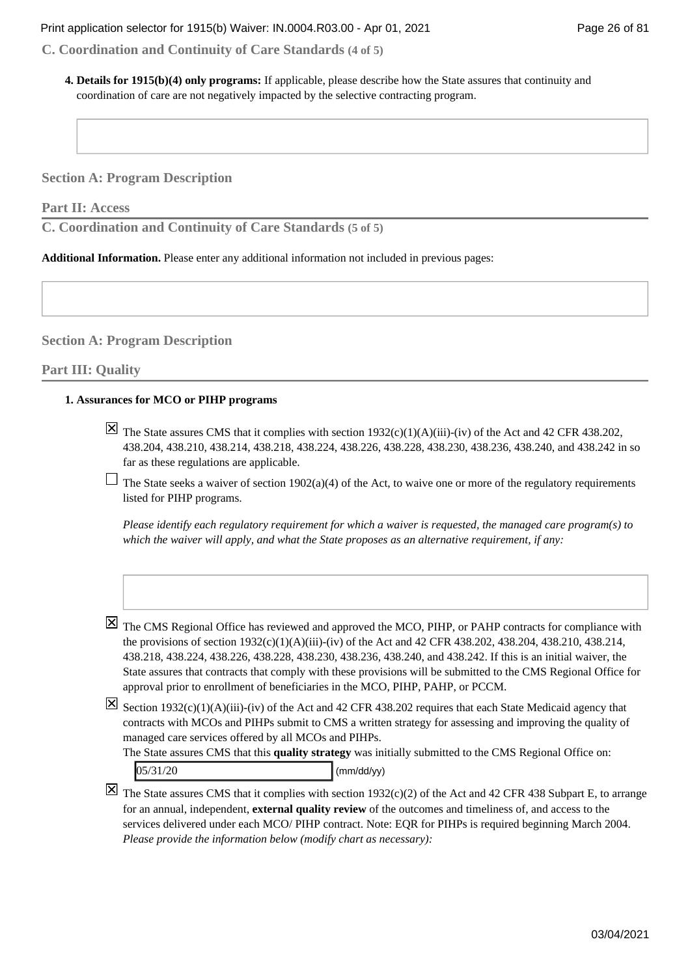**C. Coordination and Continuity of Care Standards (4 of 5)**

**Details for 1915(b)(4) only programs:** If applicable, please describe how the State assures that continuity and **4.**  coordination of care are not negatively impacted by the selective contracting program.

**Section A: Program Description**

**Part II: Access**

**C. Coordination and Continuity of Care Standards (5 of 5)**

**Additional Information.** Please enter any additional information not included in previous pages:

**Section A: Program Description**

### **Part III: Quality**

### **Assurances for MCO or PIHP programs 1.**

 $\overline{X}$  The State assures CMS that it complies with section 1932(c)(1)(A)(iii)-(iv) of the Act and 42 CFR 438.202, 438.204, 438.210, 438.214, 438.218, 438.224, 438.226, 438.228, 438.230, 438.236, 438.240, and 438.242 in so far as these regulations are applicable.

 $\Box$  The State seeks a waiver of section 1902(a)(4) of the Act, to waive one or more of the regulatory requirements listed for PIHP programs.

*Please identify each regulatory requirement for which a waiver is requested, the managed care program(s) to which the waiver will apply, and what the State proposes as an alternative requirement, if any:*

The CMS Regional Office has reviewed and approved the MCO, PIHP, or PAHP contracts for compliance with the provisions of section 1932(c)(1)(A)(iii)-(iv) of the Act and 42 CFR 438.202, 438.204, 438.210, 438.214, 438.218, 438.224, 438.226, 438.228, 438.230, 438.236, 438.240, and 438.242. If this is an initial waiver, the State assures that contracts that comply with these provisions will be submitted to the CMS Regional Office for approval prior to enrollment of beneficiaries in the MCO, PIHP, PAHP, or PCCM.

 $\boxtimes$  Section 1932(c)(1)(A)(iii)-(iv) of the Act and 42 CFR 438.202 requires that each State Medicaid agency that contracts with MCOs and PIHPs submit to CMS a written strategy for assessing and improving the quality of managed care services offered by all MCOs and PIHPs.

The State assures CMS that this **quality strategy** was initially submitted to the CMS Regional Office on:  $05/31/20$  (mm/dd/yy)

 $\boxtimes$  The State assures CMS that it complies with section 1932(c)(2) of the Act and 42 CFR 438 Subpart E, to arrange for an annual, independent, **external quality review** of the outcomes and timeliness of, and access to the services delivered under each MCO/ PIHP contract. Note: EQR for PIHPs is required beginning March 2004. *Please provide the information below (modify chart as necessary):*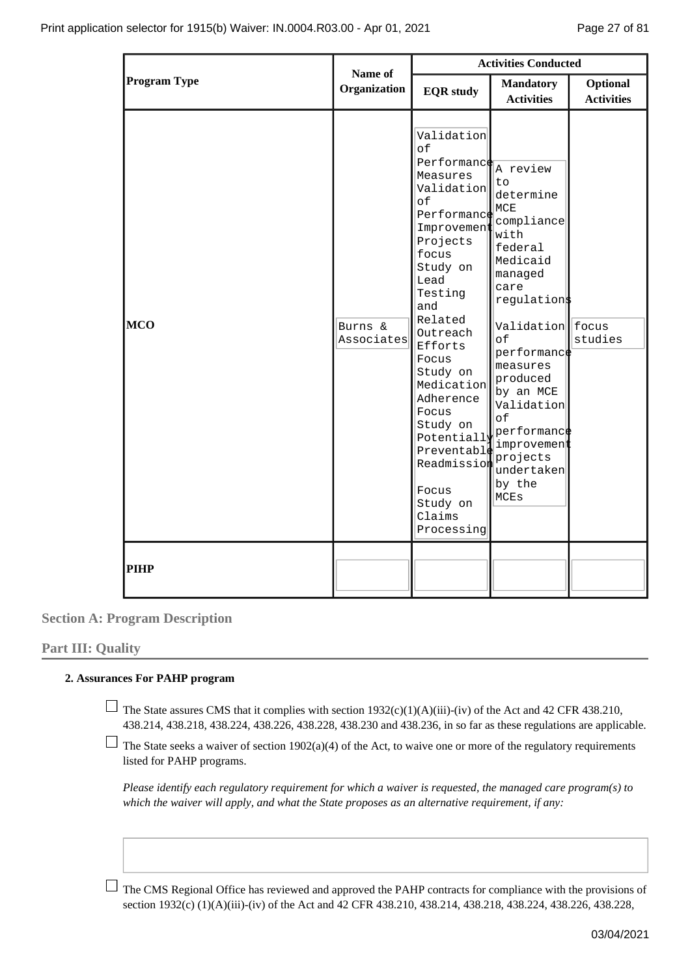|                     |                         | <b>Activities Conducted</b>                                                                                                                                                                                                                                                                                                                                       |                                                                                                                                                                                                                                                                                       |                               |
|---------------------|-------------------------|-------------------------------------------------------------------------------------------------------------------------------------------------------------------------------------------------------------------------------------------------------------------------------------------------------------------------------------------------------------------|---------------------------------------------------------------------------------------------------------------------------------------------------------------------------------------------------------------------------------------------------------------------------------------|-------------------------------|
| <b>Program Type</b> | Name of<br>Organization | <b>EQR</b> study                                                                                                                                                                                                                                                                                                                                                  | <b>Mandatory</b><br><b>Activities</b>                                                                                                                                                                                                                                                 | Optional<br><b>Activities</b> |
| <b>MCO</b>          | Burns &<br>Associates   | Validation<br>οf<br>Performance A review<br>Measures<br>Validation<br>of<br>Performance<br>Improvement<br>Projects<br>focus<br>Study on<br>Lead<br>Testing<br>and<br>Related<br>Outreach<br>Efforts<br>Focus<br>Study on<br>Medication<br>Adherence<br>Focus<br>Study on<br>Potentiall<br>Preventable<br>Readmission<br>Focus<br>Study on<br>Claims<br>Processing | to<br>determine<br>MCE<br>compliance<br>with<br>federal<br>Medicaid<br>managed<br>care<br>regulation\$<br>Validation    focus<br>of<br>performance<br>measures<br>produced<br>by an MCE<br>Validation<br>of<br>performance<br>improvement<br>projects<br>undertaken<br>by the<br>MCEs | studies                       |
| <b>PIHP</b>         |                         |                                                                                                                                                                                                                                                                                                                                                                   |                                                                                                                                                                                                                                                                                       |                               |

**Part III: Quality**

### **Assurances For PAHP program 2.**

 $\Box$  The State assures CMS that it complies with section 1932(c)(1)(A)(iii)-(iv) of the Act and 42 CFR 438.210, 438.214, 438.218, 438.224, 438.226, 438.228, 438.230 and 438.236, in so far as these regulations are applicable.

 $\Box$  The State seeks a waiver of section 1902(a)(4) of the Act, to waive one or more of the regulatory requirements listed for PAHP programs.

*Please identify each regulatory requirement for which a waiver is requested, the managed care program(s) to which the waiver will apply, and what the State proposes as an alternative requirement, if any:*

The CMS Regional Office has reviewed and approved the PAHP contracts for compliance with the provisions of section 1932(c) (1)(A)(iii)-(iv) of the Act and 42 CFR 438.210, 438.214, 438.218, 438.224, 438.226, 438.228,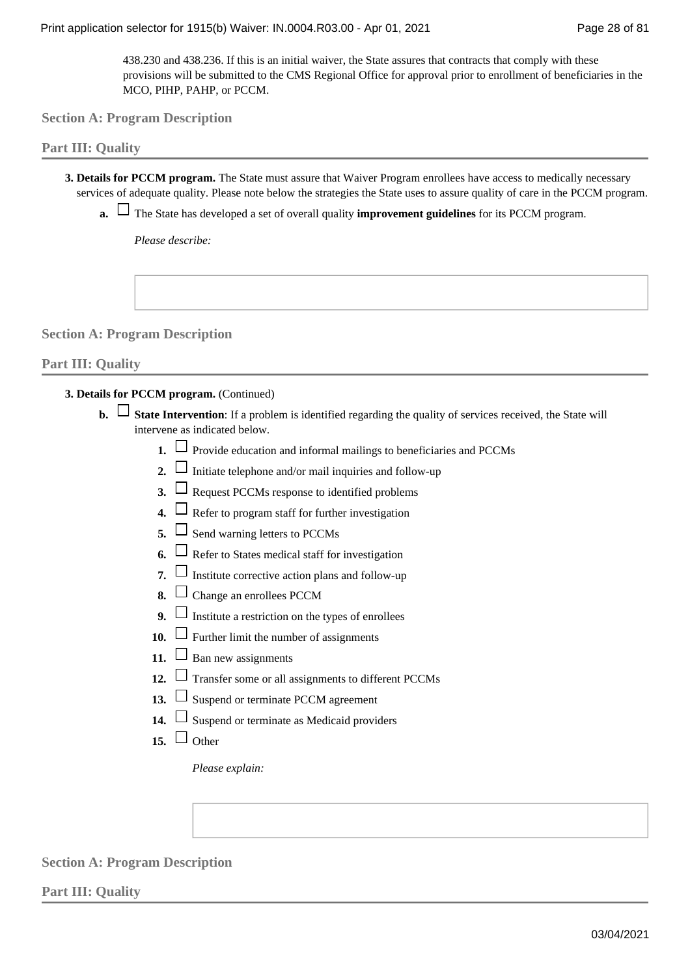438.230 and 438.236. If this is an initial waiver, the State assures that contracts that comply with these provisions will be submitted to the CMS Regional Office for approval prior to enrollment of beneficiaries in the MCO, PIHP, PAHP, or PCCM.

**Section A: Program Description**

### **Part III: Quality**

**Details for PCCM program.** The State must assure that Waiver Program enrollees have access to medically necessary **3.**  services of adequate quality. Please note below the strategies the State uses to assure quality of care in the PCCM program.

The State has developed a set of overall quality **improvement guidelines** for its PCCM program. **a.** 

*Please describe:*

**Section A: Program Description**

### **Part III: Quality**

**Details for PCCM program.** (Continued) **3.** 

- **b.**  $\Box$  State Intervention: If a problem is identified regarding the quality of services received, the State will intervene as indicated below.
	- **1.**  $\Box$  Provide education and informal mailings to beneficiaries and PCCMs
	- **2.**  $\Box$  Initiate telephone and/or mail inquiries and follow-up
	- **3.**  $\Box$  Request PCCMs response to identified problems
	- **4.**  $\Box$  Refer to program staff for further investigation
	- **5.**  $\Box$  Send warning letters to PCCMs
	- **6.**  $\Box$  Refer to States medical staff for investigation
	- **7.**  $\Box$  Institute corrective action plans and follow-up
	- **8.**  $\Box$  Change an enrollees PCCM
	- **9.**  $\Box$  Institute a restriction on the types of enrollees
	- **10.**  $\Box$  Further limit the number of assignments
	- 11.  $\Box$  Ban new assignments
	- 12.  $\Box$  Transfer some or all assignments to different PCCMs
	- **13.**  $\Box$  Suspend or terminate PCCM agreement
	- **14.**  $\Box$  Suspend or terminate as Medicaid providers
	- 15.  $\Box$  Other

*Please explain:*

**Section A: Program Description**

**Part III: Quality**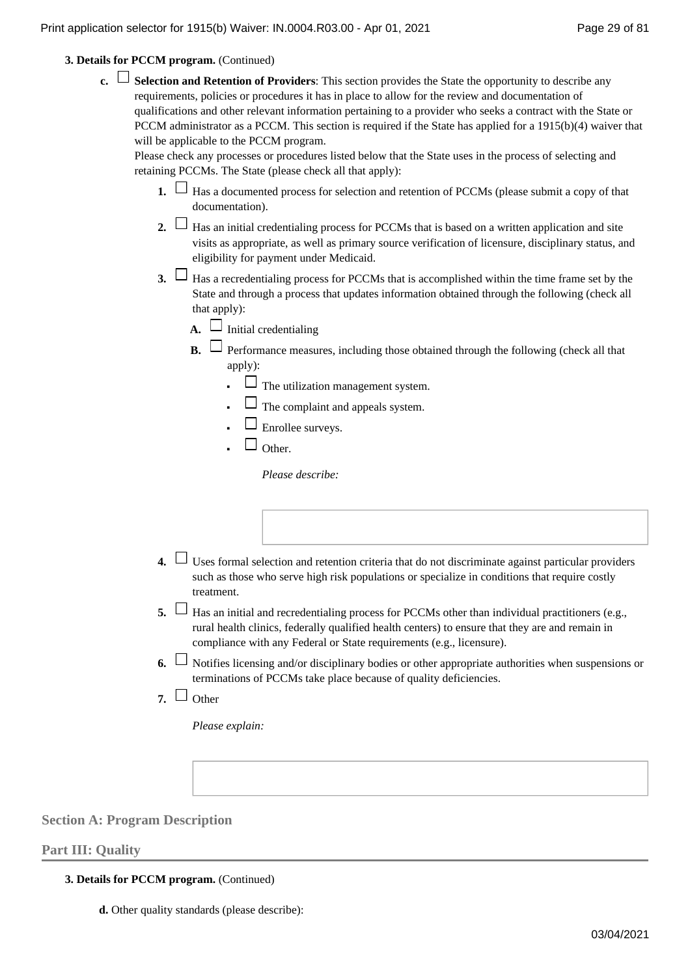**Details for PCCM program.** (Continued) **3.** 

**Selection and Retention of Providers**: This section provides the State the opportunity to describe any **c.**  requirements, policies or procedures it has in place to allow for the review and documentation of qualifications and other relevant information pertaining to a provider who seeks a contract with the State or PCCM administrator as a PCCM. This section is required if the State has applied for a 1915(b)(4) waiver that will be applicable to the PCCM program.

Please check any processes or procedures listed below that the State uses in the process of selecting and retaining PCCMs. The State (please check all that apply):

- **1.**  $\Box$  Has a documented process for selection and retention of PCCMs (please submit a copy of that documentation).
- 2.  $\Box$  Has an initial credentialing process for PCCMs that is based on a written application and site visits as appropriate, as well as primary source verification of licensure, disciplinary status, and eligibility for payment under Medicaid.
- **3.**  $\Box$  Has a recredentialing process for PCCMs that is accomplished within the time frame set by the State and through a process that updates information obtained through the following (check all that apply):
	- $\overline{A}$ .  $\Box$  Initial credentialing
	- **B.**  $\Box$  Performance measures, including those obtained through the following (check all that apply):
		- $\Box$  The utilization management system.
		- $\Box$  The complaint and appeals system.
		- $\Box$  Enrollee surveys.
		- $\Box$  Other **■**

*Please describe:*

- Uses formal selection and retention criteria that do not discriminate against particular providers **4.**  such as those who serve high risk populations or specialize in conditions that require costly treatment.
- 5.  $\Box$  Has an initial and recredentialing process for PCCMs other than individual practitioners (e.g., rural health clinics, federally qualified health centers) to ensure that they are and remain in compliance with any Federal or State requirements (e.g., licensure).
- 6.  $\Box$  Notifies licensing and/or disciplinary bodies or other appropriate authorities when suspensions or terminations of PCCMs take place because of quality deficiencies.
- 7.  $\Box$  Other

*Please explain:*

**Section A: Program Description**

### **Part III: Quality**

### **Details for PCCM program.** (Continued) **3.**

**d.** Other quality standards (please describe):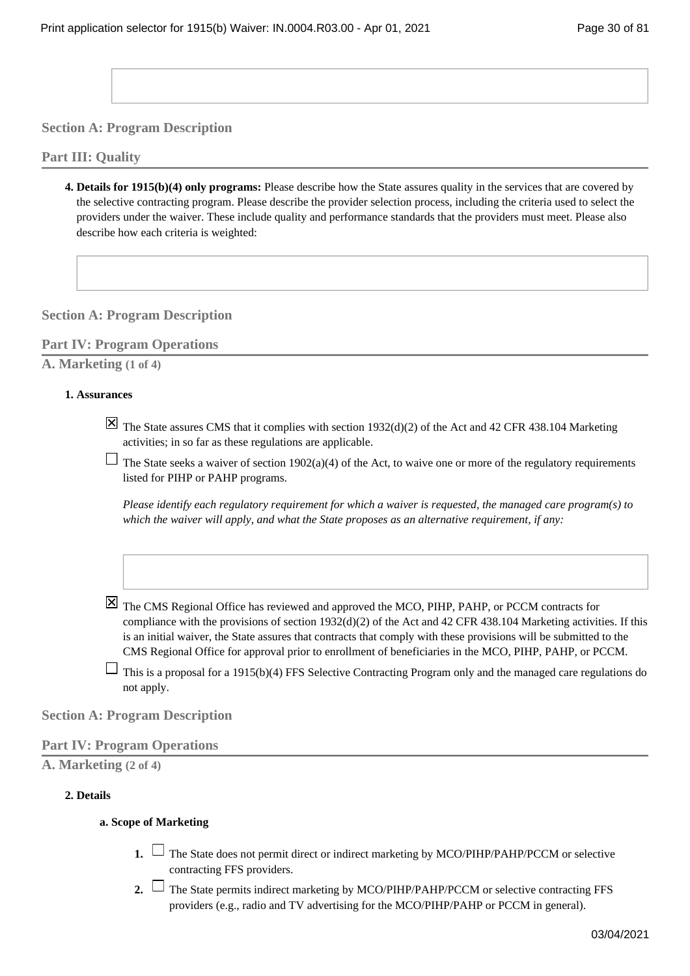**Part III: Quality**

**Details for 1915(b)(4) only programs:** Please describe how the State assures quality in the services that are covered by **4.**  the selective contracting program. Please describe the provider selection process, including the criteria used to select the providers under the waiver. These include quality and performance standards that the providers must meet. Please also describe how each criteria is weighted:

**Section A: Program Description**

**Part IV: Program Operations**

**A. Marketing (1 of 4)**

### **Assurances 1.**

- $\overline{X}$  The State assures CMS that it complies with section 1932(d)(2) of the Act and 42 CFR 438.104 Marketing activities; in so far as these regulations are applicable.
- The State seeks a waiver of section 1902(a)(4) of the Act, to waive one or more of the regulatory requirements listed for PIHP or PAHP programs.

*Please identify each regulatory requirement for which a waiver is requested, the managed care program(s) to which the waiver will apply, and what the State proposes as an alternative requirement, if any:*

- $\boxtimes$  The CMS Regional Office has reviewed and approved the MCO, PIHP, PAHP, or PCCM contracts for compliance with the provisions of section 1932(d)(2) of the Act and 42 CFR 438.104 Marketing activities. If this is an initial waiver, the State assures that contracts that comply with these provisions will be submitted to the CMS Regional Office for approval prior to enrollment of beneficiaries in the MCO, PIHP, PAHP, or PCCM.
- $\Box$  This is a proposal for a 1915(b)(4) FFS Selective Contracting Program only and the managed care regulations do not apply.

**Section A: Program Description**

### **Part IV: Program Operations**

**A. Marketing (2 of 4)**

### **Details 2.**

### **Scope of Marketing a.**

- **1.** □ The State does not permit direct or indirect marketing by MCO/PIHP/PAHP/PCCM or selective contracting FFS providers.
- 2. └ The State permits indirect marketing by MCO/PIHP/PAHP/PCCM or selective contracting FFS providers (e.g., radio and TV advertising for the MCO/PIHP/PAHP or PCCM in general).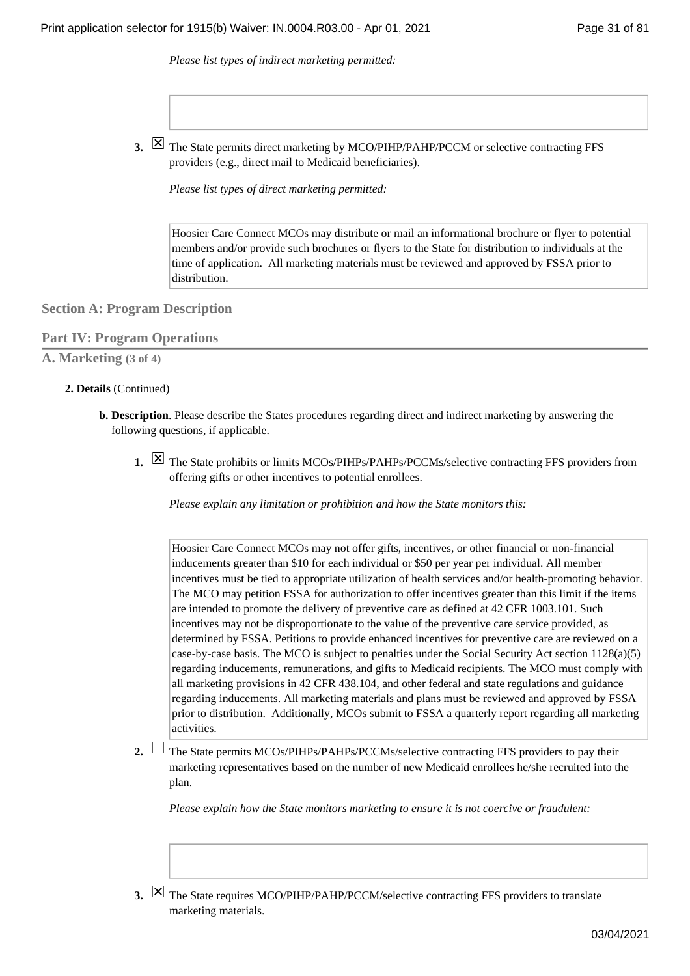*Please list types of indirect marketing permitted:*

The State permits direct marketing by MCO/PIHP/PAHP/PCCM or selective contracting FFS **3.**  providers (e.g., direct mail to Medicaid beneficiaries).

*Please list types of direct marketing permitted:*

Hoosier Care Connect MCOs may distribute or mail an informational brochure or flyer to potential members and/or provide such brochures or flyers to the State for distribution to individuals at the time of application. All marketing materials must be reviewed and approved by FSSA prior to distribution.

**Section A: Program Description**

### **Part IV: Program Operations**

**A. Marketing (3 of 4)**

#### **Details** (Continued) **2.**

- **Description**. Please describe the States procedures regarding direct and indirect marketing by answering the **b.**  following questions, if applicable.
	- I. I The State prohibits or limits MCOs/PIHPs/PAHPs/PCCMs/selective contracting FFS providers from offering gifts or other incentives to potential enrollees.

*Please explain any limitation or prohibition and how the State monitors this:*

Hoosier Care Connect MCOs may not offer gifts, incentives, or other financial or non-financial inducements greater than \$10 for each individual or \$50 per year per individual. All member incentives must be tied to appropriate utilization of health services and/or health-promoting behavior. The MCO may petition FSSA for authorization to offer incentives greater than this limit if the items are intended to promote the delivery of preventive care as defined at 42 CFR 1003.101. Such incentives may not be disproportionate to the value of the preventive care service provided, as determined by FSSA. Petitions to provide enhanced incentives for preventive care are reviewed on a case-by-case basis. The MCO is subject to penalties under the Social Security Act section 1128(a)(5) regarding inducements, remunerations, and gifts to Medicaid recipients. The MCO must comply with all marketing provisions in 42 CFR 438.104, and other federal and state regulations and guidance regarding inducements. All marketing materials and plans must be reviewed and approved by FSSA prior to distribution. Additionally, MCOs submit to FSSA a quarterly report regarding all marketing activities.

The State permits MCOs/PIHPs/PAHPs/PCCMs/selective contracting FFS providers to pay their **2.**  marketing representatives based on the number of new Medicaid enrollees he/she recruited into the plan.

*Please explain how the State monitors marketing to ensure it is not coercive or fraudulent:*

In The State requires MCO/PIHP/PAHP/PCCM/selective contracting FFS providers to translate marketing materials.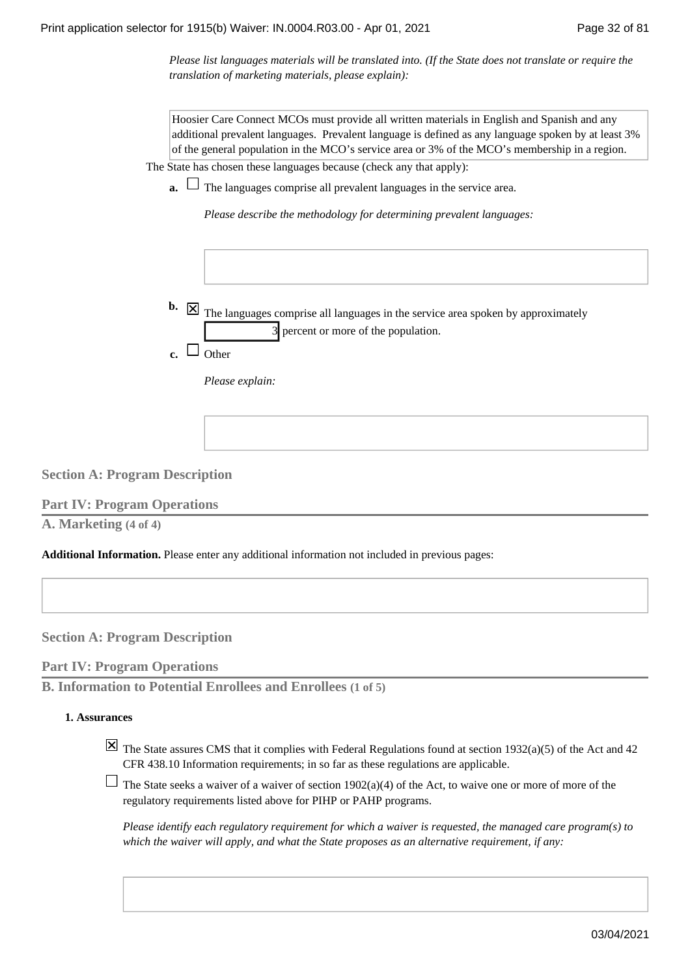*Please list languages materials will be translated into. (If the State does not translate or require the translation of marketing materials, please explain):*

Hoosier Care Connect MCOs must provide all written materials in English and Spanish and any additional prevalent languages. Prevalent language is defined as any language spoken by at least 3% of the general population in the MCO's service area or 3% of the MCO's membership in a region.

The State has chosen these languages because (check any that apply):

**a.**  $\Box$  The languages comprise all prevalent languages in the service area.

*Please describe the methodology for determining prevalent languages:*

|    | <b>b.</b> $\boxed{\times}$ The languages comprise all languages in the service area spoken by approximately |
|----|-------------------------------------------------------------------------------------------------------------|
|    | 3 percent or more of the population.                                                                        |
| c. |                                                                                                             |

*Please explain:*

**Section A: Program Description**

**Part IV: Program Operations**

**A. Marketing (4 of 4)**

**Additional Information.** Please enter any additional information not included in previous pages:

**Section A: Program Description**

**Part IV: Program Operations**

**B. Information to Potential Enrollees and Enrollees (1 of 5)**

### **Assurances 1.**

- $\boxtimes$  The State assures CMS that it complies with Federal Regulations found at section 1932(a)(5) of the Act and 42 CFR 438.10 Information requirements; in so far as these regulations are applicable.
- $\Box$  The State seeks a waiver of a waiver of section 1902(a)(4) of the Act, to waive one or more of more of the regulatory requirements listed above for PIHP or PAHP programs.

*Please identify each regulatory requirement for which a waiver is requested, the managed care program(s) to which the waiver will apply, and what the State proposes as an alternative requirement, if any:*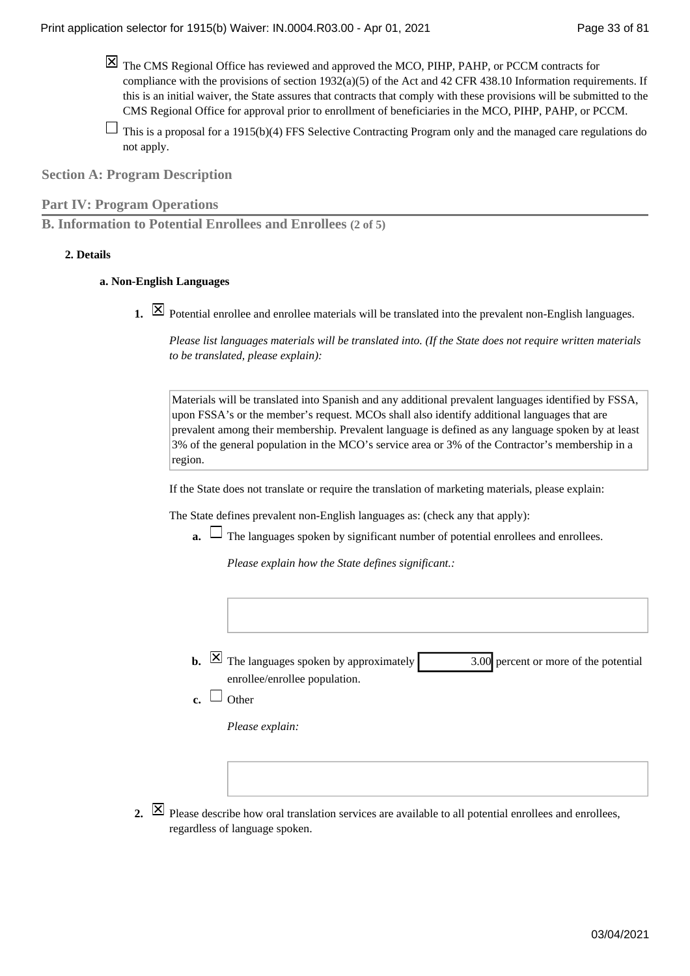- The CMS Regional Office has reviewed and approved the MCO, PIHP, PAHP, or PCCM contracts for compliance with the provisions of section  $1932(a)(5)$  of the Act and 42 CFR 438.10 Information requirements. If this is an initial waiver, the State assures that contracts that comply with these provisions will be submitted to the CMS Regional Office for approval prior to enrollment of beneficiaries in the MCO, PIHP, PAHP, or PCCM.
- $\Box$  This is a proposal for a 1915(b)(4) FFS Selective Contracting Program only and the managed care regulations do not apply.

**Part IV: Program Operations**

**B. Information to Potential Enrollees and Enrollees (2 of 5)**

### **Details 2.**

### **Non-English Languages a.**

Potential enrollee and enrollee materials will be translated into the prevalent non-English languages.

*Please list languages materials will be translated into. (If the State does not require written materials to be translated, please explain):*

Materials will be translated into Spanish and any additional prevalent languages identified by FSSA, upon FSSA's or the member's request. MCOs shall also identify additional languages that are prevalent among their membership. Prevalent language is defined as any language spoken by at least 3% of the general population in the MCO's service area or 3% of the Contractor's membership in a region.

If the State does not translate or require the translation of marketing materials, please explain:

The State defines prevalent non-English languages as: (check any that apply):

**a.** └ The languages spoken by significant number of potential enrollees and enrollees.

*Please explain how the State defines significant.:*

3.00 percent or more of the potential enrollee/enrollee population. **b.**  $\boxed{\times}$  The languages spoken by approximately

 $\mathbf{c}$ .  $\Box$  Other

*Please explain:*

Please describe how oral translation services are available to all potential enrollees and enrollees, **2.**  regardless of language spoken.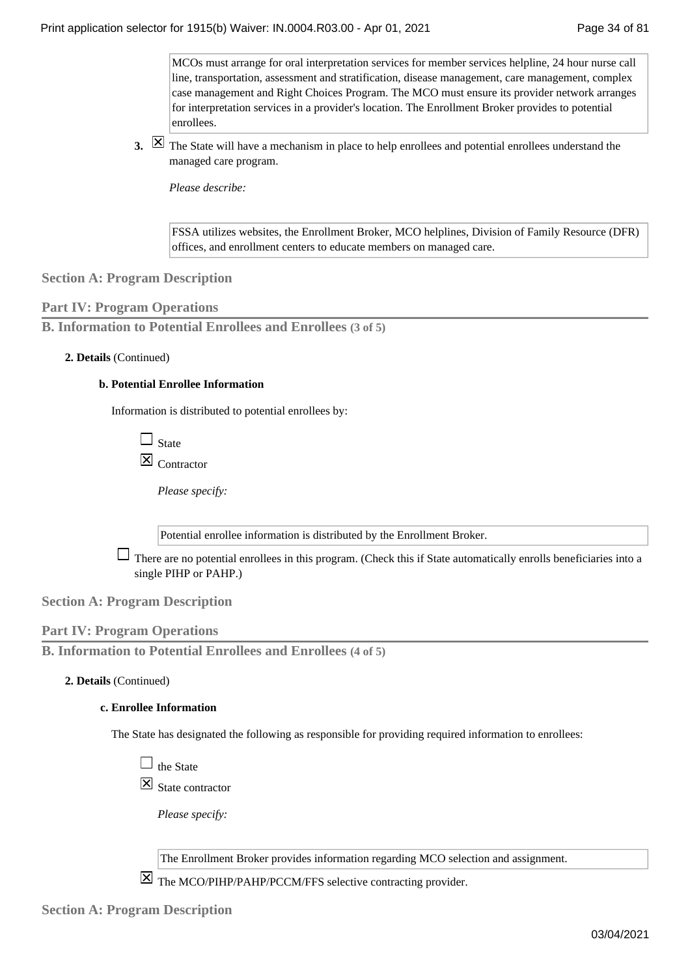MCOs must arrange for oral interpretation services for member services helpline, 24 hour nurse call line, transportation, assessment and stratification, disease management, care management, complex case management and Right Choices Program. The MCO must ensure its provider network arranges for interpretation services in a provider's location. The Enrollment Broker provides to potential enrollees.

The State will have a mechanism in place to help enrollees and potential enrollees understand the **3.**  managed care program.

*Please describe:*

FSSA utilizes websites, the Enrollment Broker, MCO helplines, Division of Family Resource (DFR) offices, and enrollment centers to educate members on managed care.

### **Section A: Program Description**

### **Part IV: Program Operations**

**B. Information to Potential Enrollees and Enrollees (3 of 5)**

### **Details** (Continued) **2.**

### **Potential Enrollee Information b.**

Information is distributed to potential enrollees by:

 $\Box$  State  $\overline{\mathsf{X}}$  Contractor

*Please specify:*

Potential enrollee information is distributed by the Enrollment Broker.

 $\Box$  There are no potential enrollees in this program. (Check this if State automatically enrolls beneficiaries into a single PIHP or PAHP.)

**Section A: Program Description**

### **Part IV: Program Operations**

**B. Information to Potential Enrollees and Enrollees (4 of 5)**

### **Details** (Continued) **2.**

### **Enrollee Information c.**

The State has designated the following as responsible for providing required information to enrollees:

 $\Box$  the State

 $\boxtimes$  State contractor

*Please specify:*

The Enrollment Broker provides information regarding MCO selection and assignment.

The MCO/PIHP/PAHP/PCCM/FFS selective contracting provider.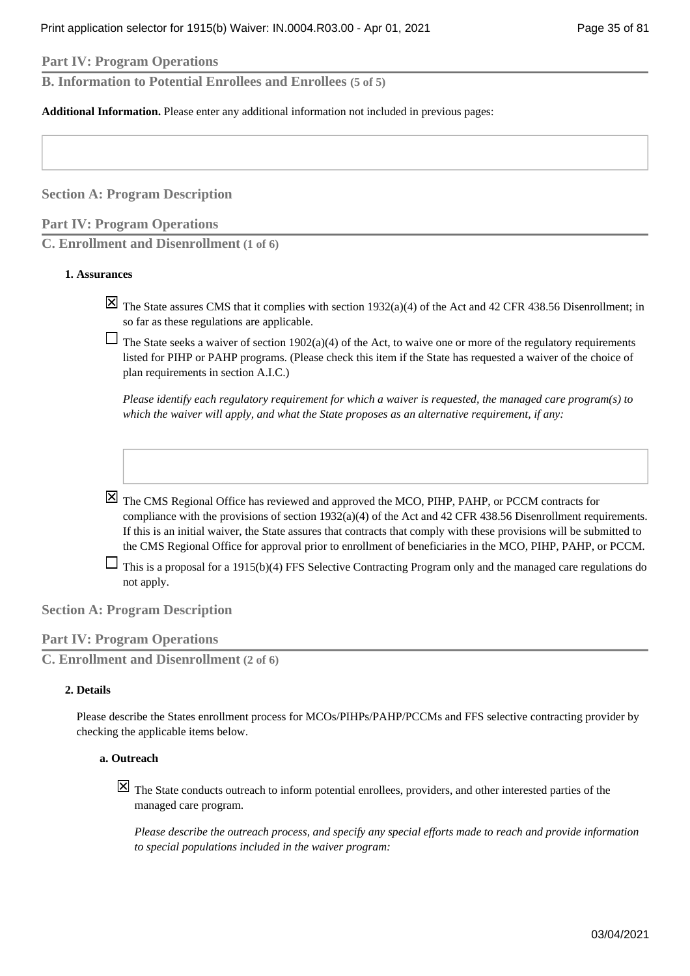**Part IV: Program Operations**

**B. Information to Potential Enrollees and Enrollees (5 of 5)**

**Additional Information.** Please enter any additional information not included in previous pages:

**Section A: Program Description**

**Part IV: Program Operations**

**C. Enrollment and Disenrollment (1 of 6)**

#### **Assurances 1.**

 $\boxtimes$  The State assures CMS that it complies with section 1932(a)(4) of the Act and 42 CFR 438.56 Disenrollment; in so far as these regulations are applicable.

 $\Box$  The State seeks a waiver of section 1902(a)(4) of the Act, to waive one or more of the regulatory requirements listed for PIHP or PAHP programs. (Please check this item if the State has requested a waiver of the choice of plan requirements in section A.I.C.)

*Please identify each regulatory requirement for which a waiver is requested, the managed care program(s) to which the waiver will apply, and what the State proposes as an alternative requirement, if any:*

 $\boxtimes$  The CMS Regional Office has reviewed and approved the MCO, PIHP, PAHP, or PCCM contracts for compliance with the provisions of section 1932(a)(4) of the Act and 42 CFR 438.56 Disenrollment requirements. If this is an initial waiver, the State assures that contracts that comply with these provisions will be submitted to the CMS Regional Office for approval prior to enrollment of beneficiaries in the MCO, PIHP, PAHP, or PCCM.

 $\Box$  This is a proposal for a 1915(b)(4) FFS Selective Contracting Program only and the managed care regulations do not apply.

### **Section A: Program Description**

### **Part IV: Program Operations**

**C. Enrollment and Disenrollment (2 of 6)**

#### **Details 2.**

Please describe the States enrollment process for MCOs/PIHPs/PAHP/PCCMs and FFS selective contracting provider by checking the applicable items below.

#### **Outreach a.**

 $[\overline{\mathsf{X}}]$  The State conducts outreach to inform potential enrollees, providers, and other interested parties of the managed care program.

*Please describe the outreach process, and specify any special efforts made to reach and provide information to special populations included in the waiver program:*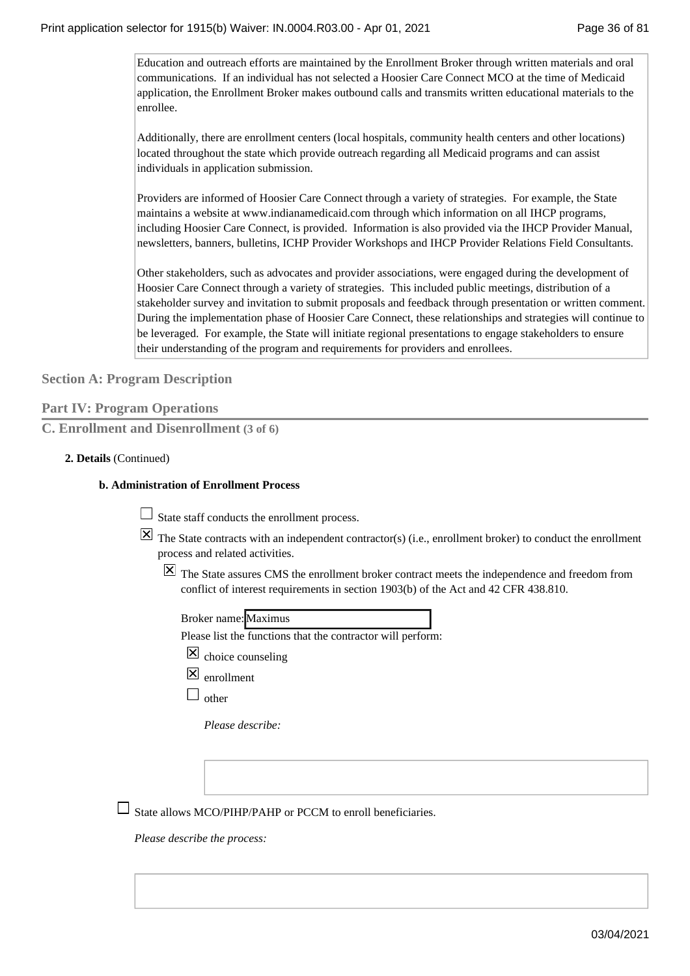Education and outreach efforts are maintained by the Enrollment Broker through written materials and oral communications. If an individual has not selected a Hoosier Care Connect MCO at the time of Medicaid application, the Enrollment Broker makes outbound calls and transmits written educational materials to the enrollee.

Additionally, there are enrollment centers (local hospitals, community health centers and other locations) located throughout the state which provide outreach regarding all Medicaid programs and can assist individuals in application submission.

Providers are informed of Hoosier Care Connect through a variety of strategies. For example, the State maintains a website at www.indianamedicaid.com through which information on all IHCP programs, including Hoosier Care Connect, is provided. Information is also provided via the IHCP Provider Manual, newsletters, banners, bulletins, ICHP Provider Workshops and IHCP Provider Relations Field Consultants.

Other stakeholders, such as advocates and provider associations, were engaged during the development of Hoosier Care Connect through a variety of strategies. This included public meetings, distribution of a stakeholder survey and invitation to submit proposals and feedback through presentation or written comment. During the implementation phase of Hoosier Care Connect, these relationships and strategies will continue to be leveraged. For example, the State will initiate regional presentations to engage stakeholders to ensure their understanding of the program and requirements for providers and enrollees.

**Section A: Program Description**

|  |  |  | <b>Part IV: Program Operations</b> |
|--|--|--|------------------------------------|
|--|--|--|------------------------------------|

**C. Enrollment and Disenrollment (3 of 6)**

### **Details** (Continued) **2.**

### **Administration of Enrollment Process b.**

State staff conducts the enrollment process.

- $\boxtimes$  The State contracts with an independent contractor(s) (i.e., enrollment broker) to conduct the enrollment process and related activities.
	- $\overline{X}$  The State assures CMS the enrollment broker contract meets the independence and freedom from conflict of interest requirements in section 1903(b) of the Act and 42 CFR 438.810.

Please list the functions that the contractor will perform:

- $\boxtimes$  choice counseling
- $\overline{X}$  enrollment
- $\square$  other

*Please describe:*

 $\Box$  State allows MCO/PIHP/PAHP or PCCM to enroll beneficiaries.

*Please describe the process:*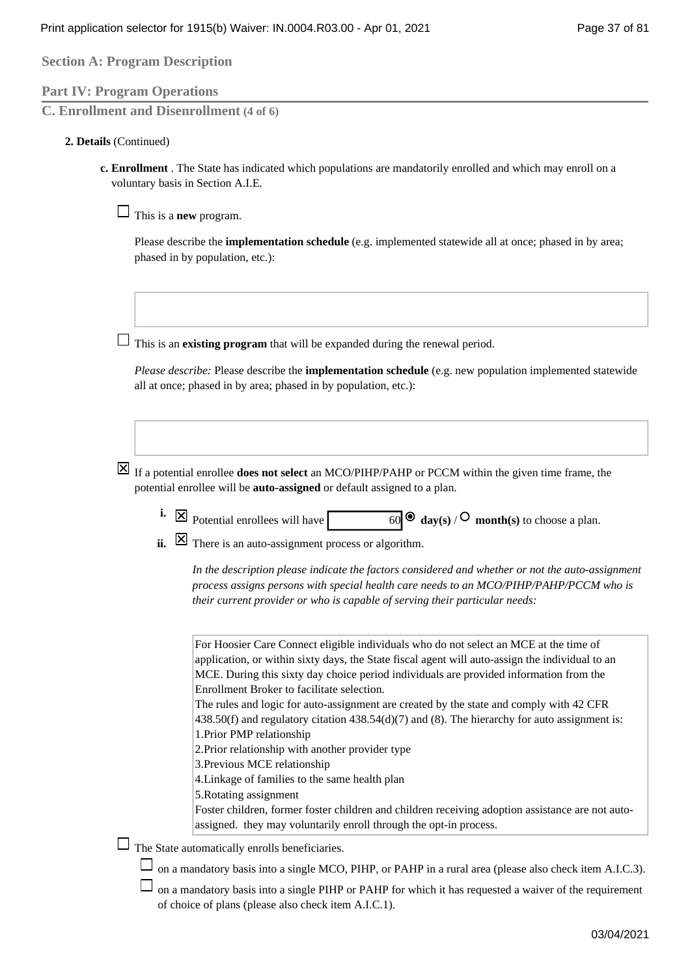**Section A: Program Description**

# **Part IV: Program Operations**

**C. Enrollment and Disenrollment (4 of 6)**

### **Details** (Continued) **2.**

**Enrollment** . The State has indicated which populations are mandatorily enrolled and which may enroll on a **c.**  voluntary basis in Section A.I.E.

 $\Box$  This is a **new** program.

Please describe the **implementation schedule** (e.g. implemented statewide all at once; phased in by area; phased in by population, etc.):

This is an **existing program** that will be expanded during the renewal period.

*Please describe:* Please describe the **implementation schedule** (e.g. new population implemented statewide all at once; phased in by area; phased in by population, etc.):

- $\boxed{\times}$  If a potential enrollee **does not select** an MCO/PIHP/PAHP or PCCM within the given time frame, the potential enrollee will be **auto-assigned** or default assigned to a plan.
	- Potential enrollees will have 60 **day(s)** / **month(s)** to choose a plan. **i.**
	- There is an auto-assignment process or algorithm. **ii.**

*In the description please indicate the factors considered and whether or not the auto-assignment process assigns persons with special health care needs to an MCO/PIHP/PAHP/PCCM who is their current provider or who is capable of serving their particular needs:*

| For Hoosier Care Connect eligible individuals who do not select an MCE at the time of                   |
|---------------------------------------------------------------------------------------------------------|
| application, or within sixty days, the State fiscal agent will auto-assign the individual to an         |
| MCE. During this sixty day choice period individuals are provided information from the                  |
| Enrollment Broker to facilitate selection.                                                              |
| The rules and logic for auto-assignment are created by the state and comply with 42 CFR                 |
| $438.50(f)$ and regulatory citation $438.54(d)(7)$ and (8). The hierarchy for auto assignment is:       |
| 1. Prior PMP relationship                                                                               |
| 2. Prior relationship with another provider type                                                        |
| 3. Previous MCE relationship                                                                            |
| 4. Linkage of families to the same health plan                                                          |
| 5. Rotating assignment                                                                                  |
| Foster children, former foster children and children receiving adoption assistance are not auto-        |
| assigned. they may voluntarily enroll through the opt-in process.                                       |
| The State automatically enrolls beneficiaries.                                                          |
|                                                                                                         |
| on a mandatory basis into a single MCO, PIHP, or PAHP in a rural area (please also check item A.I.C.3). |
| on a mandatory basis into a single PIHP or PAHP for which it has requested a waiver of the requirement  |
| of choice of plans (please also check item A.I.C.1).                                                    |
|                                                                                                         |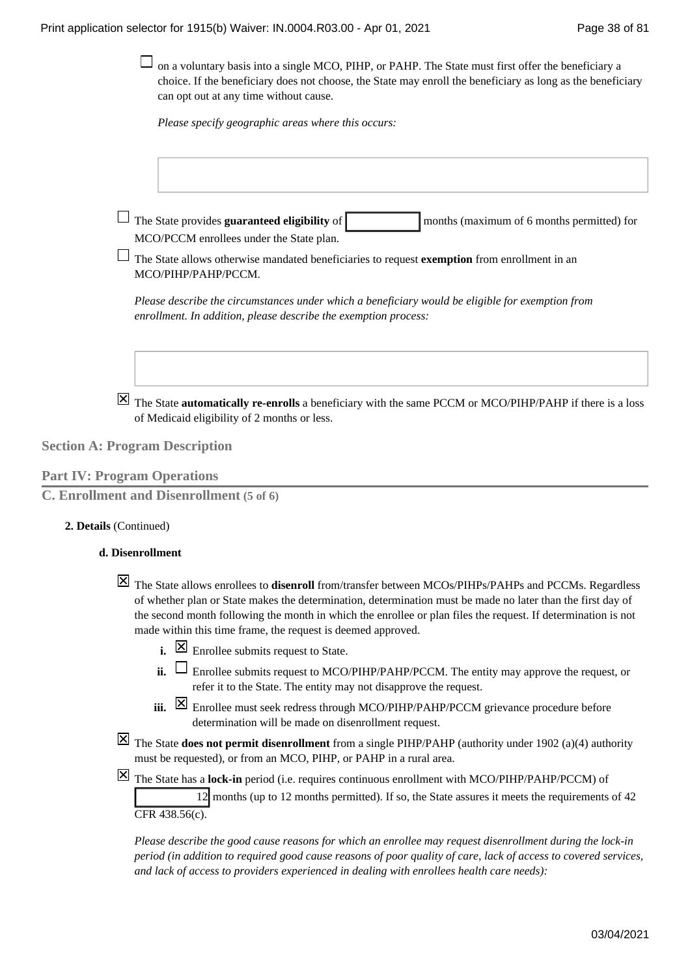$\Box$  on a voluntary basis into a single MCO, PIHP, or PAHP. The State must first offer the beneficiary a choice. If the beneficiary does not choose, the State may enroll the beneficiary as long as the beneficiary can opt out at any time without cause.

*Please specify geographic areas where this occurs:*

 $\Box$  The State provides **guaranteed eligibility** of months (maximum of 6 months permitted) for MCO/PCCM enrollees under the State plan.

The State allows otherwise mandated beneficiaries to request **exemption** from enrollment in an MCO/PIHP/PAHP/PCCM.

*Please describe the circumstances under which a beneficiary would be eligible for exemption from enrollment. In addition, please describe the exemption process:*

The State **automatically re-enrolls** a beneficiary with the same PCCM or MCO/PIHP/PAHP if there is a loss of Medicaid eligibility of 2 months or less.

**Section A: Program Description**

**Part IV: Program Operations**

**C. Enrollment and Disenrollment (5 of 6)**

### **Details** (Continued) **2.**

### **Disenrollment d.**

- The State allows enrollees to **disenroll** from/transfer between MCOs/PIHPs/PAHPs and PCCMs. Regardless of whether plan or State makes the determination, determination must be made no later than the first day of the second month following the month in which the enrollee or plan files the request. If determination is not made within this time frame, the request is deemed approved.
	- **i.**  $\boxed{\times}$  Enrollee submits request to State.
	- $\mathbf{ii.}$   $\Box$  Enrollee submits request to MCO/PIHP/PAHP/PCCM. The entity may approve the request, or refer it to the State. The entity may not disapprove the request.
	- Enrollee must seek redress through MCO/PIHP/PAHP/PCCM grievance procedure before **iii.**  determination will be made on disenrollment request.
- The State **does not permit disenrollment** from a single PIHP/PAHP (authority under 1902 (a)(4) authority must be requested), or from an MCO, PIHP, or PAHP in a rural area.
- The State has a **lock-in** period (i.e. requires continuous enrollment with MCO/PIHP/PAHP/PCCM) of

12 months (up to 12 months permitted). If so, the State assures it meets the requirements of 42 CFR 438.56(c).

*Please describe the good cause reasons for which an enrollee may request disenrollment during the lock-in period (in addition to required good cause reasons of poor quality of care, lack of access to covered services, and lack of access to providers experienced in dealing with enrollees health care needs):*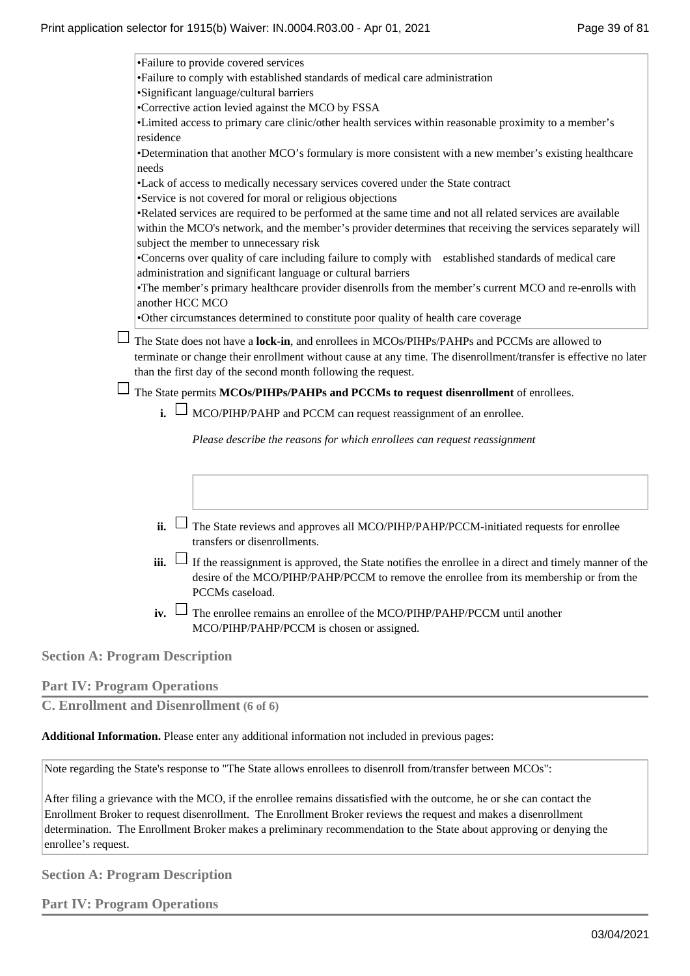|                 | •Failure to provide covered services                                                                                                                                                                                |
|-----------------|---------------------------------------------------------------------------------------------------------------------------------------------------------------------------------------------------------------------|
|                 | •Failure to comply with established standards of medical care administration                                                                                                                                        |
|                 | •Significant language/cultural barriers                                                                                                                                                                             |
|                 | •Corrective action levied against the MCO by FSSA                                                                                                                                                                   |
| residence       | •Limited access to primary care clinic/other health services within reasonable proximity to a member's                                                                                                              |
| needs           | •Determination that another MCO's formulary is more consistent with a new member's existing healthcare                                                                                                              |
|                 | •Lack of access to medically necessary services covered under the State contract                                                                                                                                    |
|                 | •Service is not covered for moral or religious objections                                                                                                                                                           |
|                 | •Related services are required to be performed at the same time and not all related services are available                                                                                                          |
|                 | within the MCO's network, and the member's provider determines that receiving the services separately will<br>subject the member to unnecessary risk                                                                |
|                 | •Concerns over quality of care including failure to comply with established standards of medical care<br>administration and significant language or cultural barriers                                               |
| another HCC MCO | •The member's primary healthcare provider disenrolls from the member's current MCO and re-enrolls with                                                                                                              |
|                 | •Other circumstances determined to constitute poor quality of health care coverage                                                                                                                                  |
|                 | terminate or change their enrollment without cause at any time. The disenrollment/transfer is effective no later<br>than the first day of the second month following the request.                                   |
|                 | The State permits MCOs/PIHPs/PAHPs and PCCMs to request disenrollment of enrollees.                                                                                                                                 |
| $\mathbf{i}$ L  | MCO/PIHP/PAHP and PCCM can request reassignment of an enrollee.                                                                                                                                                     |
|                 | Please describe the reasons for which enrollees can request reassignment                                                                                                                                            |
|                 |                                                                                                                                                                                                                     |
|                 |                                                                                                                                                                                                                     |
| $\mathbf{ii}$ . | The State reviews and approves all MCO/PIHP/PAHP/PCCM-initiated requests for enrollee                                                                                                                               |
|                 | transfers or disenrollments.                                                                                                                                                                                        |
| iii.            | If the reassignment is approved, the State notifies the enrollee in a direct and timely manner of the<br>desire of the MCO/PIHP/PAHP/PCCM to remove the enrollee from its membership or from the<br>PCCMs caseload. |
| iv.             | The enrollee remains an enrollee of the MCO/PIHP/PAHP/PCCM until another<br>MCO/PIHP/PAHP/PCCM is chosen or assigned.                                                                                               |
|                 |                                                                                                                                                                                                                     |

**Section A: Program Description**

# **Part IV: Program Operations**

**C. Enrollment and Disenrollment (6 of 6)**

**Additional Information.** Please enter any additional information not included in previous pages:

Note regarding the State's response to "The State allows enrollees to disenroll from/transfer between MCOs":

After filing a grievance with the MCO, if the enrollee remains dissatisfied with the outcome, he or she can contact the Enrollment Broker to request disenrollment. The Enrollment Broker reviews the request and makes a disenrollment determination. The Enrollment Broker makes a preliminary recommendation to the State about approving or denying the enrollee's request.

**Section A: Program Description**

**Part IV: Program Operations**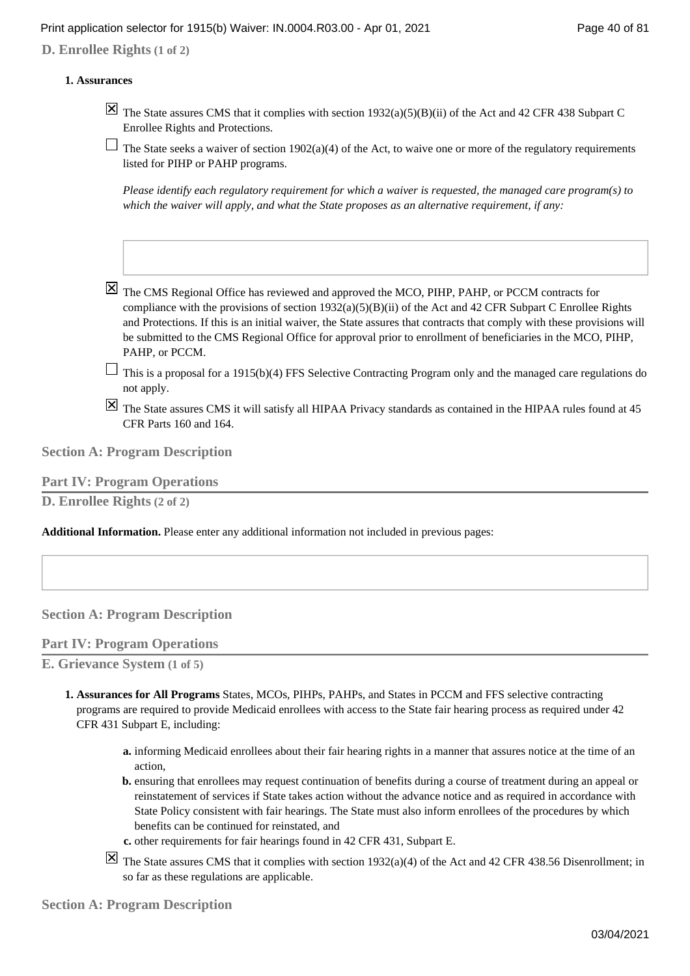## Print application selector for 1915(b) Waiver: IN.0004.R03.00 - Apr 01, 2021 Page 40 of 81

**D. Enrollee Rights (1 of 2)**

### **Assurances 1.**

- $\overline{X}$  The State assures CMS that it complies with section 1932(a)(5)(B)(ii) of the Act and 42 CFR 438 Subpart C Enrollee Rights and Protections.
- $\Box$  The State seeks a waiver of section 1902(a)(4) of the Act, to waive one or more of the regulatory requirements listed for PIHP or PAHP programs.

*Please identify each regulatory requirement for which a waiver is requested, the managed care program(s) to which the waiver will apply, and what the State proposes as an alternative requirement, if any:*

- $\boxtimes$  The CMS Regional Office has reviewed and approved the MCO, PIHP, PAHP, or PCCM contracts for compliance with the provisions of section  $1932(a)(5)(B)(ii)$  of the Act and 42 CFR Subpart C Enrollee Rights and Protections. If this is an initial waiver, the State assures that contracts that comply with these provisions will be submitted to the CMS Regional Office for approval prior to enrollment of beneficiaries in the MCO, PIHP, PAHP, or PCCM.
- $\Box$  This is a proposal for a 1915(b)(4) FFS Selective Contracting Program only and the managed care regulations do not apply.
- The State assures CMS it will satisfy all HIPAA Privacy standards as contained in the HIPAA rules found at 45 CFR Parts 160 and 164.

**Section A: Program Description**

### **Part IV: Program Operations**

**D. Enrollee Rights (2 of 2)**

**Additional Information.** Please enter any additional information not included in previous pages:

### **Section A: Program Description**

### **Part IV: Program Operations**

**E. Grievance System (1 of 5)**

- **Assurances for All Programs** States, MCOs, PIHPs, PAHPs, and States in PCCM and FFS selective contracting **1.**  programs are required to provide Medicaid enrollees with access to the State fair hearing process as required under 42 CFR 431 Subpart E, including:
	- informing Medicaid enrollees about their fair hearing rights in a manner that assures notice at the time of an **a.**  action,
	- **b.** ensuring that enrollees may request continuation of benefits during a course of treatment during an appeal or reinstatement of services if State takes action without the advance notice and as required in accordance with State Policy consistent with fair hearings. The State must also inform enrollees of the procedures by which benefits can be continued for reinstated, and
	- **c.** other requirements for fair hearings found in 42 CFR 431, Subpart E.
	- $\boxed{\times}$  The State assures CMS that it complies with section 1932(a)(4) of the Act and 42 CFR 438.56 Disenrollment; in so far as these regulations are applicable.

**Section A: Program Description**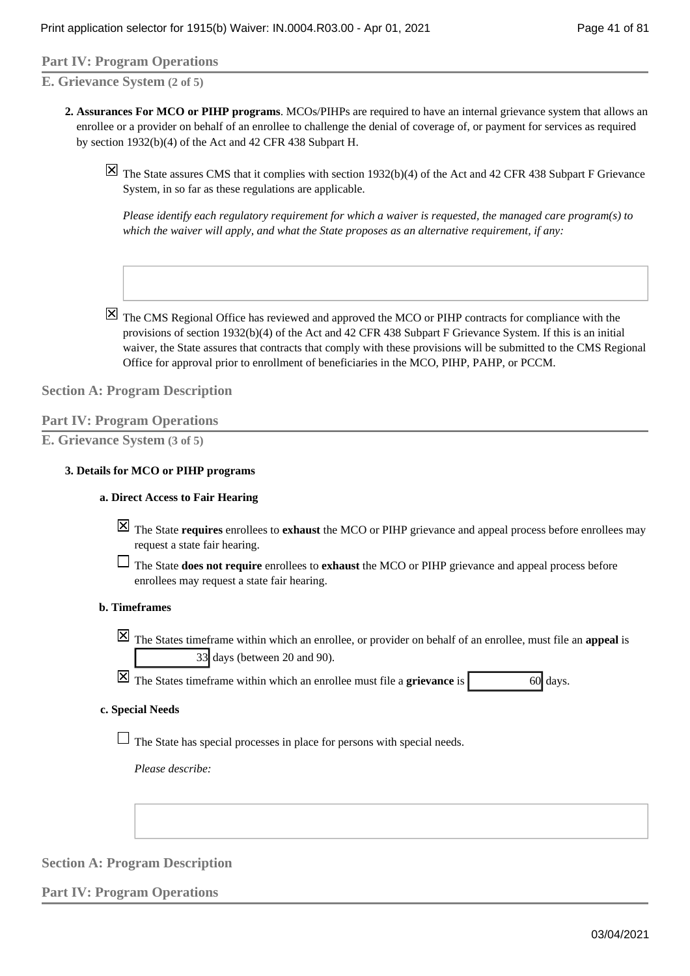# **Part IV: Program Operations**

**E. Grievance System (2 of 5)**

**Assurances For MCO or PIHP programs**. MCOs/PIHPs are required to have an internal grievance system that allows an **2.**  enrollee or a provider on behalf of an enrollee to challenge the denial of coverage of, or payment for services as required by section 1932(b)(4) of the Act and 42 CFR 438 Subpart H.

 $\overline{X}$  The State assures CMS that it complies with section 1932(b)(4) of the Act and 42 CFR 438 Subpart F Grievance System, in so far as these regulations are applicable.

*Please identify each regulatory requirement for which a waiver is requested, the managed care program(s) to which the waiver will apply, and what the State proposes as an alternative requirement, if any:*

 $\overline{X}$  The CMS Regional Office has reviewed and approved the MCO or PIHP contracts for compliance with the provisions of section 1932(b)(4) of the Act and 42 CFR 438 Subpart F Grievance System. If this is an initial waiver, the State assures that contracts that comply with these provisions will be submitted to the CMS Regional Office for approval prior to enrollment of beneficiaries in the MCO, PIHP, PAHP, or PCCM.

### **Section A: Program Description**

### **Part IV: Program Operations**

**E. Grievance System (3 of 5)**

### **Details for MCO or PIHP programs 3.**

### **Direct Access to Fair Hearing a.**

- The State **requires** enrollees to **exhaust** the MCO or PIHP grievance and appeal process before enrollees may request a state fair hearing.
- The State **does not require** enrollees to **exhaust** the MCO or PIHP grievance and appeal process before enrollees may request a state fair hearing.

### **Timeframes b.**

The States timeframe within which an enrollee, or provider on behalf of an enrollee, must file an **appeal** is 33 days (between 20 and 90).

 $\boxed{\times}$  The States timeframe within which an enrollee must file a **grievance** is 60 days.

### **Special Needs c.**

 $\Box$  The State has special processes in place for persons with special needs.

*Please describe:*

# **Section A: Program Description**

## **Part IV: Program Operations**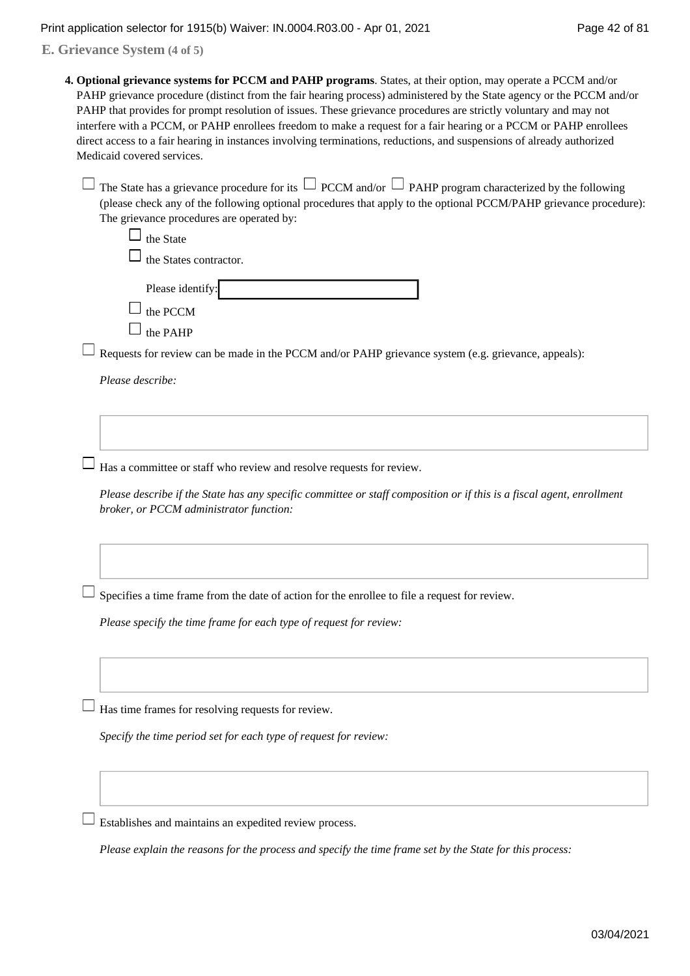**E. Grievance System (4 of 5)**

**Optional grievance systems for PCCM and PAHP programs**. States, at their option, may operate a PCCM and/or **4.**  PAHP grievance procedure (distinct from the fair hearing process) administered by the State agency or the PCCM and/or PAHP that provides for prompt resolution of issues. These grievance procedures are strictly voluntary and may not interfere with a PCCM, or PAHP enrollees freedom to make a request for a fair hearing or a PCCM or PAHP enrollees direct access to a fair hearing in instances involving terminations, reductions, and suspensions of already authorized Medicaid covered services.

| $\Box$ The State has a grievance procedure for its $\Box$ PCCM and/or $\Box$ PAHP program characterized by the following |
|--------------------------------------------------------------------------------------------------------------------------|
| (please check any of the following optional procedures that apply to the optional PCCM/PAHP grievance procedure):        |
| The grievance procedures are operated by:                                                                                |

| uiv waa<br>the States contractor. |
|-----------------------------------|
| Please identify:                  |
| $\perp$ the PCCM                  |
| the PAHP                          |
|                                   |

 $\Box$  Requests for review can be made in the PCCM and/or PAHP grievance system (e.g. grievance, appeals):

*Please describe:*

 $\Box$  the State

 $\Box$  Has a committee or staff who review and resolve requests for review.

*Please describe if the State has any specific committee or staff composition or if this is a fiscal agent, enrollment broker, or PCCM administrator function:*

 $\Box$  Specifies a time frame from the date of action for the enrollee to file a request for review.

*Please specify the time frame for each type of request for review:*

 $\Box$  Has time frames for resolving requests for review.

*Specify the time period set for each type of request for review:*

 $\Box$  Establishes and maintains an expedited review process.

*Please explain the reasons for the process and specify the time frame set by the State for this process:*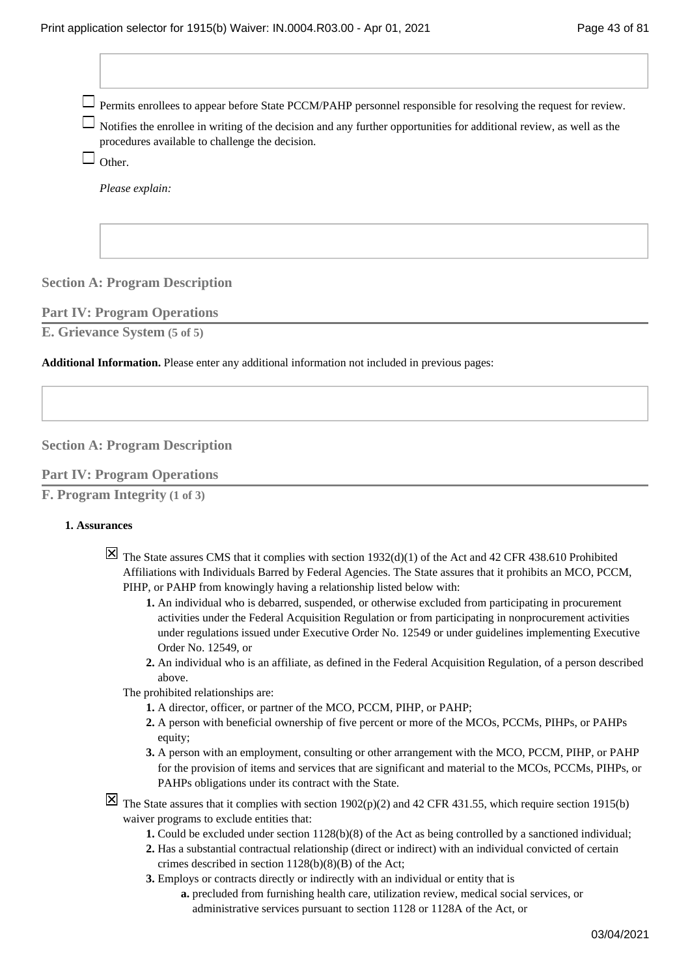Permits enrollees to appear before State PCCM/PAHP personnel responsible for resolving the request for review.

 $\Box$  Notifies the enrollee in writing of the decision and any further opportunities for additional review, as well as the procedures available to challenge the decision.

 $\Box$  Other.

*Please explain:*

# **Section A: Program Description**

### **Part IV: Program Operations**

**E. Grievance System (5 of 5)**

**Additional Information.** Please enter any additional information not included in previous pages:

### **Section A: Program Description**

### **Part IV: Program Operations**

```
F. Program Integrity (1 of 3)
```
### **Assurances 1.**

- $\boxed{\boxtimes}$  The State assures CMS that it complies with section 1932(d)(1) of the Act and 42 CFR 438.610 Prohibited Affiliations with Individuals Barred by Federal Agencies. The State assures that it prohibits an MCO, PCCM, PIHP, or PAHP from knowingly having a relationship listed below with:
	- An individual who is debarred, suspended, or otherwise excluded from participating in procurement **1.**  activities under the Federal Acquisition Regulation or from participating in nonprocurement activities under regulations issued under Executive Order No. 12549 or under guidelines implementing Executive Order No. 12549, or
	- An individual who is an affiliate, as defined in the Federal Acquisition Regulation, of a person described **2.**  above.
	- The prohibited relationships are:
		- **1.** A director, officer, or partner of the MCO, PCCM, PIHP, or PAHP;
		- A person with beneficial ownership of five percent or more of the MCOs, PCCMs, PIHPs, or PAHPs **2.**  equity;
		- A person with an employment, consulting or other arrangement with the MCO, PCCM, PIHP, or PAHP **3.**  for the provision of items and services that are significant and material to the MCOs, PCCMs, PIHPs, or PAHPs obligations under its contract with the State.
- $\overline{X}$  The State assures that it complies with section 1902(p)(2) and 42 CFR 431.55, which require section 1915(b) waiver programs to exclude entities that:
	- **1.** Could be excluded under section 1128(b)(8) of the Act as being controlled by a sanctioned individual;
	- 2. Has a substantial contractual relationship (direct or indirect) with an individual convicted of certain crimes described in section  $1128(b)(8)(B)$  of the Act;
	- Employs or contracts directly or indirectly with an individual or entity that is **3.** 
		- a. precluded from furnishing health care, utilization review, medical social services, or administrative services pursuant to section 1128 or 1128A of the Act, or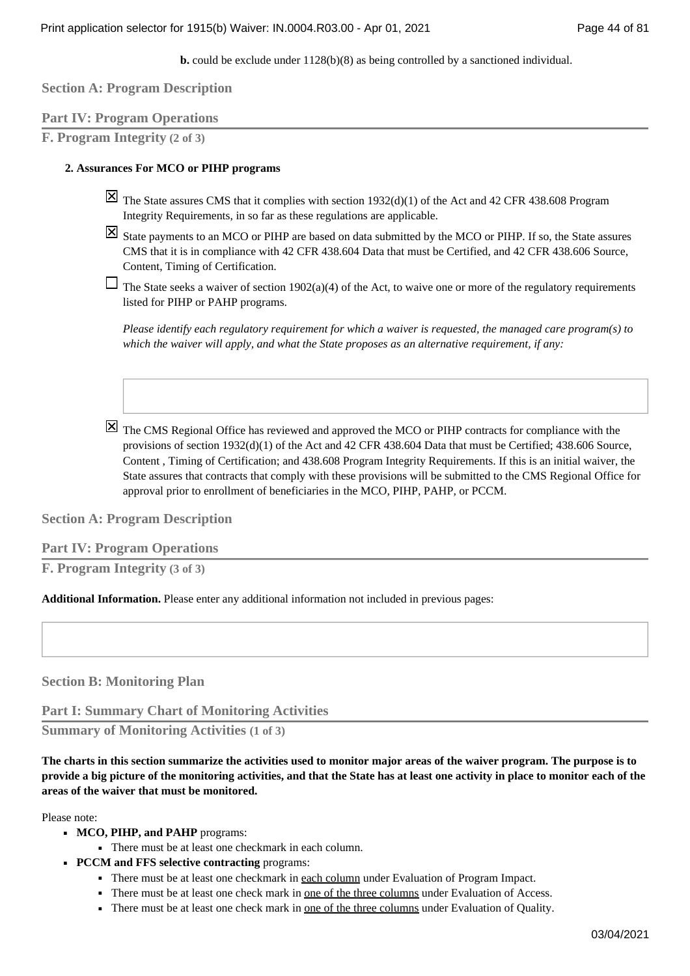**b.** could be exclude under  $1128(b)(8)$  as being controlled by a sanctioned individual.

**Section A: Program Description**

# **Part IV: Program Operations**

**F. Program Integrity (2 of 3)**

### **Assurances For MCO or PIHP programs 2.**

- $\vert\mathbf{X}\vert$  The State assures CMS that it complies with section 1932(d)(1) of the Act and 42 CFR 438.608 Program Integrity Requirements, in so far as these regulations are applicable.
- $\boxtimes$  State payments to an MCO or PIHP are based on data submitted by the MCO or PIHP. If so, the State assures CMS that it is in compliance with 42 CFR 438.604 Data that must be Certified, and 42 CFR 438.606 Source, Content, Timing of Certification.
- $\Box$  The State seeks a waiver of section 1902(a)(4) of the Act, to waive one or more of the regulatory requirements listed for PIHP or PAHP programs.

*Please identify each regulatory requirement for which a waiver is requested, the managed care program(s) to which the waiver will apply, and what the State proposes as an alternative requirement, if any:*

The CMS Regional Office has reviewed and approved the MCO or PIHP contracts for compliance with the provisions of section 1932(d)(1) of the Act and 42 CFR 438.604 Data that must be Certified; 438.606 Source, Content , Timing of Certification; and 438.608 Program Integrity Requirements. If this is an initial waiver, the State assures that contracts that comply with these provisions will be submitted to the CMS Regional Office for approval prior to enrollment of beneficiaries in the MCO, PIHP, PAHP, or PCCM.

**Section A: Program Description**

**Part IV: Program Operations**

**F. Program Integrity (3 of 3)**

**Additional Information.** Please enter any additional information not included in previous pages:

**Section B: Monitoring Plan**

**Part I: Summary Chart of Monitoring Activities**

**Summary of Monitoring Activities (1 of 3)**

**The charts in this section summarize the activities used to monitor major areas of the waiver program. The purpose is to provide a big picture of the monitoring activities, and that the State has at least one activity in place to monitor each of the areas of the waiver that must be monitored.**

Please note:

- MCO, PIHP, and PAHP programs:
	- There must be at least one checkmark in each column.
- **PCCM and FFS selective contracting** programs:
	- **There must be at least one checkmark in <u>each column</u> under Evaluation of Program Impact.**
	- **•** There must be at least one check mark in <u>one of the three columns</u> under Evaluation of Access.
	- There must be at least one check mark in <u>one of the three columns</u> under Evaluation of Quality.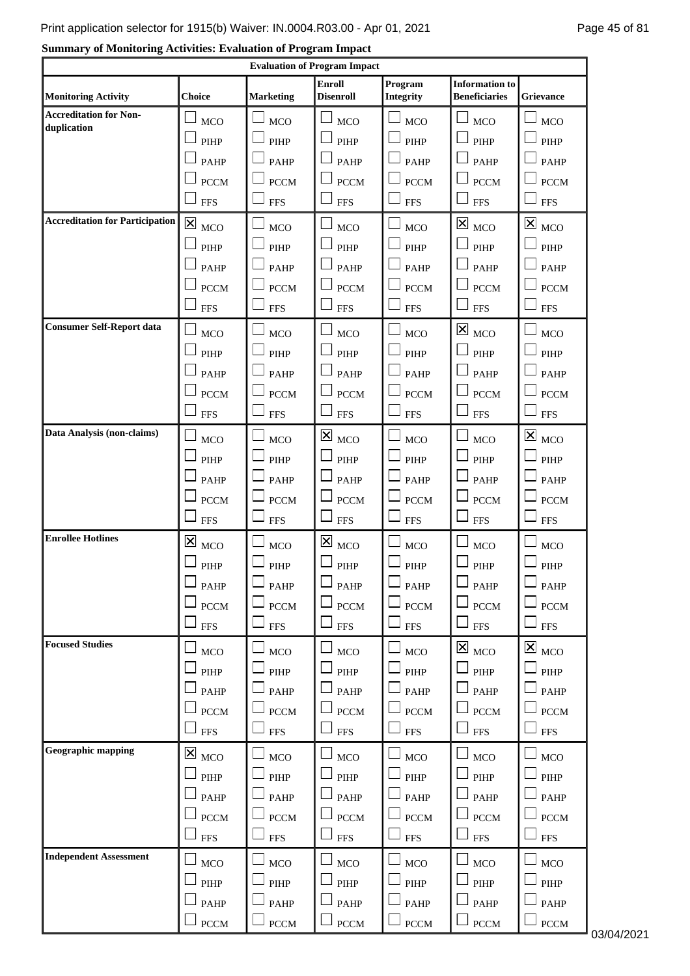# **Summary of Monitoring Activities: Evaluation of Program Impact**

|                                        |                                          |                  | <b>Evaluation of Program Impact</b>   |                             |                                                               |                                                      |
|----------------------------------------|------------------------------------------|------------------|---------------------------------------|-----------------------------|---------------------------------------------------------------|------------------------------------------------------|
| <b>Monitoring Activity</b>             | <b>Choice</b>                            | <b>Marketing</b> | <b>Enroll</b><br><b>Disenroll</b>     | Program<br><b>Integrity</b> | <b>Information</b> to<br><b>Beneficiaries</b>                 | <b>Grievance</b>                                     |
| <b>Accreditation for Non-</b>          | <b>MCO</b>                               | <b>MCO</b>       | <b>MCO</b>                            | <b>MCO</b>                  | <b>MCO</b>                                                    | MCO                                                  |
| duplication                            | PIHP                                     | PIHP             | PIHP                                  | PIHP                        | PIHP                                                          | PIHP                                                 |
|                                        | <b>PAHP</b>                              | <b>PAHP</b>      | <b>PAHP</b>                           | PAHP                        | <b>PAHP</b>                                                   | <b>PAHP</b>                                          |
|                                        | <b>PCCM</b>                              | <b>PCCM</b>      | <b>PCCM</b>                           | <b>PCCM</b>                 | <b>PCCM</b>                                                   | <b>PCCM</b>                                          |
|                                        | <b>FFS</b>                               | <b>FFS</b>       | <b>FFS</b>                            | <b>FFS</b>                  | $\sqcup$<br><b>FFS</b>                                        | <b>FFS</b>                                           |
| <b>Accreditation for Participation</b> | $\boxtimes$<br>MCO                       | <b>MCO</b>       | <b>MCO</b>                            | <b>MCO</b>                  | $\boxtimes$<br><b>MCO</b>                                     | $\overline{\mathbf{X}}$ MCO                          |
|                                        | PIHP                                     | PIHP             | PIHP                                  | PIHP                        | PIHP                                                          | PIHP                                                 |
|                                        | PAHP                                     | <b>PAHP</b>      | PAHP                                  | PAHP                        | <b>PAHP</b>                                                   | <b>PAHP</b>                                          |
|                                        | <b>PCCM</b>                              | <b>PCCM</b>      | <b>PCCM</b>                           | <b>PCCM</b>                 | <b>PCCM</b>                                                   | <b>PCCM</b>                                          |
|                                        | <b>FFS</b>                               | <b>FFS</b>       | <b>FFS</b>                            | <b>FFS</b>                  | <b>FFS</b>                                                    | <b>FFS</b>                                           |
| <b>Consumer Self-Report data</b>       | MCO                                      | <b>MCO</b>       | <b>MCO</b>                            | <b>MCO</b>                  | $\overline{\mathsf{x}}$<br><b>MCO</b>                         | MCO                                                  |
|                                        | PIHP                                     | PIHP             | PIHP                                  | PIHP                        | PIHP                                                          | PIHP                                                 |
|                                        | <b>PAHP</b>                              | <b>PAHP</b>      | <b>PAHP</b>                           | <b>PAHP</b>                 | <b>PAHP</b>                                                   | PAHP                                                 |
|                                        | <b>PCCM</b>                              | <b>PCCM</b>      | <b>PCCM</b>                           | <b>PCCM</b>                 | <b>PCCM</b>                                                   | <b>PCCM</b>                                          |
|                                        | <b>FFS</b>                               | <b>FFS</b>       | <b>FFS</b>                            | <b>FFS</b>                  | <b>FFS</b>                                                    | <b>FFS</b>                                           |
| Data Analysis (non-claims)             | <b>MCO</b>                               | <b>MCO</b>       | $\overline{\mathsf{x}}$<br><b>MCO</b> | <b>MCO</b>                  | <b>MCO</b>                                                    | $\mathbf{\Sigma}_{\ \scriptscriptstyle\mathrm{MCO}}$ |
|                                        | PIHP                                     | PIHP             | PIHP                                  | PIHP                        | PIHP                                                          | PIHP                                                 |
|                                        | <b>PAHP</b>                              | <b>PAHP</b>      | <b>PAHP</b>                           | PAHP                        | <b>PAHP</b>                                                   | <b>PAHP</b>                                          |
|                                        | <b>PCCM</b>                              | <b>PCCM</b>      | <b>PCCM</b>                           | <b>PCCM</b>                 | <b>PCCM</b>                                                   | <b>PCCM</b>                                          |
|                                        | <b>FFS</b>                               | <b>FFS</b>       | <b>FFS</b>                            | <b>FFS</b>                  | <b>FFS</b>                                                    | <b>FFS</b>                                           |
| <b>Enrollee Hotlines</b>               | $\overline{\mathsf{x}}$<br>MCO           | <b>MCO</b>       | $\mathbf{X}$ MCO                      | <b>MCO</b>                  | MCO                                                           | <b>MCO</b>                                           |
|                                        | PIHP                                     | PIHP             | PIHP                                  | PIHP                        | PIHP                                                          | PIHP                                                 |
|                                        | $\Box$ PAHP                              | $\Box$ PAHP      | $\Box$ PAHP                           | $\Box$ PAHP                 | $\Box$ PAHP                                                   | $\Box$ PAHP                                          |
|                                        | <b>PCCM</b>                              | PCCM             | <b>PCCM</b>                           | $\rm{PCCM}$                 | <b>PCCM</b>                                                   | $\operatorname{PCCM}$                                |
|                                        | <b>FFS</b>                               | ${\rm FFS}$      | $\Box$ FFS                            | <b>FFS</b>                  | $\Box$ FFS                                                    | <b>FFS</b>                                           |
| <b>Focused Studies</b>                 | MCO                                      | MCO              | <b>MCO</b>                            | MCO                         | $\overline{\mathsf{x}}\vert_{\scriptscriptstyle\mathrm{MCO}}$ | $\overline{\mathsf{x}}$ <sub>MCO</sub>               |
|                                        | PIHP                                     | PIHP             | PIHP                                  | PIHP                        | PIHP                                                          | $\ensuremath{\mathrm{PIHP}}$                         |
|                                        | PAHP                                     | PAHP             | PAHP                                  | PAHP                        | PAHP                                                          | PAHP                                                 |
|                                        | <b>PCCM</b>                              | <b>PCCM</b>      | <b>PCCM</b>                           | <b>PCCM</b>                 | <b>PCCM</b>                                                   | <b>PCCM</b>                                          |
|                                        | ${\rm FFS}$                              | <b>FFS</b>       | <b>FFS</b>                            | <b>FFS</b>                  | <b>FFS</b>                                                    | <b>FFS</b>                                           |
| <b>Geographic mapping</b>              | $\overline{\mathsf{x}}\vert_{\,\rm MCO}$ | MCO              | <b>MCO</b>                            | MCO                         | MCO                                                           | MCO                                                  |
|                                        | $\ensuremath{\mathrm{PIHP}}$             | PIHP             | $\mathsf{\mathsf{J}}$ pihp            | PIHP                        | PIHP                                                          | $\mathsf{J}_{\mathrm{PIHP}}$                         |
|                                        | PAHP                                     | <b>PAHP</b>      | <b>PAHP</b>                           | <b>PAHP</b>                 | <b>PAHP</b>                                                   | PAHP                                                 |
|                                        | <b>PCCM</b>                              | <b>PCCM</b>      | <b>PCCM</b>                           | <b>PCCM</b>                 | <b>PCCM</b>                                                   | <b>PCCM</b>                                          |
|                                        | <b>FFS</b>                               | <b>FFS</b>       | <b>FFS</b>                            | <b>FFS</b>                  | <b>FFS</b>                                                    | <b>FFS</b>                                           |
| <b>Independent Assessment</b>          | MCO                                      | MCO              | <b>MCO</b>                            | MCO                         | MCO                                                           | MCO                                                  |
|                                        | PIHP                                     | PIHP             | $\Box$ PIHP                           | PIHP                        | $\Box$<br>PIHP                                                | $\ensuremath{\mathrm{PIHP}}$                         |
|                                        | PAHP                                     | PAHP             | $\Box$ PAHP                           | PAHP                        | $\Box$ PAHP                                                   | $\Box$ pahp                                          |
|                                        | $\rm{PCCM}$                              | $\rm{PCCM}$      | $\operatorname{PCCM}$                 | $\rm{PCCM}$                 | <b>PCCM</b>                                                   | $\operatorname{PCCM}$                                |

PCCM 03/04/2021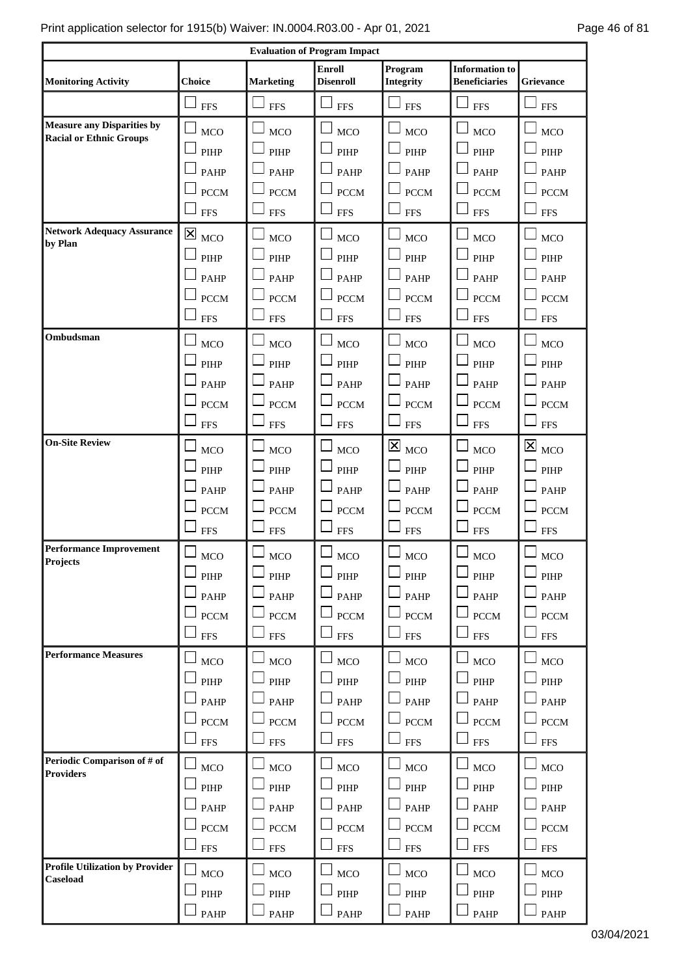| <b>Evaluation of Program Impact</b>                                 |                                                                                 |                                                                                 |                                                                              |                                                                                           |                                                                                 |                                                                                           |
|---------------------------------------------------------------------|---------------------------------------------------------------------------------|---------------------------------------------------------------------------------|------------------------------------------------------------------------------|-------------------------------------------------------------------------------------------|---------------------------------------------------------------------------------|-------------------------------------------------------------------------------------------|
| <b>Monitoring Activity</b>                                          | <b>Choice</b>                                                                   | <b>Marketing</b>                                                                | <b>Enroll</b><br><b>Disenroll</b>                                            | Program<br>Integrity                                                                      | <b>Information</b> to<br><b>Beneficiaries</b>                                   | <b>Grievance</b>                                                                          |
|                                                                     | <b>FFS</b>                                                                      | <b>FFS</b>                                                                      | <b>FFS</b>                                                                   | <b>FFS</b>                                                                                | <b>FFS</b>                                                                      | <b>FFS</b>                                                                                |
| <b>Measure any Disparities by</b><br><b>Racial or Ethnic Groups</b> | <b>MCO</b><br>PIHP<br><b>PAHP</b><br><b>PCCM</b><br><b>FFS</b>                  | <b>MCO</b><br>PIHP<br><b>PAHP</b><br><b>PCCM</b><br><b>FFS</b>                  | <b>MCO</b><br>PIHP<br><b>PAHP</b><br><b>PCCM</b><br>$\sqcup$<br><b>FFS</b>   | <b>MCO</b><br>PIHP<br><b>PAHP</b><br><b>PCCM</b><br><b>FFS</b>                            | MCO<br>PIHP<br><b>PAHP</b><br><b>PCCM</b><br><b>FFS</b>                         | MCO<br>PIHP<br><b>PAHP</b><br><b>PCCM</b><br><b>FFS</b>                                   |
| <b>Network Adequacy Assurance</b><br>by Plan                        | $\boxtimes$<br><b>MCO</b><br>PIHP<br><b>PAHP</b><br><b>PCCM</b><br><b>FFS</b>   | <b>MCO</b><br>PIHP<br><b>PAHP</b><br><b>PCCM</b><br><b>FFS</b>                  | <b>MCO</b><br>PIHP<br>PAHP<br><b>PCCM</b><br><b>FFS</b>                      | <b>MCO</b><br>PIHP<br><b>PAHP</b><br><b>PCCM</b><br><b>FFS</b>                            | <b>MCO</b><br>PIHP<br><b>PAHP</b><br><b>PCCM</b><br><b>FFS</b>                  | MCO<br>PIHP<br><b>PAHP</b><br><b>PCCM</b><br><b>FFS</b>                                   |
| Ombudsman                                                           | <b>MCO</b><br>PIHP<br><b>PAHP</b><br><b>PCCM</b><br><b>FFS</b>                  | <b>MCO</b><br>PIHP<br><b>PAHP</b><br><b>PCCM</b><br><b>FFS</b>                  | <b>MCO</b><br>PIHP<br><b>PAHP</b><br><b>PCCM</b><br><b>FFS</b>               | <b>MCO</b><br>PIHP<br><b>PAHP</b><br><b>PCCM</b><br><b>FFS</b>                            | MCO<br>PIHP<br><b>PAHP</b><br><b>PCCM</b><br><b>FFS</b>                         | <b>MCO</b><br>PIHP<br><b>PAHP</b><br><b>PCCM</b><br><b>FFS</b>                            |
| <b>On-Site Review</b>                                               | <b>MCO</b><br>PIHP<br>PAHP<br><b>PCCM</b><br><b>FFS</b>                         | MCO<br>PIHP<br><b>PAHP</b><br><b>PCCM</b><br><b>FFS</b>                         | <b>MCO</b><br>$\Box$ PIHP<br><b>PAHP</b><br>$\Box$ PCCM<br><b>FFS</b>        | $\mathbf{\overline{X}}$<br><b>MCO</b><br>PIHP<br><b>PAHP</b><br><b>PCCM</b><br><b>FFS</b> | MCO<br>PIHP<br><b>PAHP</b><br><b>PCCM</b><br><b>FFS</b>                         | $\mathsf{\overline{X}}$<br><b>MCO</b><br>PIHP<br><b>PAHP</b><br><b>PCCM</b><br><b>FFS</b> |
| <b>Performance Improvement</b><br><b>Projects</b>                   | <b>MCO</b><br>$\ensuremath{\mathrm{PIHP}}$<br>PAHP<br>$\Box$ PCCM<br><b>FFS</b> | <b>MCO</b><br>$\ensuremath{\mathrm{PIHP}}$<br>PAHP<br><b>PCCM</b><br><b>FFS</b> | $_{\mathrm{MCO}}$<br>$\Box$ PIHP<br>$\Box$ PAHP<br>$\Box$ PCCM<br>$\Box$ FFS | MCO<br>PIHP<br>PAHP<br>$\rm{PCCM}$<br><b>FFS</b>                                          | <b>MCO</b><br>PIHP<br>PAHP<br><b>PCCM</b><br><b>FFS</b>                         | MCO<br>$\ensuremath{\mathrm{PIHP}}$<br>PAHP<br>$\Box$ PCCM<br><b>FFS</b>                  |
| <b>Performance Measures</b>                                         | <b>MCO</b><br>$\ensuremath{\mathrm{PIHP}}$<br>PAHP<br>PCCM<br><b>FFS</b>        | MCO<br>PIHP<br>PAHP<br>PCCM<br>${\rm FFS}$                                      | $\perp$ MCO<br>$\Box$ PIHP<br>$\Box$ PAHP<br>$\Box$ PCCM<br>$\Box$ FFS       | MCO<br>PIHP<br>PAHP<br><b>PCCM</b><br>${\rm FFS}$                                         | <b>MCO</b><br>$\ensuremath{\mathrm{PIHP}}$<br>PAHP<br><b>PCCM</b><br><b>FFS</b> | MCO<br>$\ensuremath{\mathrm{PIHP}}$<br>PAHP<br><b>PCCM</b><br><b>FFS</b>                  |
| Periodic Comparison of # of<br><b>Providers</b>                     | <b>MCO</b><br>PIHP<br>PAHP<br><b>PCCM</b><br><b>FFS</b>                         | $_{\mathrm{MCO}}$<br>PIHP<br>PAHP<br><b>PCCM</b><br>${\rm FFS}$                 | $\Box$ MCO<br>PIHP<br>$\Box$ PAHP<br>$\operatorname{PCCM}$<br>$\Box$ FFS     | MCO<br>PIHP<br>PAHP<br><b>PCCM</b><br>${\rm FFS}$                                         | $_{\mathrm{MCO}}$<br>PIHP<br>PAHP<br><b>PCCM</b><br><b>FFS</b>                  | MCO<br>PIHP<br>PAHP<br>PCCM<br>${\rm FFS}$                                                |
| Profile Utilization by Provider<br>Caseload                         | <b>MCO</b><br>$\ensuremath{\mathrm{PIHP}}$<br>PAHP                              | $_{\mathrm{MCO}}$<br>$\ensuremath{\mathrm{PIHP}}$<br>PAHP                       | $\Box$ MCO<br>$\Box$ PIHP<br>$\Box$ PAHP                                     | MCO<br>PIHP<br>PAHP                                                                       | $_{\mathrm{MCO}}$<br>$\Box$ PIHP<br>PAHP                                        | $_{\mathrm{MCO}}$<br>$\overline{\phantom{a}}$ pihp<br>PAHP                                |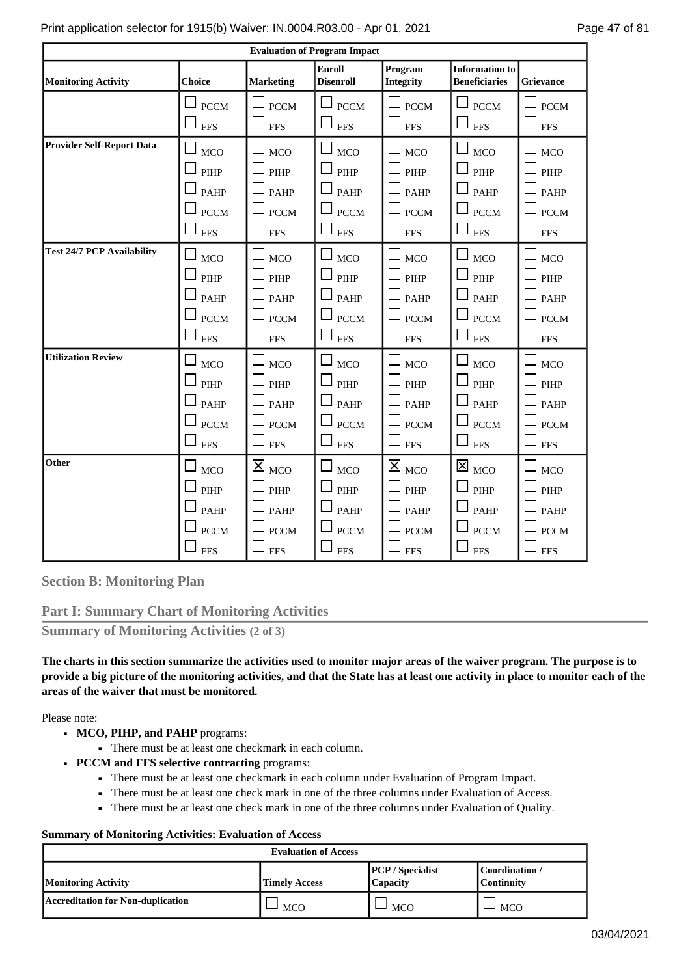| <b>Evaluation of Program Impact</b> |                                                                |                                                                                            |                                                                |                                                                                    |                                                                              |                                                                |  |
|-------------------------------------|----------------------------------------------------------------|--------------------------------------------------------------------------------------------|----------------------------------------------------------------|------------------------------------------------------------------------------------|------------------------------------------------------------------------------|----------------------------------------------------------------|--|
| <b>Monitoring Activity</b>          | <b>Choice</b>                                                  | <b>Marketing</b>                                                                           | <b>Enroll</b><br><b>Disenroll</b>                              | Program<br><b>Integrity</b>                                                        | <b>Information to</b><br><b>Beneficiaries</b>                                | <b>Grievance</b>                                               |  |
|                                     | <b>PCCM</b><br><b>FFS</b>                                      | <b>PCCM</b><br><b>FFS</b>                                                                  | <b>PCCM</b><br><b>FFS</b>                                      | <b>PCCM</b><br><b>FFS</b>                                                          | <b>PCCM</b><br><b>FFS</b>                                                    | <b>PCCM</b><br><b>FFS</b>                                      |  |
| <b>Provider Self-Report Data</b>    | └<br><b>MCO</b><br>PIHP<br>PAHP<br><b>PCCM</b>                 | <b>MCO</b><br>PIHP<br><b>PAHP</b><br><b>PCCM</b>                                           | <b>MCO</b><br>PIHP<br><b>PAHP</b><br><b>PCCM</b>               | Ĺ,<br><b>MCO</b><br>PIHP<br><b>PAHP</b><br><b>PCCM</b>                             | $\Box$<br><b>MCO</b><br>PIHP<br><b>PAHP</b><br><b>PCCM</b>                   | <b>MCO</b><br>PIHP<br><b>PAHP</b><br><b>PCCM</b>               |  |
|                                     | <b>FFS</b>                                                     | <b>FFS</b>                                                                                 | <b>FFS</b>                                                     | <b>FFS</b>                                                                         | <b>FFS</b>                                                                   | <b>FFS</b>                                                     |  |
| <b>Test 24/7 PCP Availability</b>   | <b>MCO</b><br>PIHP<br><b>PAHP</b><br><b>PCCM</b><br><b>FFS</b> | <b>MCO</b><br>PIHP<br><b>PAHP</b><br><b>PCCM</b><br><b>FFS</b>                             | <b>MCO</b><br>PIHP<br><b>PAHP</b><br><b>PCCM</b><br><b>FFS</b> | <b>MCO</b><br>PIHP<br>PAHP<br><b>PCCM</b><br><b>FFS</b>                            | <b>MCO</b><br>PIHP<br><b>PAHP</b><br><b>PCCM</b><br><b>FFS</b>               | <b>MCO</b><br>PIHP<br><b>PAHP</b><br><b>PCCM</b><br><b>FFS</b> |  |
| <b>Utilization Review</b>           | <b>MCO</b><br>PIHP<br><b>PAHP</b><br><b>PCCM</b><br><b>FFS</b> | <b>MCO</b><br>PIHP<br><b>PAHP</b><br><b>PCCM</b><br><b>FFS</b>                             | <b>MCO</b><br>PIHP<br><b>PAHP</b><br><b>PCCM</b><br><b>FFS</b> | <b>MCO</b><br>PIHP<br><b>PAHP</b><br><b>PCCM</b><br><b>FFS</b>                     | <b>MCO</b><br>PIHP<br><b>PAHP</b><br><b>PCCM</b><br><b>FFS</b>               | <b>MCO</b><br>PIHP<br><b>PAHP</b><br><b>PCCM</b><br><b>FFS</b> |  |
| Other                               | <b>MCO</b><br>PIHP<br>PAHP<br><b>PCCM</b><br><b>FFS</b>        | $\overline{\mathsf{x}}$ <sub>MCO</sub><br>PIHP<br><b>PAHP</b><br><b>PCCM</b><br><b>FFS</b> | <b>MCO</b><br>PIHP<br><b>PAHP</b><br><b>PCCM</b><br><b>FFS</b> | $\mathbf{\overline{X}}$<br><b>MCO</b><br>PIHP<br>PAHP<br><b>PCCM</b><br><b>FFS</b> | $\boxtimes_{\text{MCO}}$<br>PIHP<br><b>PAHP</b><br><b>PCCM</b><br><b>FFS</b> | <b>MCO</b><br>PIHP<br>PAHP<br><b>PCCM</b><br><b>FFS</b>        |  |

**Section B: Monitoring Plan**

**Part I: Summary Chart of Monitoring Activities**

**Summary of Monitoring Activities (2 of 3)**

**The charts in this section summarize the activities used to monitor major areas of the waiver program. The purpose is to provide a big picture of the monitoring activities, and that the State has at least one activity in place to monitor each of the areas of the waiver that must be monitored.**

Please note:

- MCO, PIHP, and PAHP programs:
	- There must be at least one checkmark in each column.
- **PCCM and FFS selective contracting** programs:
	- There must be at least one checkmark in each column under Evaluation of Program Impact.
	- **•** There must be at least one check mark in <u>one of the three columns</u> under Evaluation of Access.
	- **•** There must be at least one check mark in <u>one of the three columns</u> under Evaluation of Quality.

### **Summary of Monitoring Activities: Evaluation of Access**

| <b>Evaluation of Access</b>              |                      |                                            |                                     |  |  |
|------------------------------------------|----------------------|--------------------------------------------|-------------------------------------|--|--|
| <b>Monitoring Activity</b>               | <b>Timely Access</b> | <b>PCP</b> / Specialist<br><b>Capacity</b> | Coordination /<br><b>Continuity</b> |  |  |
| <b>Accreditation for Non-duplication</b> | <b>MCO</b>           | <b>MCO</b>                                 | <b>MCO</b>                          |  |  |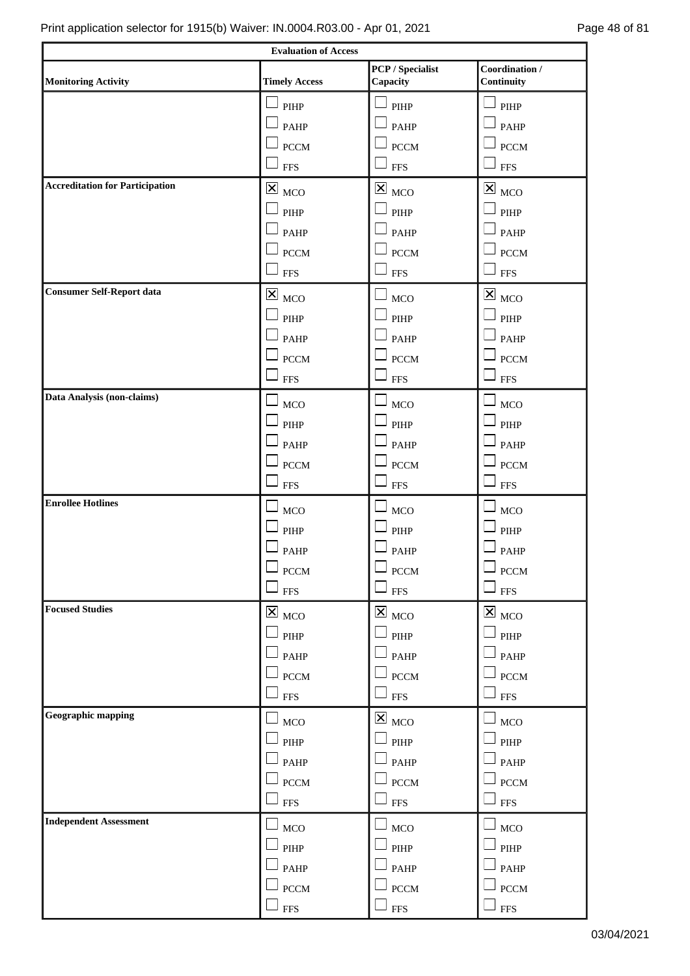|                                        | <b>Evaluation of Access</b>            |                                        |                                        |
|----------------------------------------|----------------------------------------|----------------------------------------|----------------------------------------|
| <b>Monitoring Activity</b>             | <b>Timely Access</b>                   | <b>PCP</b> / Specialist<br>Capacity    | Coordination /<br>Continuity           |
|                                        | $\ensuremath{\mathrm{PIHP}}$           | PIHP                                   | $\mathsf{J}_{\mathrm{PIHP}}$           |
|                                        | PAHP                                   | <b>PAHP</b>                            | $\mathsf{\mathsf{I}}$ PAHP             |
|                                        | $\operatorname{PCCM}$                  | <b>PCCM</b>                            | $\Box$ PCCM                            |
|                                        | <b>FFS</b>                             | <b>FFS</b>                             | $\square$ FFS                          |
| <b>Accreditation for Participation</b> | $\boxtimes$<br>MCO                     | $\boxtimes_{\text{MCO}}$               | $\overline{\boxtimes}$ $_{\rm MCO}$    |
|                                        | $\ensuremath{\mathrm{PIHP}}$           | PIHP                                   | $\ensuremath{\mathrm{PIHP}}$           |
|                                        | PAHP                                   | PAHP                                   | $\Box$ PAHP                            |
|                                        | <b>PCCM</b>                            | $\operatorname{PCCM}$                  | $\perp$ PCCM                           |
|                                        | <b>FFS</b>                             | <b>FFS</b>                             | $\perp$ FFS                            |
| <b>Consumer Self-Report data</b>       | $\overline{\mathbf{x}}$ <sub>MCO</sub> | MCO                                    | $\overline{\mathsf{x}}$ <sub>MCO</sub> |
|                                        | $\ensuremath{\mathrm{PIHP}}$           | PIHP                                   | $\overline{\phantom{a}}$ pihp          |
|                                        | PAHP                                   | <b>PAHP</b>                            | $\mathsf{I}_{\mathsf{PAHP}}$           |
|                                        | $\operatorname{PCCM}$                  | <b>PCCM</b>                            | $\Box$ PCCM                            |
|                                        | <b>FFS</b>                             | <b>FFS</b>                             | $\square$ FFS                          |
| Data Analysis (non-claims)             | MCO                                    | $_{\mathrm{MCO}}$                      | $\Box$ MCO                             |
|                                        | $\ensuremath{\mathrm{PIHP}}$           | PIHP                                   | $\Box$ PIHP                            |
|                                        | PAHP                                   | PAHP                                   | $\Box$ PAHP                            |
|                                        | <b>PCCM</b>                            | $\Box$ PCCM                            | $\Box$ PCCM                            |
|                                        | <b>FFS</b>                             | $\overline{\phantom{0}}$<br><b>FFS</b> | $\square$ FFS                          |
| <b>Enrollee Hotlines</b>               | $_{\mathrm{MCO}}$                      | $_{\mathrm{MCO}}$                      | $\Box$ MCO                             |
|                                        | $\ensuremath{\mathrm{PIHP}}$           | PIHP                                   | PIHP                                   |
|                                        | <b>PAHP</b>                            | PAHP                                   | $\mathsf{\mathsf{J}}$ PAHP             |
|                                        | $\operatorname{PCCM}$                  | ${\mbox{PCCM}}$                        | PCCM                                   |
|                                        | $\Box$ FFS                             | $\Box$ FFS                             | $\square$ FFS                          |
| <b>Focused Studies</b>                 | $\boxtimes_{\text{MCO}}$               | $\boxtimes_{\text{MCO}}$               | $\overline{\mathbf{x}}$ <sub>MCO</sub> |
|                                        | PIHP                                   | PIHP                                   | PIHP                                   |
|                                        | PAHP                                   | $\perp$ PAHP                           | $\Box$ PAHP                            |
|                                        | $\rm{PCCM}$                            | <b>PCCM</b>                            | $\perp$ PCCM                           |
|                                        | <b>FFS</b>                             | <b>FFS</b>                             | $\perp$ FFS                            |
| <b>Geographic mapping</b>              | $_{\mathrm{MCO}}$                      | $\overline{\mathsf{x}}$ <sub>MCO</sub> | $\Box$ MCO                             |
|                                        | PIHP                                   | PIHP                                   | $\Box$ PIHP                            |
|                                        | PAHP                                   | PAHP                                   | $\mathsf{\mathsf{J}}$ PAHP             |
|                                        | <b>PCCM</b>                            | $\perp$ PCCM                           | $\Box$ PCCM                            |
|                                        | ${\rm FFS}$                            | <b>FFS</b>                             | $\Box$ FFS                             |
| <b>Independent Assessment</b>          | <b>MCO</b>                             | $\perp$ MCO                            | $\perp_{\text{MCO}}$                   |
|                                        | PIHP                                   | $\Box$ PIHP                            | $\Box$ PIHP                            |
|                                        | PAHP                                   | PAHP                                   | $\Box$ PAHP                            |
|                                        | $\operatorname{PCCM}$                  | $\Box$ PCCM                            | $\Box$ PCCM                            |
|                                        | <b>FFS</b>                             | $\perp$ FFS                            | $\square$ FFS                          |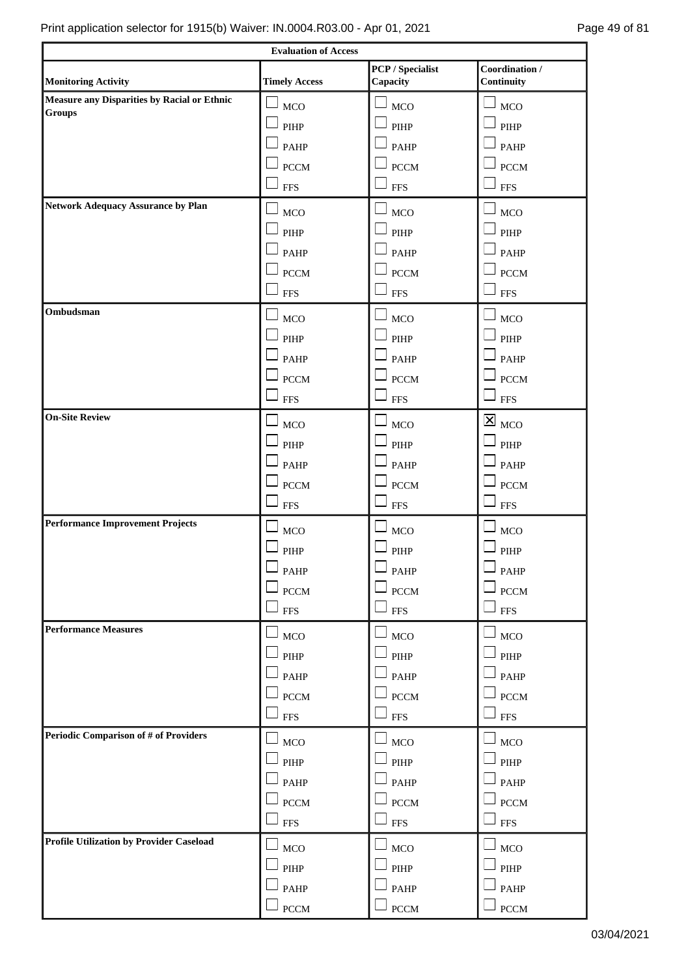|                                                                                  | <b>Evaluation of Access</b>  |                                        |                                        |
|----------------------------------------------------------------------------------|------------------------------|----------------------------------------|----------------------------------------|
|                                                                                  |                              | <b>PCP</b> / Specialist                | Coordination /                         |
| <b>Monitoring Activity</b><br><b>Measure any Disparities by Racial or Ethnic</b> | <b>Timely Access</b>         | Capacity                               | Continuity                             |
| <b>Groups</b>                                                                    | MCO                          | <b>MCO</b>                             | $\Box$ MCO                             |
|                                                                                  | PIHP                         | PIHP                                   | PIHP                                   |
|                                                                                  | <b>PAHP</b>                  | PAHP                                   | $\Box$ PAHP                            |
|                                                                                  | <b>PCCM</b>                  | <b>PCCM</b>                            | $\Box$ PCCM                            |
|                                                                                  | <b>FFS</b>                   | <b>FFS</b>                             | $\Box$<br><b>FFS</b>                   |
| <b>Network Adequacy Assurance by Plan</b>                                        | MCO                          | MCO                                    | $\Box$<br>MCO                          |
|                                                                                  | $\ensuremath{\mathrm{PIHP}}$ | PIHP                                   | $\ensuremath{\mathrm{PIHP}}$           |
|                                                                                  | PAHP                         | PAHP                                   | PAHP                                   |
|                                                                                  | <b>PCCM</b>                  | <b>PCCM</b>                            | $\Box$<br><b>PCCM</b>                  |
|                                                                                  | <b>FFS</b>                   | <b>FFS</b>                             | $\sqcup$<br><b>FFS</b>                 |
| Ombudsman                                                                        |                              | $\Box$                                 | $\sqcup$                               |
|                                                                                  | <b>MCO</b>                   | <b>MCO</b>                             | <b>MCO</b>                             |
|                                                                                  | PIHP                         | PIHP                                   | ப<br>$\ensuremath{\mathrm{PIHP}}$      |
|                                                                                  | <b>PAHP</b>                  | PAHP                                   | ப<br>PAHP                              |
|                                                                                  | <b>PCCM</b>                  | <b>PCCM</b>                            | <b>PCCM</b>                            |
|                                                                                  | <b>FFS</b>                   | ┙<br><b>FFS</b>                        | $\Box$ FFS                             |
| <b>On-Site Review</b>                                                            | MCO                          | <b>MCO</b>                             | $\overline{\mathbf{x}}$ <sub>MCO</sub> |
|                                                                                  | PIHP                         | PIHP                                   | $\Box$ PIHP                            |
|                                                                                  | <b>PAHP</b>                  | $\Box$ PAHP                            | $\Box$ PAHP                            |
|                                                                                  | <b>PCCM</b>                  | $\Box$ PCCM                            | $\Box$ PCCM                            |
|                                                                                  | <b>FFS</b>                   | $\overline{\phantom{a}}$<br><b>FFS</b> | $\Box$ FFS                             |
| <b>Performance Improvement Projects</b>                                          | MCO                          | <b>MCO</b>                             | MCO                                    |
|                                                                                  | PIHP                         | PIHP                                   | $\Box$<br>PIHP                         |
|                                                                                  | PAHP                         | PAHP                                   | $\Box$ PAHP                            |
|                                                                                  | $\rm{PCCM}$                  | <b>PCCM</b>                            | $\Box$ PCCM                            |
|                                                                                  | <b>FFS</b>                   | $\Box$ FFS                             | $\Box$ FFS                             |
| <b>Performance Measures</b>                                                      |                              |                                        |                                        |
|                                                                                  | MCO                          | MCO                                    | $\perp$ MCO                            |
|                                                                                  | $\ensuremath{\mathrm{PIHP}}$ | PIHP                                   | $\Box$ pihp                            |
|                                                                                  | PAHP                         | PAHP                                   | $\ensuremath{\mathsf{PAHP}}$           |
|                                                                                  | $\rm{PCCM}$                  | <b>PCCM</b>                            | $\Box$ PCCM                            |
|                                                                                  | <b>FFS</b>                   | <b>FFS</b>                             | $\square$ FFS                          |
| <b>Periodic Comparison of # of Providers</b>                                     | MCO                          | $\Box$ MCO                             | $\Box$ MCO                             |
|                                                                                  | $\ensuremath{\mathrm{PIHP}}$ | PIHP                                   | $\overline{\phantom{a}}$ pihp          |
|                                                                                  | PAHP                         | PAHP                                   | $\Box$ PAHP                            |
|                                                                                  | $\operatorname{PCCM}$        | <b>PCCM</b>                            | <b>PCCM</b>                            |
|                                                                                  | <b>FFS</b>                   | $\Box$ FFS                             | $\Box$ FFS                             |
| <b>Profile Utilization by Provider Caseload</b>                                  | MCO                          | <b>MCO</b>                             | $\Box$ MCO                             |
|                                                                                  | $\ensuremath{\mathrm{PIHP}}$ | PIHP                                   | $\Box$ PIHP                            |
|                                                                                  | PAHP                         | $\Box$ PAHP                            | $\Box$ PAHP                            |
|                                                                                  | $\mathop{\rm PCCM}\nolimits$ | $\perp$ PCCM                           | $\Box$ PCCM                            |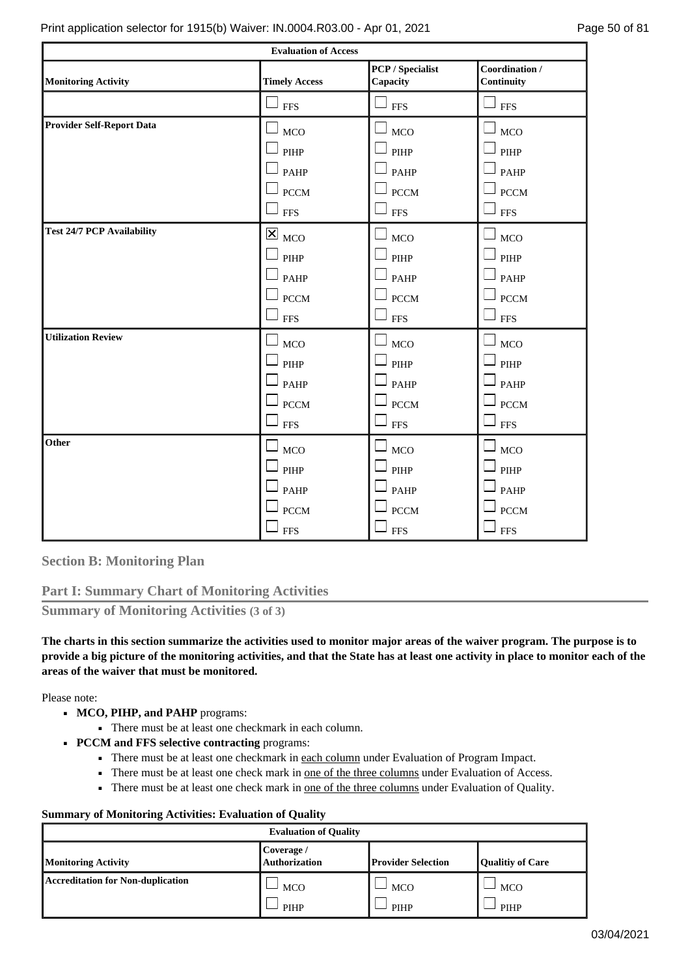|                                   | <b>Evaluation of Access</b>            |                                     |                              |
|-----------------------------------|----------------------------------------|-------------------------------------|------------------------------|
| <b>Monitoring Activity</b>        | <b>Timely Access</b>                   | <b>PCP</b> / Specialist<br>Capacity | Coordination /<br>Continuity |
|                                   | <b>FFS</b>                             | <b>FFS</b>                          | <b>FFS</b>                   |
| <b>Provider Self-Report Data</b>  | <b>MCO</b>                             | $\Box$<br><b>MCO</b>                | <b>MCO</b>                   |
|                                   | ப<br>PIHP                              | $\Box$ PIHP                         | PIHP                         |
|                                   | $\Box$ PAHP                            | $\Box$ PAHP                         | $\Box$ PAHP                  |
|                                   | $\Box$ PCCM                            | $\Box$ PCCM                         | $\Box$ PCCM                  |
|                                   | $\Box$ FFS                             | $\Box$ FFS                          | $\square$ FFS                |
| <b>Test 24/7 PCP Availability</b> | $\overline{\mathsf{x}}$ <sub>MCO</sub> | <b>MCO</b>                          | MCO                          |
|                                   | PIHP                                   | $\Box$ PIHP                         | PIHP                         |
|                                   | $\Box$ PAHP                            | $\Box$ PAHP                         | PAHP                         |
|                                   | $\Box$ PCCM                            | $\Box$ PCCM                         | $\Box$ PCCM                  |
|                                   | ப<br><b>FFS</b>                        | $\sqcup$ FFS                        | $\Box$ FFS                   |
| <b>Utilization Review</b>         | <b>MCO</b>                             | <b>MCO</b>                          | <b>MCO</b>                   |
|                                   | PIHP                                   | $\Box$ PIHP                         | PIHP                         |
|                                   | $\perp$ PAHP                           | $\Box$ PAHP                         | $\Box$ Pahp                  |
|                                   | $\Box$ PCCM                            | $\Box$ PCCM                         | $\Box$ PCCM                  |
|                                   | $\Box$<br><b>FFS</b>                   | ⊔<br><b>FFS</b>                     | $\Box$ FFS                   |
| Other                             | <b>MCO</b>                             | <b>MCO</b>                          | <b>MCO</b>                   |
|                                   | PIHP                                   | $\Box$ PIHP                         | PIHP                         |
|                                   | PAHP                                   | $\Box$ PAHP                         | PAHP                         |
|                                   | <b>PCCM</b>                            | $\Box$ PCCM                         | $\Box$ PCCM                  |
|                                   | $-$ FFS                                | $\sqcup$ FFS                        | $\sqcup$ $_{\rm{FFS}}$       |

**Section B: Monitoring Plan**

# **Part I: Summary Chart of Monitoring Activities**

**Summary of Monitoring Activities (3 of 3)**

**The charts in this section summarize the activities used to monitor major areas of the waiver program. The purpose is to provide a big picture of the monitoring activities, and that the State has at least one activity in place to monitor each of the areas of the waiver that must be monitored.**

Please note:

- MCO, PIHP, and PAHP programs:
	- There must be at least one checkmark in each column.
- **PCCM and FFS selective contracting** programs:
	- There must be at least one checkmark in each column under Evaluation of Program Impact.
	- **•** There must be at least one check mark in <u>one of the three columns</u> under Evaluation of Access.
	- There must be at least one check mark in <u>one of the three columns</u> under Evaluation of Quality.

### **Summary of Monitoring Activities: Evaluation of Quality**

| <b>Evaluation of Quality</b>             |                                    |                           |                         |  |  |
|------------------------------------------|------------------------------------|---------------------------|-------------------------|--|--|
| <b>Monitoring Activity</b>               | Coverage /<br><b>Authorization</b> | <b>Provider Selection</b> | <b>Qualitiy of Care</b> |  |  |
| <b>Accreditation for Non-duplication</b> | <b>MCO</b>                         | <b>MCO</b>                | MCO                     |  |  |
|                                          | PIHP                               | PIHP                      | PIHP                    |  |  |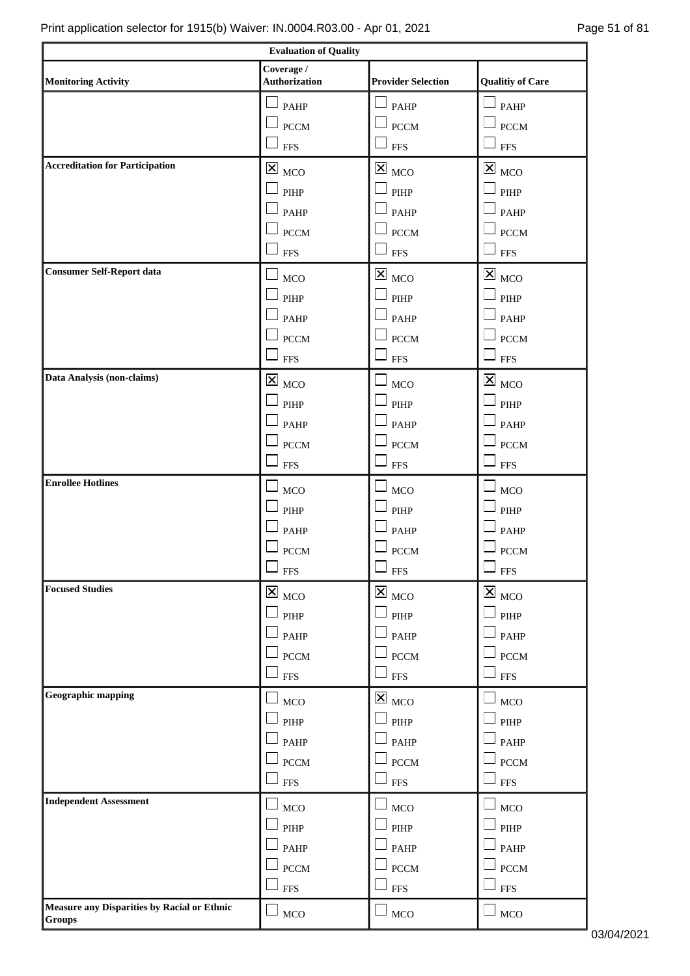| <b>Evaluation of Quality</b>                                                                                             |                                        |                             |                                                      |  |  |  |
|--------------------------------------------------------------------------------------------------------------------------|----------------------------------------|-----------------------------|------------------------------------------------------|--|--|--|
| Coverage /<br><b>Authorization</b><br><b>Provider Selection</b><br><b>Qualitiy of Care</b><br><b>Monitoring Activity</b> |                                        |                             |                                                      |  |  |  |
|                                                                                                                          |                                        |                             |                                                      |  |  |  |
|                                                                                                                          | PAHP                                   | $\mathsf{\mathsf{I}}$ PAHP  | $P$ AHP                                              |  |  |  |
|                                                                                                                          | <b>PCCM</b><br><b>FFS</b>              | <b>PCCM</b><br>$\Box$ FFS   | <b>PCCM</b><br>$\square$ FFS                         |  |  |  |
| <b>Accreditation for Participation</b>                                                                                   |                                        |                             |                                                      |  |  |  |
|                                                                                                                          | $\mathbf{X}$ <sub>MCO</sub>            | $\mathbf{X}_{\text{MCO}}$   | $\mathbbmss{Z}$ $_{\rm MCO}$                         |  |  |  |
|                                                                                                                          | $\ensuremath{\mathrm{PIHP}}$           | PIHP                        | $\Box$ PIHP                                          |  |  |  |
|                                                                                                                          | PAHP                                   | $\Box$ PAHP                 | $\Box$ PAHP                                          |  |  |  |
|                                                                                                                          | <b>PCCM</b>                            | $\Box$ PCCM                 | $\Box$ PCCM                                          |  |  |  |
| <b>Consumer Self-Report data</b>                                                                                         | <b>FFS</b>                             | $\Box$ FFS                  | $\Box$ FFS                                           |  |  |  |
|                                                                                                                          | <b>MCO</b>                             | $\boxtimes_{\text{MCO}}$    | $\mathbf{\Sigma}_{\ \scriptscriptstyle\mathrm{MCO}}$ |  |  |  |
|                                                                                                                          | PIHP                                   | PIHP                        | $\mathsf{\mathsf{J}}$ pihp                           |  |  |  |
|                                                                                                                          | PAHP                                   | PAHP                        | $\mathsf{I}_{\mathsf{PAHP}}$                         |  |  |  |
|                                                                                                                          | <b>PCCM</b>                            | $\Box$ PCCM                 | $\perp$ PCCM                                         |  |  |  |
|                                                                                                                          | <b>FFS</b>                             | $\Box$<br><b>FFS</b>        | $\square$ FFS                                        |  |  |  |
| Data Analysis (non-claims)                                                                                               | $\boxtimes$<br><b>MCO</b>              | <b>MCO</b>                  | $\overline{\mathbf{x}}$ $_{\text{MCO}}$              |  |  |  |
|                                                                                                                          | PIHP                                   | PIHP                        | PIHP                                                 |  |  |  |
|                                                                                                                          | PAHP                                   | PAHP                        | PAHP                                                 |  |  |  |
|                                                                                                                          | <b>PCCM</b>                            | <b>PCCM</b>                 | <b>PCCM</b>                                          |  |  |  |
|                                                                                                                          | <b>FFS</b>                             | <b>FFS</b>                  | <b>FFS</b>                                           |  |  |  |
| <b>Enrollee Hotlines</b>                                                                                                 | <b>MCO</b>                             | <b>MCO</b>                  | <b>MCO</b>                                           |  |  |  |
|                                                                                                                          | $\ensuremath{\mathrm{PIHP}}$           | PIHP                        | $\overline{\phantom{a}}$ pihp                        |  |  |  |
|                                                                                                                          | <b>PAHP</b>                            | <b>PAHP</b>                 | PAHP                                                 |  |  |  |
|                                                                                                                          | <b>PCCM</b>                            | <b>PCCM</b>                 | <b>PCCM</b>                                          |  |  |  |
|                                                                                                                          | $\Box$ FFS                             | $\Box$ FFS                  | $\square$ FFS                                        |  |  |  |
| <b>Focused Studies</b>                                                                                                   | $\overline{\mathbf{x}}$ <sub>MCO</sub> | $\mathbf{X}$ <sub>MCO</sub> | $\overline{\mathbf{X}}$ $_{\text{MCO}}$              |  |  |  |
|                                                                                                                          | PIHP                                   | $\Box$ PIHP                 | $\Box$ PIHP                                          |  |  |  |
|                                                                                                                          | PAHP                                   | $\Box$ PAHP                 | $\Box$ PAHP                                          |  |  |  |
|                                                                                                                          | <b>PCCM</b>                            | $\Box$ PCCM                 | $\Box$ PCCM                                          |  |  |  |
|                                                                                                                          | <b>FFS</b>                             | $\perp$ FFS                 | <b>FFS</b>                                           |  |  |  |
| Geographic mapping                                                                                                       | MCO                                    | $\mathbf{X}_{\text{MCO}}$   | $\Box$ MCO                                           |  |  |  |
|                                                                                                                          | PIHP                                   | $\Box$ PIHP                 | $\mathsf{\mathsf{J}}$ pihp                           |  |  |  |
|                                                                                                                          | PAHP                                   | $\Box$ PAHP                 | $\mathsf{\mathsf{I}}$ PAHP                           |  |  |  |
|                                                                                                                          | <b>PCCM</b>                            | $\Box$ PCCM                 | $\Box$ PCCM                                          |  |  |  |
|                                                                                                                          | <b>FFS</b>                             | $\Box$ FFS                  | $\square$ FFS                                        |  |  |  |
| <b>Independent Assessment</b>                                                                                            |                                        |                             |                                                      |  |  |  |
|                                                                                                                          | MCO                                    | $\Box$ MCO<br>$\Box$ PIHP   | $\mathsf{I}_{\text{MCO}}$                            |  |  |  |
|                                                                                                                          | $\ensuremath{\mathrm{PIHP}}$<br>PAHP   | $\Box$ PAHP                 | $\ensuremath{\mathrm{PIHP}}$                         |  |  |  |
|                                                                                                                          | <b>PCCM</b>                            | <b>PCCM</b>                 | $\mathsf{I}_{\mathsf{PAHP}}$<br>$\perp$ PCCM         |  |  |  |
|                                                                                                                          | <b>FFS</b>                             | <b>FFS</b>                  | <b>FFS</b>                                           |  |  |  |
| Measure any Disparities by Racial or Ethnic                                                                              |                                        |                             |                                                      |  |  |  |
| <b>Groups</b>                                                                                                            | $_{\mathrm{MCO}}$                      | $\Box$ MCO                  | $\Box$ MCO                                           |  |  |  |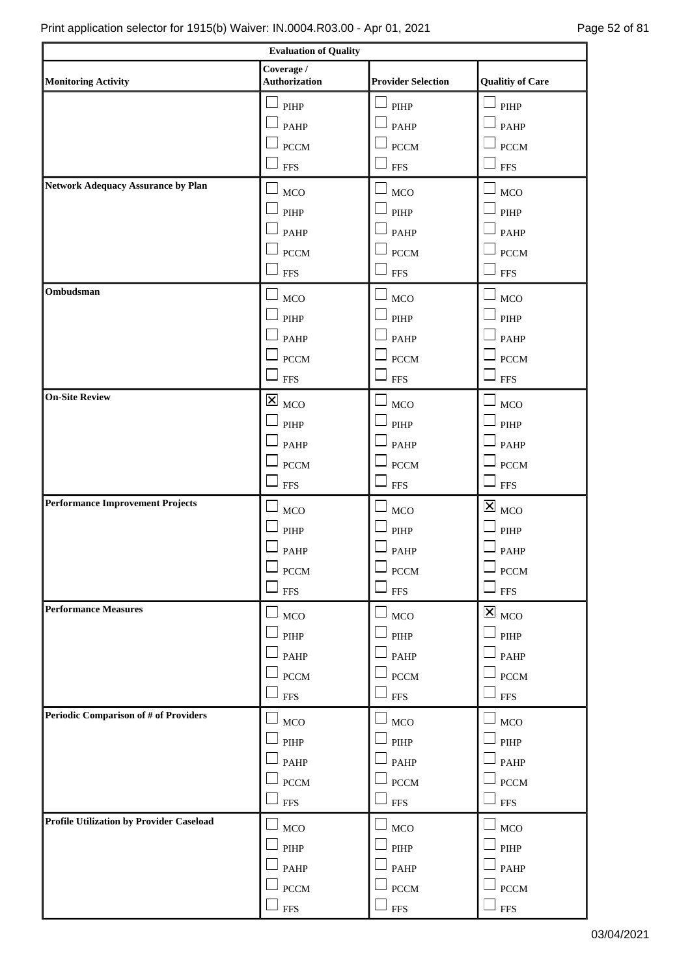$\mathsf{r}$ 

٦

| <b>Evaluation of Quality</b>                    |                                     |                              |                                        |  |  |
|-------------------------------------------------|-------------------------------------|------------------------------|----------------------------------------|--|--|
| <b>Monitoring Activity</b>                      | Coverage /<br><b>Authorization</b>  | <b>Provider Selection</b>    | <b>Qualitiy of Care</b>                |  |  |
|                                                 | $\ensuremath{\mathrm{PIHP}}$        | PIHP                         | $\overline{\phantom{a}}$ pihp          |  |  |
|                                                 | PAHP                                | PAHP                         | $\Box$ PAHP                            |  |  |
|                                                 | <b>PCCM</b>                         | $-$ PCCM                     | $\perp$ pccm                           |  |  |
|                                                 | <b>FFS</b>                          | <b>FFS</b>                   | $\Box$ FFS                             |  |  |
| <b>Network Adequacy Assurance by Plan</b>       | <b>MCO</b>                          | MCO                          | $\perp$ <sub>MCO</sub>                 |  |  |
|                                                 | $\ensuremath{\mathrm{PIHP}}$        | PIHP                         | $\ensuremath{\mathrm{PIHP}}$           |  |  |
|                                                 | PAHP                                | <b>PAHP</b>                  | $\mathsf{\mathsf{I}}$ PAHP             |  |  |
|                                                 | <b>PCCM</b>                         |                              | $\perp$ PCCM                           |  |  |
|                                                 | <b>FFS</b>                          | <b>PCCM</b><br><b>FFS</b>    | $\Box$ FFS                             |  |  |
| Ombudsman                                       |                                     |                              |                                        |  |  |
|                                                 | <b>MCO</b>                          | <b>MCO</b>                   | <b>MCO</b>                             |  |  |
|                                                 | $\ensuremath{\mathsf{PIHP}}\xspace$ | PIHP                         | PIHP                                   |  |  |
|                                                 | <b>PAHP</b>                         | <b>PAHP</b>                  | PAHP                                   |  |  |
|                                                 | <b>PCCM</b>                         | <b>PCCM</b>                  | $\perp$ PCCM                           |  |  |
|                                                 | <b>FFS</b>                          | <b>FFS</b>                   | <b>FFS</b>                             |  |  |
| <b>On-Site Review</b>                           | $\boxtimes$<br><b>MCO</b>           | MCO                          | $\Box$ MCO                             |  |  |
|                                                 | PIHP                                | PIHP                         | $\overline{\phantom{a}}$ PIHP          |  |  |
|                                                 | PAHP                                | <b>PAHP</b>                  | $\mathsf{\mathsf{J}}$ PAHP             |  |  |
|                                                 | <b>PCCM</b>                         | <b>PCCM</b>                  | $\perp$ PCCM                           |  |  |
|                                                 | <b>FFS</b>                          | <b>FFS</b>                   | $\square$ FFS                          |  |  |
| <b>Performance Improvement Projects</b>         | MCO                                 | <b>MCO</b>                   | $\mathbf{X}$ <sub>MCO</sub>            |  |  |
|                                                 | PIHP                                | $\ensuremath{\mathrm{PIHP}}$ | $\Box$ PIHP                            |  |  |
|                                                 | PAHP                                | PAHP                         | $\Box$ PAHP                            |  |  |
|                                                 | $\operatorname{PCCM}$               | $\operatorname{PCCM}$        | $\perp$ PCCM                           |  |  |
|                                                 | <b>FFS</b>                          | <b>FFS</b>                   | $\perp$ FFS                            |  |  |
| <b>Performance Measures</b>                     | <b>MCO</b>                          | MCO                          | $\overline{\mathbf{x}}$ <sub>MCO</sub> |  |  |
|                                                 | $\ensuremath{\mathrm{PIHP}}$        | PIHP                         | $\ensuremath{\mathrm{PIHP}}$           |  |  |
|                                                 | PAHP                                | PAHP                         | $\mathsf{\mathsf{J}}$ PAHP             |  |  |
|                                                 | $\rm{PCCM}$                         | <b>PCCM</b>                  | $\perp$ PCCM                           |  |  |
|                                                 | <b>FFS</b>                          | <b>FFS</b>                   | $\Box$ FFS                             |  |  |
| Periodic Comparison of # of Providers           | MCO                                 | MCO                          | <b>MCO</b>                             |  |  |
|                                                 | $\ensuremath{\mathrm{PIHP}}$        | $\ensuremath{\mathrm{PIHP}}$ | $\mathsf{\mathsf{J}}$ pihp             |  |  |
|                                                 | PAHP                                | PAHP                         | PAHP                                   |  |  |
|                                                 | $\rm{PCCM}$                         | <b>PCCM</b>                  | <b>PCCM</b>                            |  |  |
|                                                 | <b>FFS</b>                          | ${\rm FFS}$                  | <b>FFS</b>                             |  |  |
| <b>Profile Utilization by Provider Caseload</b> | MCO                                 | MCO                          | $\Box$ MCO                             |  |  |
|                                                 | $\ensuremath{\mathsf{PIHP}}\xspace$ | PIHP                         | $\ensuremath{\mathrm{PIHP}}$           |  |  |
|                                                 | PAHP                                | PAHP                         | $P$ AHP                                |  |  |
|                                                 | <b>PCCM</b>                         | <b>PCCM</b>                  | <b>PCCM</b>                            |  |  |
|                                                 | <b>FFS</b>                          | <b>FFS</b>                   | <b>FFS</b>                             |  |  |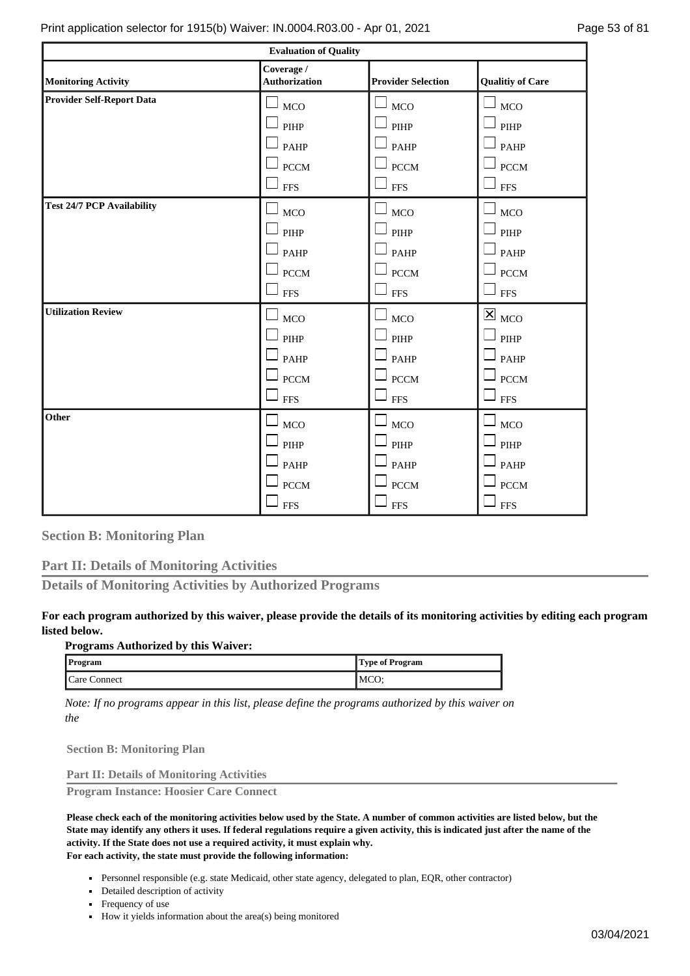| <b>Evaluation of Quality</b>      |                                    |                           |                                        |  |
|-----------------------------------|------------------------------------|---------------------------|----------------------------------------|--|
| <b>Monitoring Activity</b>        | Coverage /<br><b>Authorization</b> | <b>Provider Selection</b> | <b>Qualitiy of Care</b>                |  |
| <b>Provider Self-Report Data</b>  | <b>MCO</b>                         | $\Box$ MCO                | $_{\mathrm{MCO}}$                      |  |
|                                   | PIHP                               | $\Box$ PIHP               | PIHP                                   |  |
|                                   | PAHP                               | $\Box$ PAHP               | PAHP                                   |  |
|                                   | <b>PCCM</b>                        | $\Box$ PCCM               | <b>PCCM</b>                            |  |
|                                   | <b>FFS</b>                         | $\square$ FFS             | <b>FFS</b>                             |  |
| <b>Test 24/7 PCP Availability</b> | <b>MCO</b>                         | $\Box$ MCO                | MCO                                    |  |
|                                   | PIHP                               | $\Box$ PIHP               | PIHP                                   |  |
|                                   | PAHP                               | $\Box$ PAHP               | PAHP                                   |  |
|                                   | <b>PCCM</b>                        | $\Box$ PCCM               | <b>PCCM</b>                            |  |
|                                   | <b>FFS</b>                         | $\square$ FFS             | <b>FFS</b>                             |  |
| <b>Utilization Review</b>         | MCO                                | $\Box$<br><b>MCO</b>      | $\overline{\mathbf{x}}$ <sub>MCO</sub> |  |
|                                   | PIHP                               | $\Box$ PIHP               | $\ensuremath{\mathrm{PIHP}}$           |  |
|                                   | PAHP                               | $\Box$ PAHP               | PAHP                                   |  |
|                                   | <b>PCCM</b>                        | $\Box$ PCCM               | <b>PCCM</b>                            |  |
|                                   | <b>FFS</b>                         | $\Box$ FFS                | <b>FFS</b>                             |  |
| Other                             | MCO                                | <b>MCO</b>                | MCO                                    |  |
|                                   | PIHP                               | $\Box$ PIHP               | PIHP                                   |  |
|                                   | PAHP                               | $\Box$ PAHP               | PAHP                                   |  |
|                                   | <b>PCCM</b>                        | <b>PCCM</b>               | <b>PCCM</b>                            |  |
|                                   | <b>FFS</b>                         | $\Box$ FFS                | <b>FFS</b>                             |  |

**Section B: Monitoring Plan**

**Part II: Details of Monitoring Activities**

**Details of Monitoring Activities by Authorized Programs**

# **For each program authorized by this waiver, please provide the details of its monitoring activities by editing each program listed below.**

### **Programs Authorized by this Waiver:**

| <b>Program</b> | Type of Program |
|----------------|-----------------|
| Care Connect   | <b>MCO</b>      |

*Note: If no programs appear in this list, please define the programs authorized by this waiver on the*

**Section B: Monitoring Plan**

**Part II: Details of Monitoring Activities**

**Program Instance: Hoosier Care Connect**

**Please check each of the monitoring activities below used by the State. A number of common activities are listed below, but the State may identify any others it uses. If federal regulations require a given activity, this is indicated just after the name of the activity. If the State does not use a required activity, it must explain why. For each activity, the state must provide the following information:**

- Personnel responsible (e.g. state Medicaid, other state agency, delegated to plan, EQR, other contractor)
- Detailed description of activity
- Frequency of use
- How it yields information about the area(s) being monitored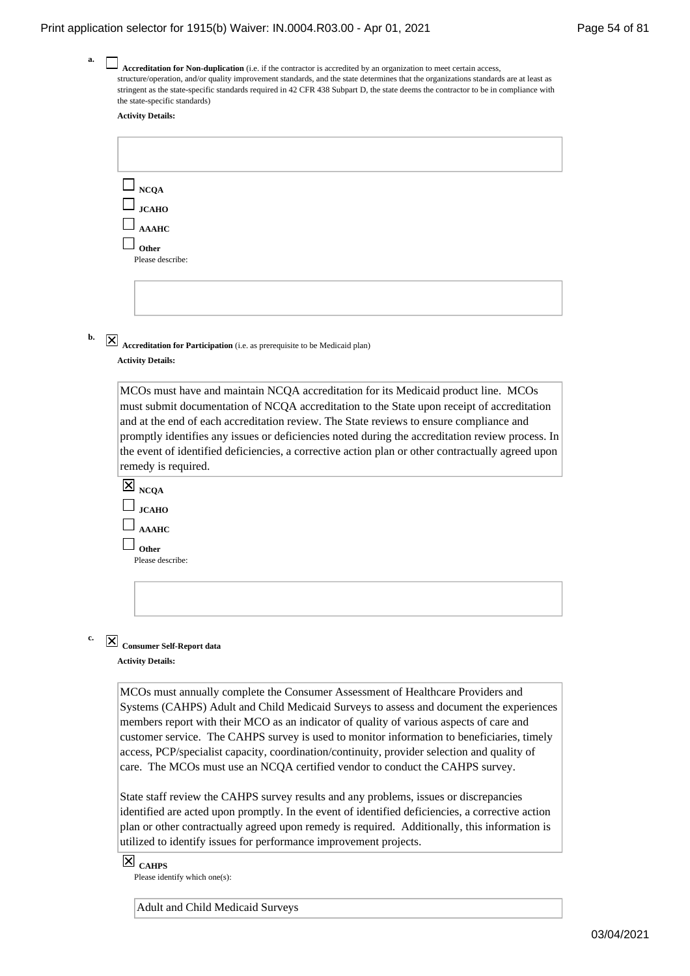| Accreditation for Non-duplication (i.e. if the contractor is accredited by an organization to meet certain access,<br>structure/operation, and/or quality improvement standards, and the state determines that the organizations standards are at least as |
|------------------------------------------------------------------------------------------------------------------------------------------------------------------------------------------------------------------------------------------------------------|
| stringent as the state-specific standards required in 42 CFR 438 Subpart D, the state deems the contractor to be in compliance with                                                                                                                        |
| the state-specific standards)                                                                                                                                                                                                                              |
| <b>Activity Details:</b>                                                                                                                                                                                                                                   |
|                                                                                                                                                                                                                                                            |

| $\begin{array}{c}\n\Box\n\end{array}$ $\begin{array}{c}\n\Box \text{NCQA} \\ \Box \text{JCAHO}\n\end{array}$ |
|--------------------------------------------------------------------------------------------------------------|
|                                                                                                              |
| $\Box$ AAAHC                                                                                                 |
| Other                                                                                                        |
| Please describe:                                                                                             |
|                                                                                                              |
|                                                                                                              |
|                                                                                                              |

**Accreditation for Participation** (i.e. as prerequisite to be Medicaid plan) **Activity Details:**

MCOs must have and maintain NCQA accreditation for its Medicaid product line. MCOs must submit documentation of NCQA accreditation to the State upon receipt of accreditation and at the end of each accreditation review. The State reviews to ensure compliance and promptly identifies any issues or deficiencies noted during the accreditation review process. In the event of identified deficiencies, a corrective action plan or other contractually agreed upon remedy is required.



**c.**

**a.**

**b.**

**Consumer Self-Report data Activity Details:**

> MCOs must annually complete the Consumer Assessment of Healthcare Providers and Systems (CAHPS) Adult and Child Medicaid Surveys to assess and document the experiences members report with their MCO as an indicator of quality of various aspects of care and customer service. The CAHPS survey is used to monitor information to beneficiaries, timely access, PCP/specialist capacity, coordination/continuity, provider selection and quality of care. The MCOs must use an NCQA certified vendor to conduct the CAHPS survey.

> State staff review the CAHPS survey results and any problems, issues or discrepancies identified are acted upon promptly. In the event of identified deficiencies, a corrective action plan or other contractually agreed upon remedy is required. Additionally, this information is utilized to identify issues for performance improvement projects.

**CAHPS**

Please identify which one(s):

Adult and Child Medicaid Surveys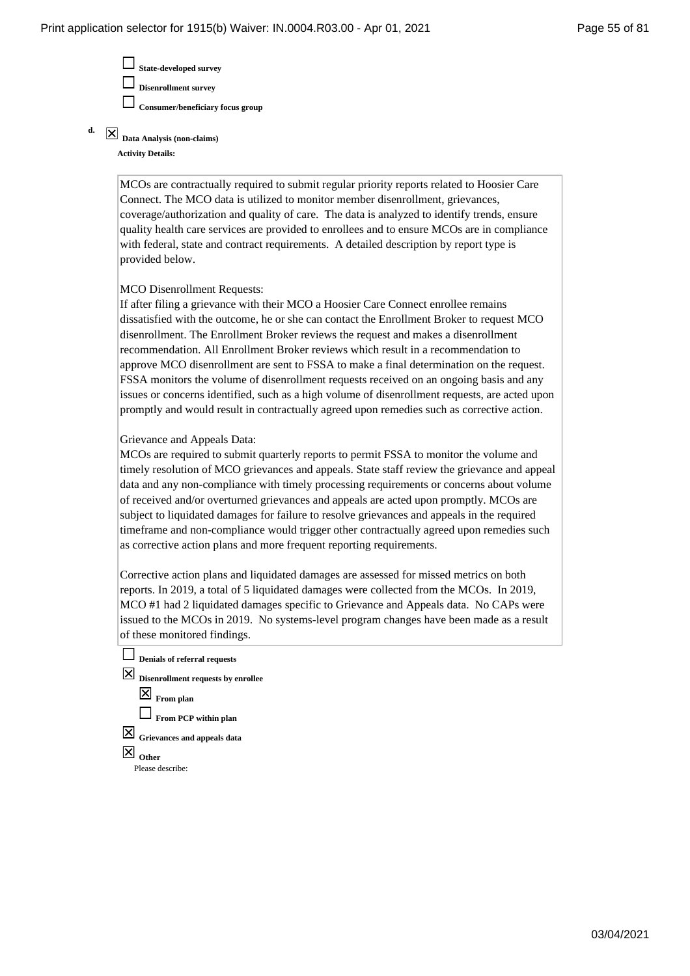**State-developed survey Disenrollment survey Consumer/beneficiary focus group**

**Data Analysis (non-claims) Activity Details: d.**

> MCOs are contractually required to submit regular priority reports related to Hoosier Care Connect. The MCO data is utilized to monitor member disenrollment, grievances, coverage/authorization and quality of care. The data is analyzed to identify trends, ensure quality health care services are provided to enrollees and to ensure MCOs are in compliance with federal, state and contract requirements. A detailed description by report type is provided below.

### MCO Disenrollment Requests:

If after filing a grievance with their MCO a Hoosier Care Connect enrollee remains dissatisfied with the outcome, he or she can contact the Enrollment Broker to request MCO disenrollment. The Enrollment Broker reviews the request and makes a disenrollment recommendation. All Enrollment Broker reviews which result in a recommendation to approve MCO disenrollment are sent to FSSA to make a final determination on the request. FSSA monitors the volume of disenrollment requests received on an ongoing basis and any issues or concerns identified, such as a high volume of disenrollment requests, are acted upon promptly and would result in contractually agreed upon remedies such as corrective action.

### Grievance and Appeals Data:

MCOs are required to submit quarterly reports to permit FSSA to monitor the volume and timely resolution of MCO grievances and appeals. State staff review the grievance and appeal data and any non-compliance with timely processing requirements or concerns about volume of received and/or overturned grievances and appeals are acted upon promptly. MCOs are subject to liquidated damages for failure to resolve grievances and appeals in the required timeframe and non-compliance would trigger other contractually agreed upon remedies such as corrective action plans and more frequent reporting requirements.

Corrective action plans and liquidated damages are assessed for missed metrics on both reports. In 2019, a total of 5 liquidated damages were collected from the MCOs. In 2019, MCO #1 had 2 liquidated damages specific to Grievance and Appeals data. No CAPs were issued to the MCOs in 2019. No systems-level program changes have been made as a result of these monitored findings.

- **Denials of referral requests**
- **Disenrollment requests by enrollee From plan From PCP** within plan **Grievances and appeals data Other** Please describe: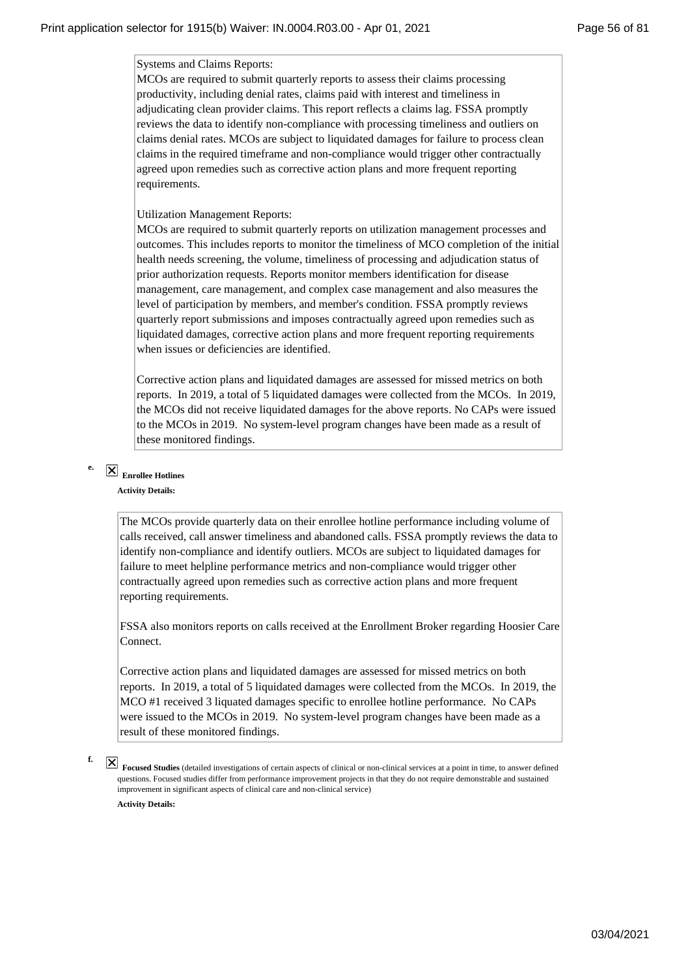Systems and Claims Reports:

MCOs are required to submit quarterly reports to assess their claims processing productivity, including denial rates, claims paid with interest and timeliness in adjudicating clean provider claims. This report reflects a claims lag. FSSA promptly reviews the data to identify non-compliance with processing timeliness and outliers on claims denial rates. MCOs are subject to liquidated damages for failure to process clean claims in the required timeframe and non-compliance would trigger other contractually agreed upon remedies such as corrective action plans and more frequent reporting requirements.

### Utilization Management Reports:

MCOs are required to submit quarterly reports on utilization management processes and outcomes. This includes reports to monitor the timeliness of MCO completion of the initial health needs screening, the volume, timeliness of processing and adjudication status of prior authorization requests. Reports monitor members identification for disease management, care management, and complex case management and also measures the level of participation by members, and member's condition. FSSA promptly reviews quarterly report submissions and imposes contractually agreed upon remedies such as liquidated damages, corrective action plans and more frequent reporting requirements when issues or deficiencies are identified.

Corrective action plans and liquidated damages are assessed for missed metrics on both reports. In 2019, a total of 5 liquidated damages were collected from the MCOs. In 2019, the MCOs did not receive liquidated damages for the above reports. No CAPs were issued to the MCOs in 2019. No system-level program changes have been made as a result of these monitored findings.

# **Enrollee Hotlines**

**e.**

**Activity Details:**

The MCOs provide quarterly data on their enrollee hotline performance including volume of calls received, call answer timeliness and abandoned calls. FSSA promptly reviews the data to identify non-compliance and identify outliers. MCOs are subject to liquidated damages for failure to meet helpline performance metrics and non-compliance would trigger other contractually agreed upon remedies such as corrective action plans and more frequent reporting requirements.

FSSA also monitors reports on calls received at the Enrollment Broker regarding Hoosier Care Connect.

Corrective action plans and liquidated damages are assessed for missed metrics on both reports. In 2019, a total of 5 liquidated damages were collected from the MCOs. In 2019, the MCO #1 received 3 liquated damages specific to enrollee hotline performance. No CAPs were issued to the MCOs in 2019. No system-level program changes have been made as a result of these monitored findings.

### **f.**

**Focused Studies** (detailed investigations of certain aspects of clinical or non-clinical services at a point in time, to answer defined questions. Focused studies differ from performance improvement projects in that they do not require demonstrable and sustained improvement in significant aspects of clinical care and non-clinical service) **Activity Details:**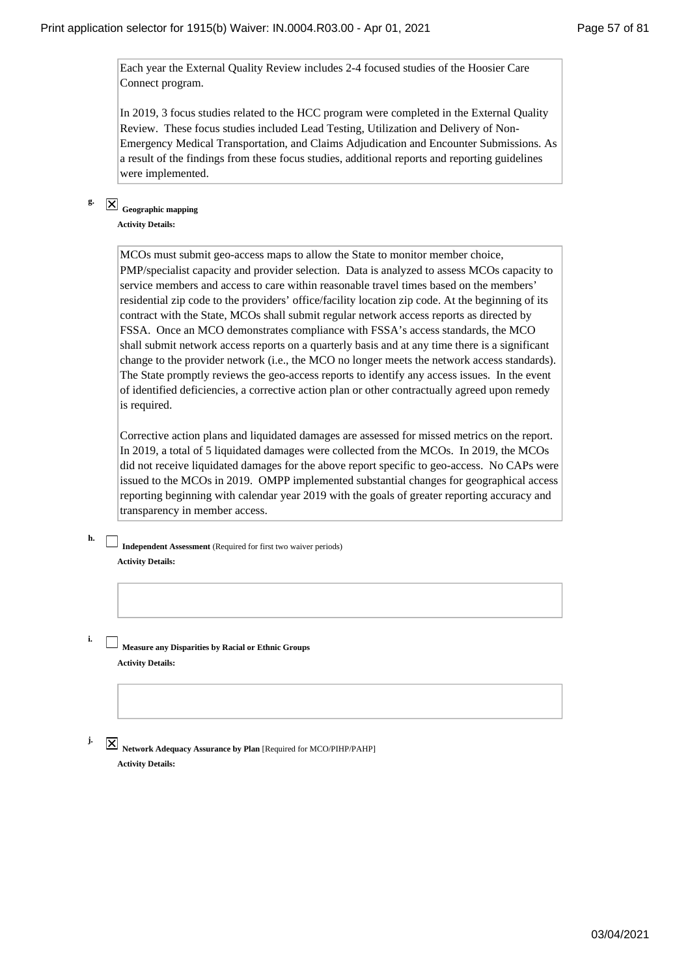Each year the External Quality Review includes 2-4 focused studies of the Hoosier Care Connect program.

In 2019, 3 focus studies related to the HCC program were completed in the External Quality Review. These focus studies included Lead Testing, Utilization and Delivery of Non-Emergency Medical Transportation, and Claims Adjudication and Encounter Submissions. As a result of the findings from these focus studies, additional reports and reporting guidelines were implemented.

# **Geographic mapping**

**g.**

**Activity Details:**

MCOs must submit geo-access maps to allow the State to monitor member choice, PMP/specialist capacity and provider selection. Data is analyzed to assess MCOs capacity to service members and access to care within reasonable travel times based on the members' residential zip code to the providers' office/facility location zip code. At the beginning of its contract with the State, MCOs shall submit regular network access reports as directed by FSSA. Once an MCO demonstrates compliance with FSSA's access standards, the MCO shall submit network access reports on a quarterly basis and at any time there is a significant change to the provider network (i.e., the MCO no longer meets the network access standards). The State promptly reviews the geo-access reports to identify any access issues. In the event of identified deficiencies, a corrective action plan or other contractually agreed upon remedy is required.

Corrective action plans and liquidated damages are assessed for missed metrics on the report. In 2019, a total of 5 liquidated damages were collected from the MCOs. In 2019, the MCOs did not receive liquidated damages for the above report specific to geo-access. No CAPs were issued to the MCOs in 2019. OMPP implemented substantial changes for geographical access reporting beginning with calendar year 2019 with the goals of greater reporting accuracy and transparency in member access.

**Independent Assessment** (Required for first two waiver periods) **Activity Details:**

**Measure any Disparities by Racial or Ethnic Groups Activity Details:**

**j.**

**h.**

**i.**

 $\boxed{\text{X}}$  Network Adequacy Assurance by Plan [Required for MCO/PIHP/PAHP] **Activity Details:**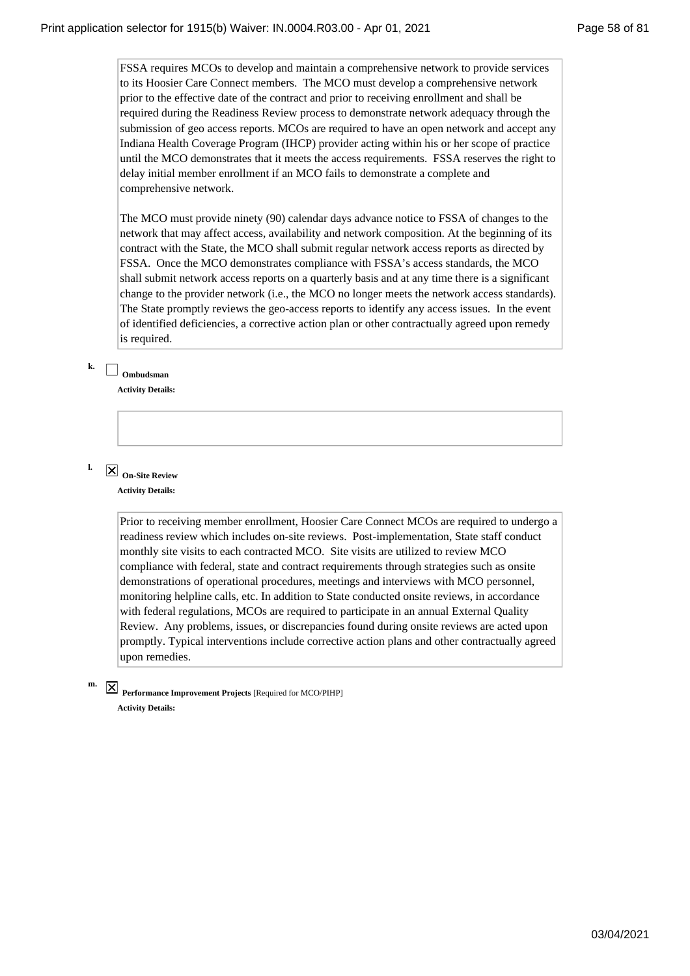FSSA requires MCOs to develop and maintain a comprehensive network to provide services to its Hoosier Care Connect members. The MCO must develop a comprehensive network prior to the effective date of the contract and prior to receiving enrollment and shall be required during the Readiness Review process to demonstrate network adequacy through the submission of geo access reports. MCOs are required to have an open network and accept any Indiana Health Coverage Program (IHCP) provider acting within his or her scope of practice until the MCO demonstrates that it meets the access requirements. FSSA reserves the right to delay initial member enrollment if an MCO fails to demonstrate a complete and comprehensive network.

The MCO must provide ninety (90) calendar days advance notice to FSSA of changes to the network that may affect access, availability and network composition. At the beginning of its contract with the State, the MCO shall submit regular network access reports as directed by FSSA. Once the MCO demonstrates compliance with FSSA's access standards, the MCO shall submit network access reports on a quarterly basis and at any time there is a significant change to the provider network (i.e., the MCO no longer meets the network access standards). The State promptly reviews the geo-access reports to identify any access issues. In the event of identified deficiencies, a corrective action plan or other contractually agreed upon remedy is required.

# **Ombudsman**

**k.**

**l.**

**m.**

**Activity Details:**

**On-Site Review Activity Details:**

> Prior to receiving member enrollment, Hoosier Care Connect MCOs are required to undergo a readiness review which includes on-site reviews. Post-implementation, State staff conduct monthly site visits to each contracted MCO. Site visits are utilized to review MCO compliance with federal, state and contract requirements through strategies such as onsite demonstrations of operational procedures, meetings and interviews with MCO personnel, monitoring helpline calls, etc. In addition to State conducted onsite reviews, in accordance with federal regulations, MCOs are required to participate in an annual External Quality Review. Any problems, issues, or discrepancies found during onsite reviews are acted upon promptly. Typical interventions include corrective action plans and other contractually agreed upon remedies.

# **Performance Improvement Projects** [Required for MCO/PIHP] **Activity Details:**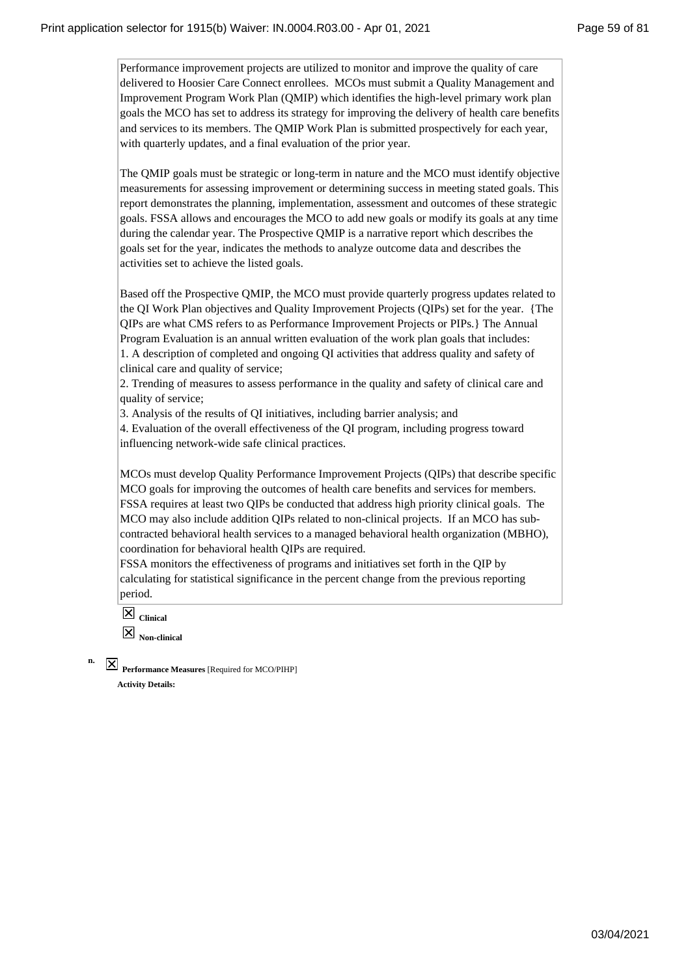Performance improvement projects are utilized to monitor and improve the quality of care delivered to Hoosier Care Connect enrollees. MCOs must submit a Quality Management and Improvement Program Work Plan (QMIP) which identifies the high-level primary work plan goals the MCO has set to address its strategy for improving the delivery of health care benefits and services to its members. The QMIP Work Plan is submitted prospectively for each year, with quarterly updates, and a final evaluation of the prior year.

The QMIP goals must be strategic or long-term in nature and the MCO must identify objective measurements for assessing improvement or determining success in meeting stated goals. This report demonstrates the planning, implementation, assessment and outcomes of these strategic goals. FSSA allows and encourages the MCO to add new goals or modify its goals at any time during the calendar year. The Prospective QMIP is a narrative report which describes the goals set for the year, indicates the methods to analyze outcome data and describes the activities set to achieve the listed goals.

Based off the Prospective QMIP, the MCO must provide quarterly progress updates related to the QI Work Plan objectives and Quality Improvement Projects (QIPs) set for the year. {The QIPs are what CMS refers to as Performance Improvement Projects or PIPs.} The Annual Program Evaluation is an annual written evaluation of the work plan goals that includes: 1. A description of completed and ongoing QI activities that address quality and safety of clinical care and quality of service;

2. Trending of measures to assess performance in the quality and safety of clinical care and quality of service;

3. Analysis of the results of QI initiatives, including barrier analysis; and

4. Evaluation of the overall effectiveness of the QI program, including progress toward influencing network-wide safe clinical practices.

MCOs must develop Quality Performance Improvement Projects (QIPs) that describe specific MCO goals for improving the outcomes of health care benefits and services for members. FSSA requires at least two QIPs be conducted that address high priority clinical goals. The MCO may also include addition QIPs related to non-clinical projects. If an MCO has subcontracted behavioral health services to a managed behavioral health organization (MBHO), coordination for behavioral health QIPs are required.

FSSA monitors the effectiveness of programs and initiatives set forth in the QIP by calculating for statistical significance in the percent change from the previous reporting period.

**Clinical Non-clinical**

**n.**

**Performance Measures** [Required for MCO/PIHP] **Activity Details:**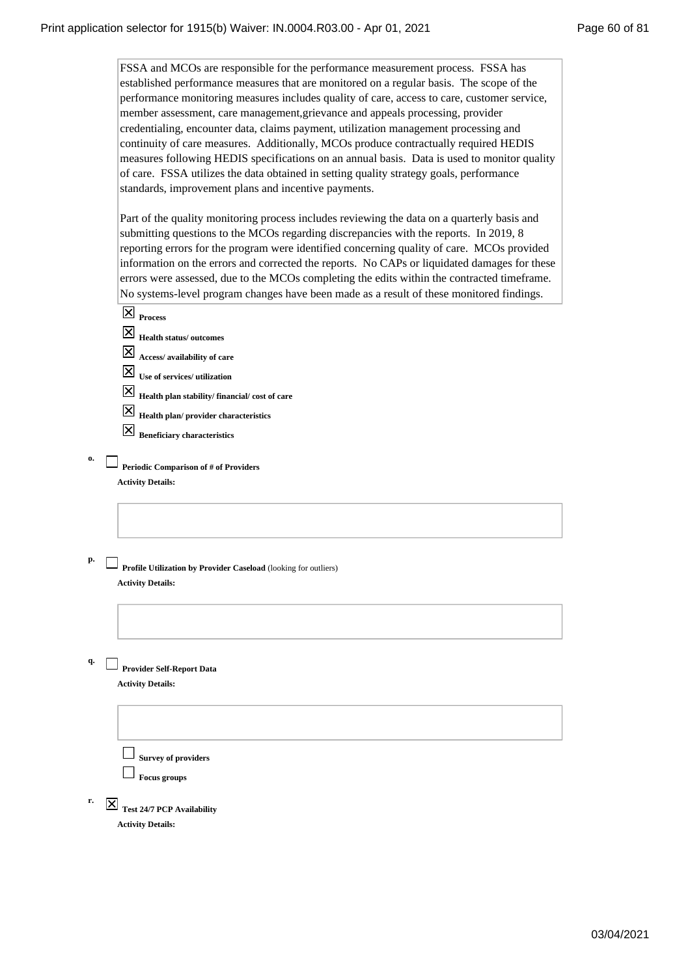FSSA and MCOs are responsible for the performance measurement process. FSSA has established performance measures that are monitored on a regular basis. The scope of the performance monitoring measures includes quality of care, access to care, customer service, member assessment, care management,grievance and appeals processing, provider credentialing, encounter data, claims payment, utilization management processing and continuity of care measures. Additionally, MCOs produce contractually required HEDIS measures following HEDIS specifications on an annual basis. Data is used to monitor quality of care. FSSA utilizes the data obtained in setting quality strategy goals, performance standards, improvement plans and incentive payments.

Part of the quality monitoring process includes reviewing the data on a quarterly basis and submitting questions to the MCOs regarding discrepancies with the reports. In 2019, 8 reporting errors for the program were identified concerning quality of care. MCOs provided information on the errors and corrected the reports. No CAPs or liquidated damages for these errors were assessed, due to the MCOs completing the edits within the contracted timeframe. No systems-level program changes have been made as a result of these monitored findings.

|  | ۱ |
|--|---|
|--|---|

**o.**

**q.**

**Health status/ outcomes**

**Access/ availability of care**

**Use of services/ utilization**

**Health plan stability/ financial/ cost of care**

**Health plan/ provider characteristics**

**Beneficiary characteristics**

**Periodic Comparison of # of Providers Activity Details:**

- **p. Profile Utilization by Provider Caseload** (looking for outliers) **Activity Details:**
	- **Provider Self-Report Data**

**Activity Details:**

**Survey of providers**

**Focus groups**

**Test 24/7 PCP Availability Activity Details: r.**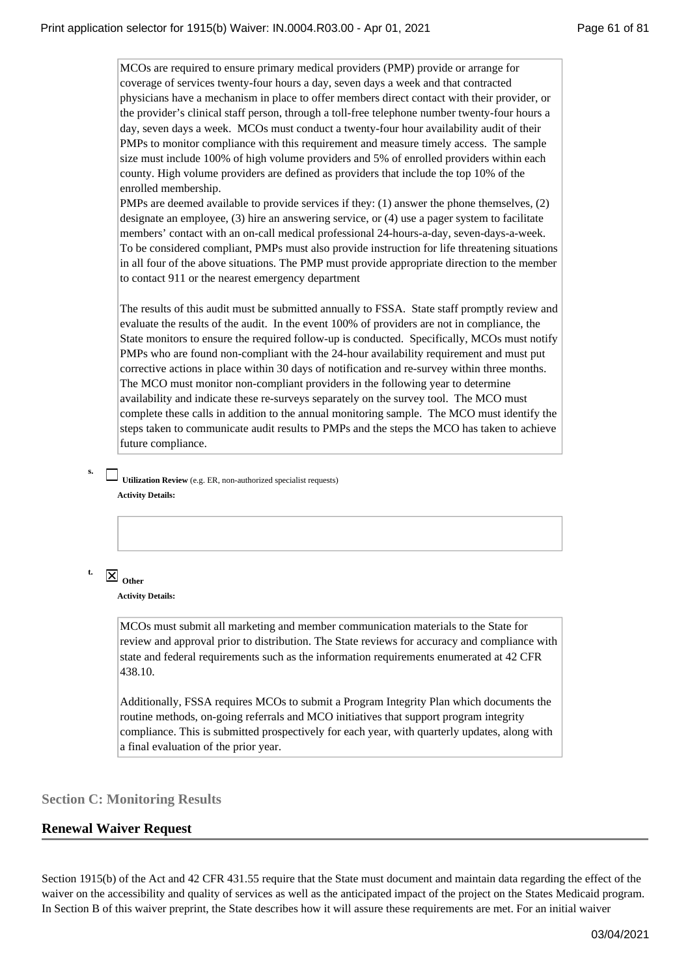MCOs are required to ensure primary medical providers (PMP) provide or arrange for coverage of services twenty-four hours a day, seven days a week and that contracted physicians have a mechanism in place to offer members direct contact with their provider, or the provider's clinical staff person, through a toll-free telephone number twenty-four hours a day, seven days a week. MCOs must conduct a twenty-four hour availability audit of their PMPs to monitor compliance with this requirement and measure timely access. The sample size must include 100% of high volume providers and 5% of enrolled providers within each county. High volume providers are defined as providers that include the top 10% of the enrolled membership.

PMPs are deemed available to provide services if they: (1) answer the phone themselves, (2) designate an employee, (3) hire an answering service, or (4) use a pager system to facilitate members' contact with an on-call medical professional 24-hours-a-day, seven-days-a-week. To be considered compliant, PMPs must also provide instruction for life threatening situations in all four of the above situations. The PMP must provide appropriate direction to the member to contact 911 or the nearest emergency department

The results of this audit must be submitted annually to FSSA. State staff promptly review and evaluate the results of the audit. In the event 100% of providers are not in compliance, the State monitors to ensure the required follow-up is conducted. Specifically, MCOs must notify PMPs who are found non-compliant with the 24-hour availability requirement and must put corrective actions in place within 30 days of notification and re-survey within three months. The MCO must monitor non-compliant providers in the following year to determine availability and indicate these re-surveys separately on the survey tool. The MCO must complete these calls in addition to the annual monitoring sample. The MCO must identify the steps taken to communicate audit results to PMPs and the steps the MCO has taken to achieve future compliance.

**s.**

**Utilization Review** (e.g. ER, non-authorized specialist requests) **Activity Details:**



**Activity Details:**

MCOs must submit all marketing and member communication materials to the State for review and approval prior to distribution. The State reviews for accuracy and compliance with state and federal requirements such as the information requirements enumerated at 42 CFR 438.10.

Additionally, FSSA requires MCOs to submit a Program Integrity Plan which documents the routine methods, on-going referrals and MCO initiatives that support program integrity compliance. This is submitted prospectively for each year, with quarterly updates, along with a final evaluation of the prior year.

**Section C: Monitoring Results**

# **Renewal Waiver Request**

Section 1915(b) of the Act and 42 CFR 431.55 require that the State must document and maintain data regarding the effect of the waiver on the accessibility and quality of services as well as the anticipated impact of the project on the States Medicaid program. In Section B of this waiver preprint, the State describes how it will assure these requirements are met. For an initial waiver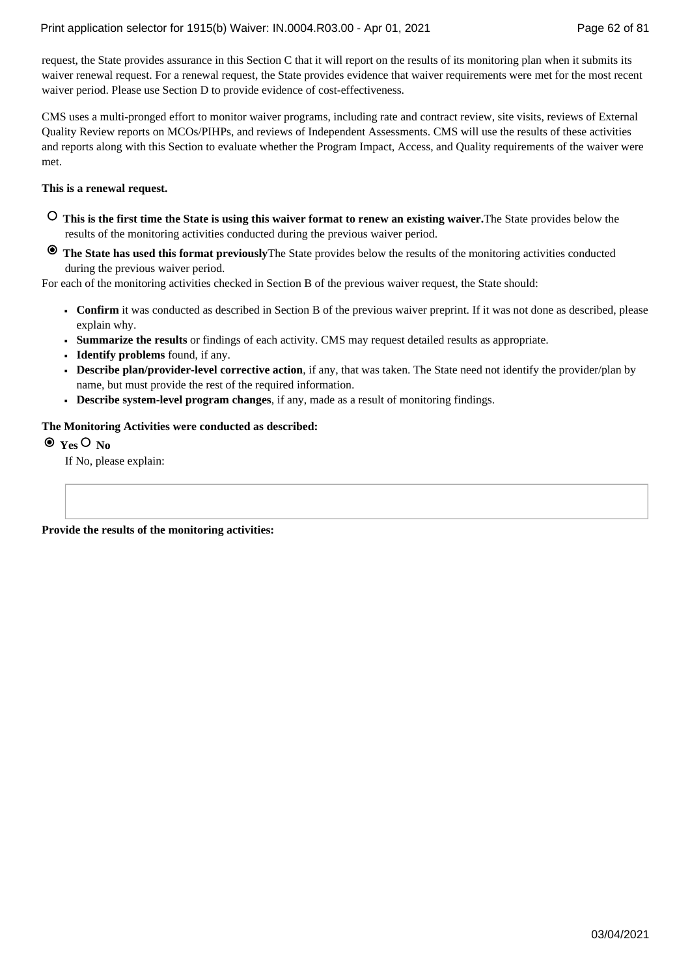request, the State provides assurance in this Section C that it will report on the results of its monitoring plan when it submits its waiver renewal request. For a renewal request, the State provides evidence that waiver requirements were met for the most recent waiver period. Please use Section D to provide evidence of cost-effectiveness.

CMS uses a multi-pronged effort to monitor waiver programs, including rate and contract review, site visits, reviews of External Quality Review reports on MCOs/PIHPs, and reviews of Independent Assessments. CMS will use the results of these activities and reports along with this Section to evaluate whether the Program Impact, Access, and Quality requirements of the waiver were met.

### **This is a renewal request.**

- **This is the first time the State is using this waiver format to renew an existing waiver.**The State provides below the results of the monitoring activities conducted during the previous waiver period.
- **The State has used this format previously**The State provides below the results of the monitoring activities conducted during the previous waiver period.

For each of the monitoring activities checked in Section B of the previous waiver request, the State should:

- **Confirm** it was conducted as described in Section B of the previous waiver preprint. If it was not done as described, please **■** explain why.
- **■ Summarize the results** or findings of each activity. CMS may request detailed results as appropriate.
- **■ Identify problems** found, if any.
- **Describe plan/provider-level corrective action**, if any, that was taken. The State need not identify the provider/plan by **■** name, but must provide the rest of the required information.
- **■ Describe system-level program changes**, if any, made as a result of monitoring findings.

### **The Monitoring Activities were conducted as described:**

 $\odot$  <sub>Yes</sub>  $\odot$  <sub>No</sub>

If No, please explain:

**Provide the results of the monitoring activities:**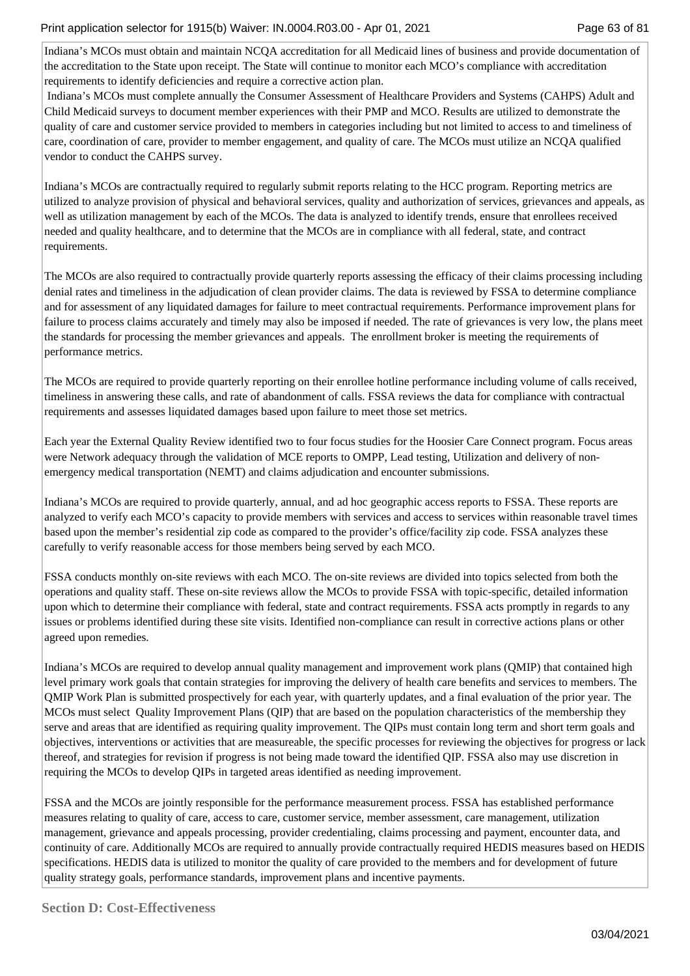Indiana's MCOs must obtain and maintain NCQA accreditation for all Medicaid lines of business and provide documentation of the accreditation to the State upon receipt. The State will continue to monitor each MCO's compliance with accreditation requirements to identify deficiencies and require a corrective action plan.

 Indiana's MCOs must complete annually the Consumer Assessment of Healthcare Providers and Systems (CAHPS) Adult and Child Medicaid surveys to document member experiences with their PMP and MCO. Results are utilized to demonstrate the quality of care and customer service provided to members in categories including but not limited to access to and timeliness of care, coordination of care, provider to member engagement, and quality of care. The MCOs must utilize an NCQA qualified vendor to conduct the CAHPS survey.

Indiana's MCOs are contractually required to regularly submit reports relating to the HCC program. Reporting metrics are utilized to analyze provision of physical and behavioral services, quality and authorization of services, grievances and appeals, as well as utilization management by each of the MCOs. The data is analyzed to identify trends, ensure that enrollees received needed and quality healthcare, and to determine that the MCOs are in compliance with all federal, state, and contract requirements.

The MCOs are also required to contractually provide quarterly reports assessing the efficacy of their claims processing including denial rates and timeliness in the adjudication of clean provider claims. The data is reviewed by FSSA to determine compliance and for assessment of any liquidated damages for failure to meet contractual requirements. Performance improvement plans for failure to process claims accurately and timely may also be imposed if needed. The rate of grievances is very low, the plans meet the standards for processing the member grievances and appeals. The enrollment broker is meeting the requirements of performance metrics.

The MCOs are required to provide quarterly reporting on their enrollee hotline performance including volume of calls received, timeliness in answering these calls, and rate of abandonment of calls. FSSA reviews the data for compliance with contractual requirements and assesses liquidated damages based upon failure to meet those set metrics.

Each year the External Quality Review identified two to four focus studies for the Hoosier Care Connect program. Focus areas were Network adequacy through the validation of MCE reports to OMPP, Lead testing, Utilization and delivery of nonemergency medical transportation (NEMT) and claims adjudication and encounter submissions.

Indiana's MCOs are required to provide quarterly, annual, and ad hoc geographic access reports to FSSA. These reports are analyzed to verify each MCO's capacity to provide members with services and access to services within reasonable travel times based upon the member's residential zip code as compared to the provider's office/facility zip code. FSSA analyzes these carefully to verify reasonable access for those members being served by each MCO.

FSSA conducts monthly on-site reviews with each MCO. The on-site reviews are divided into topics selected from both the operations and quality staff. These on-site reviews allow the MCOs to provide FSSA with topic-specific, detailed information upon which to determine their compliance with federal, state and contract requirements. FSSA acts promptly in regards to any issues or problems identified during these site visits. Identified non-compliance can result in corrective actions plans or other agreed upon remedies.

Indiana's MCOs are required to develop annual quality management and improvement work plans (QMIP) that contained high level primary work goals that contain strategies for improving the delivery of health care benefits and services to members. The QMIP Work Plan is submitted prospectively for each year, with quarterly updates, and a final evaluation of the prior year. The MCOs must select Quality Improvement Plans (QIP) that are based on the population characteristics of the membership they serve and areas that are identified as requiring quality improvement. The QIPs must contain long term and short term goals and objectives, interventions or activities that are measureable, the specific processes for reviewing the objectives for progress or lack thereof, and strategies for revision if progress is not being made toward the identified QIP. FSSA also may use discretion in requiring the MCOs to develop QIPs in targeted areas identified as needing improvement.

FSSA and the MCOs are jointly responsible for the performance measurement process. FSSA has established performance measures relating to quality of care, access to care, customer service, member assessment, care management, utilization management, grievance and appeals processing, provider credentialing, claims processing and payment, encounter data, and continuity of care. Additionally MCOs are required to annually provide contractually required HEDIS measures based on HEDIS specifications. HEDIS data is utilized to monitor the quality of care provided to the members and for development of future quality strategy goals, performance standards, improvement plans and incentive payments.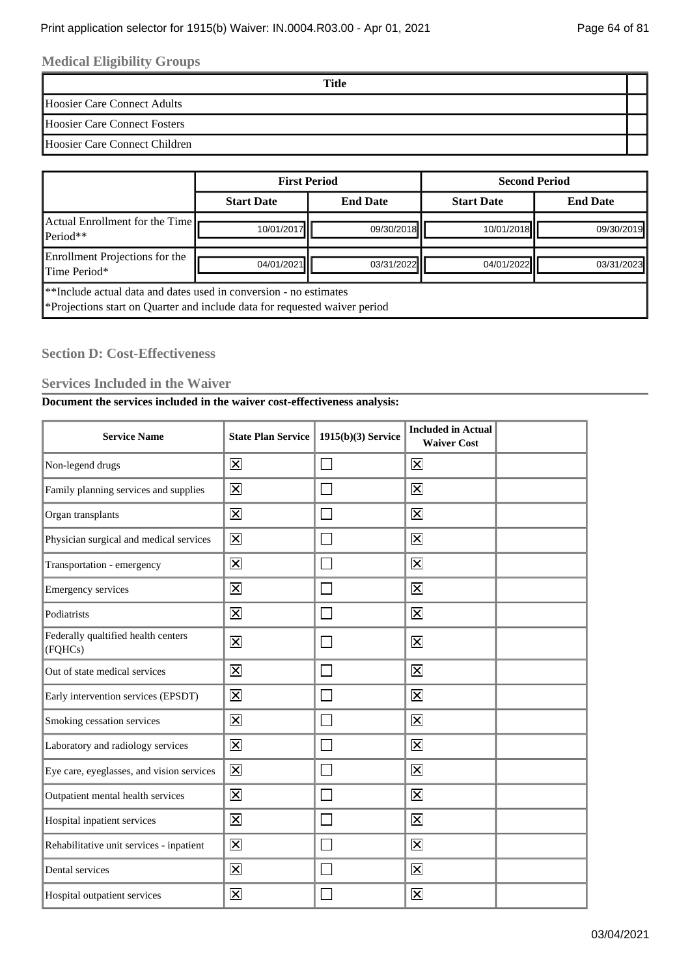# **Medical Eligibility Groups**

**Title**

Hoosier Care Connect Adults

Hoosier Care Connect Fosters

Hoosier Care Connect Children

|                                                                                                                                                          | <b>First Period</b> |                 | <b>Second Period</b> |                 |
|----------------------------------------------------------------------------------------------------------------------------------------------------------|---------------------|-----------------|----------------------|-----------------|
|                                                                                                                                                          | <b>Start Date</b>   | <b>End Date</b> | <b>Start Date</b>    | <b>End Date</b> |
| Actual Enrollment for the Time<br>Period**                                                                                                               | 10/01/2017          | 09/30/2018      | 10/01/2018           | 09/30/2019      |
| Enrollment Projections for the<br>Time Period*                                                                                                           | 04/01/2021          | 03/31/2022      | 04/01/2022           | 03/31/2023      |
| <b>E</b> **Include actual data and dates used in conversion - no estimates<br>*Projections start on Quarter and include data for requested waiver period |                     |                 |                      |                 |

# **Section D: Cost-Effectiveness**

### **Services Included in the Waiver**

# **Document the services included in the waiver cost-effectiveness analysis:**

| <b>Service Name</b>                            | <b>State Plan Service</b> | 1915(b)(3) Service | <b>Included in Actual</b><br><b>Waiver Cost</b> |  |
|------------------------------------------------|---------------------------|--------------------|-------------------------------------------------|--|
| Non-legend drugs                               | $\overline{\mathsf{x}}$   |                    | $\overline{\mathsf{x}}$                         |  |
| Family planning services and supplies          | $\overline{\mathsf{x}}$   |                    | $\overline{\mathsf{x}}$                         |  |
| Organ transplants                              | $\overline{\mathsf{x}}$   |                    | $\overline{\mathsf{x}}$                         |  |
| Physician surgical and medical services        | $\overline{\mathsf{x}}$   |                    | $\overline{\mathsf{x}}$                         |  |
| Transportation - emergency                     | $\overline{\mathsf{x}}$   |                    | $\overline{\mathsf{x}}$                         |  |
| <b>Emergency services</b>                      | $\overline{\mathsf{x}}$   |                    | $\overline{\mathsf{x}}$                         |  |
| Podiatrists                                    | $\overline{\mathsf{x}}$   |                    | $\overline{\mathsf{x}}$                         |  |
| Federally qualtified health centers<br>(FQHCs) | $\overline{\mathsf{x}}$   |                    | $\overline{\mathsf{x}}$                         |  |
| Out of state medical services                  | $\overline{\mathsf{x}}$   |                    | $\overline{\mathbf{x}}$                         |  |
| Early intervention services (EPSDT)            | $\overline{\mathsf{x}}$   |                    | $\overline{\mathsf{x}}$                         |  |
| Smoking cessation services                     | $\overline{\mathsf{x}}$   |                    | $\overline{\mathsf{x}}$                         |  |
| Laboratory and radiology services              | $\overline{\mathsf{x}}$   |                    | $\overline{\mathsf{x}}$                         |  |
| Eye care, eyeglasses, and vision services      | $\overline{\mathsf{x}}$   |                    | $\overline{\mathsf{x}}$                         |  |
| Outpatient mental health services              | $\overline{\mathsf{x}}$   |                    | $\overline{\mathsf{x}}$                         |  |
| Hospital inpatient services                    | $\overline{\mathsf{x}}$   |                    | $\overline{\mathsf{x}}$                         |  |
| Rehabilitative unit services - inpatient       | $\overline{\mathsf{x}}$   |                    | $\overline{\mathsf{x}}$                         |  |
| Dental services                                | $\overline{\mathsf{x}}$   |                    | $\overline{\mathsf{x}}$                         |  |
| Hospital outpatient services                   | $\overline{\mathsf{x}}$   |                    | $\overline{\mathsf{x}}$                         |  |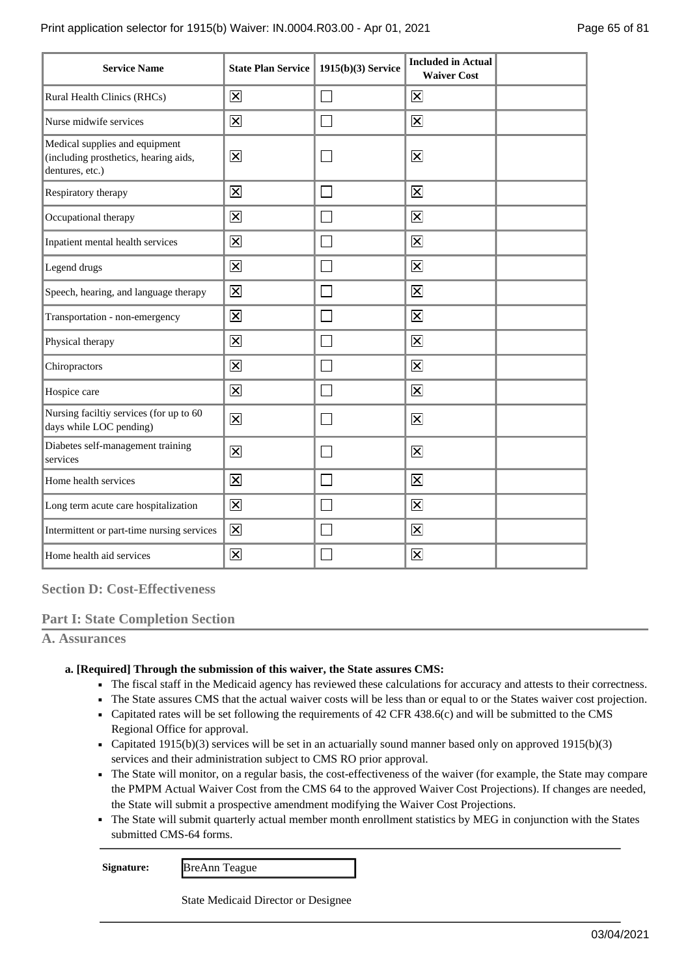| <b>Service Name</b>                                                                        | <b>State Plan Service</b> | $1915(b)(3)$ Service | <b>Included in Actual</b><br><b>Waiver Cost</b> |  |
|--------------------------------------------------------------------------------------------|---------------------------|----------------------|-------------------------------------------------|--|
| Rural Health Clinics (RHCs)                                                                | $\mathbf{\overline{X}}$   | Ξ                    | $\overline{\mathsf{x}}$                         |  |
| Nurse midwife services                                                                     | $\overline{\mathsf{x}}$   |                      | $\overline{\mathsf{x}}$                         |  |
| Medical supplies and equipment<br>(including prosthetics, hearing aids,<br>dentures, etc.) | $\overline{\mathsf{x}}$   |                      | $\mathbf{\overline{X}}$                         |  |
| Respiratory therapy                                                                        | $\overline{\mathsf{x}}$   |                      | $\overline{\mathbf{x}}$                         |  |
| Occupational therapy                                                                       | $\overline{\mathsf{x}}$   |                      | $\overline{\mathsf{x}}$                         |  |
| Inpatient mental health services                                                           | $\overline{\mathsf{x}}$   |                      | $\overline{\mathsf{x}}$                         |  |
| Legend drugs                                                                               | $\overline{\mathsf{x}}$   |                      | $\overline{\mathsf{x}}$                         |  |
| Speech, hearing, and language therapy                                                      | $\overline{\mathsf{x}}$   |                      | $\overline{\mathsf{x}}$                         |  |
| Transportation - non-emergency                                                             | $\overline{\mathsf{x}}$   |                      | $\overline{\mathsf{x}}$                         |  |
| Physical therapy                                                                           | $\overline{\mathsf{x}}$   |                      | $\overline{\mathsf{x}}$                         |  |
| Chiropractors                                                                              | $\overline{\mathsf{x}}$   |                      | $\mathbf{\overline{X}}$                         |  |
| Hospice care                                                                               | $\mathsf{\overline{X}}$   |                      | $\overline{\mathsf{x}}$                         |  |
| Nursing faciltiy services (for up to 60<br>days while LOC pending)                         | $\overline{\mathsf{x}}$   |                      | $\overline{\mathsf{x}}$                         |  |
| Diabetes self-management training<br>services                                              | $\boxtimes$               |                      | $\overline{\mathbf{x}}$                         |  |
| Home health services                                                                       | $\overline{\mathsf{x}}$   |                      | $\overline{\mathsf{x}}$                         |  |
| Long term acute care hospitalization                                                       | 区                         |                      | $\overline{\mathbf{x}}$                         |  |
| Intermittent or part-time nursing services                                                 | $\overline{\mathsf{x}}$   |                      | $\overline{\mathsf{x}}$                         |  |
| Home health aid services                                                                   | $\overline{\mathsf{x}}$   |                      | $\overline{\mathsf{x}}$                         |  |

**Section D: Cost-Effectiveness**

# **Part I: State Completion Section**

**A. Assurances**

### **[Required] Through the submission of this waiver, the State assures CMS: a.**

- The fiscal staff in the Medicaid agency has reviewed these calculations for accuracy and attests to their correctness.
- The State assures CMS that the actual waiver costs will be less than or equal to or the States waiver cost projection.
- Capitated rates will be set following the requirements of 42 CFR 438.6(c) and will be submitted to the CMS Regional Office for approval.
- Capitated 1915(b)(3) services will be set in an actuarially sound manner based only on approved 1915(b)(3) services and their administration subject to CMS RO prior approval.
- The State will monitor, on a regular basis, the cost-effectiveness of the waiver (for example, the State may compare the PMPM Actual Waiver Cost from the CMS 64 to the approved Waiver Cost Projections). If changes are needed, the State will submit a prospective amendment modifying the Waiver Cost Projections.
- The State will submit quarterly actual member month enrollment statistics by MEG in conjunction with the States submitted CMS-64 forms.

**Signature:** BreAnn Teague

State Medicaid Director or Designee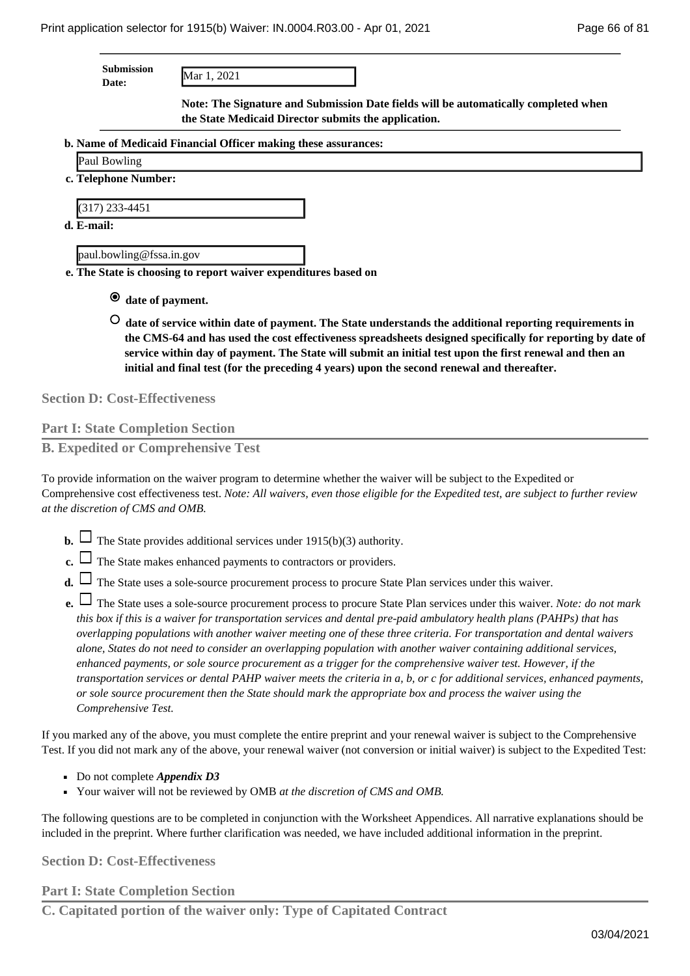| Submission |  |
|------------|--|
| nato:      |  |

**Date:** Mar 1, 2021

**Note: The Signature and Submission Date fields will be automatically completed when the State Medicaid Director submits the application.**

- **Name of Medicaid Financial Officer making these assurances: b.** 
	- Paul Bowling
- **Telephone Number: c.**

(317) 233-4451

**E-mail: d.** 

paul.bowling@fssa.in.gov

**The State is choosing to report waiver expenditures based on e.** 

- **date of payment.**
- **date of service within date of payment. The State understands the additional reporting requirements in the CMS-64 and has used the cost effectiveness spreadsheets designed specifically for reporting by date of service within day of payment. The State will submit an initial test upon the first renewal and then an initial and final test (for the preceding 4 years) upon the second renewal and thereafter.**

**Section D: Cost-Effectiveness**

# **Part I: State Completion Section**

**B. Expedited or Comprehensive Test**

To provide information on the waiver program to determine whether the waiver will be subject to the Expedited or Comprehensive cost effectiveness test. *Note: All waivers, even those eligible for the Expedited test, are subject to further review at the discretion of CMS and OMB.*

- **b.**  $\Box$  The State provides additional services under 1915(b)(3) authority.
- **c.** The State makes enhanced payments to contractors or providers.

**d.**  $\Box$  The State uses a sole-source procurement process to procure State Plan services under this waiver.

The State uses a sole-source procurement process to procure State Plan services under this waiver. *Note: do not mark* **e.**  *this box if this is a waiver for transportation services and dental pre-paid ambulatory health plans (PAHPs) that has overlapping populations with another waiver meeting one of these three criteria. For transportation and dental waivers alone, States do not need to consider an overlapping population with another waiver containing additional services, enhanced payments, or sole source procurement as a trigger for the comprehensive waiver test. However, if the transportation services or dental PAHP waiver meets the criteria in a, b, or c for additional services, enhanced payments, or sole source procurement then the State should mark the appropriate box and process the waiver using the Comprehensive Test.*

If you marked any of the above, you must complete the entire preprint and your renewal waiver is subject to the Comprehensive Test. If you did not mark any of the above, your renewal waiver (not conversion or initial waiver) is subject to the Expedited Test:

- Do not complete *Appendix D3*
- Your waiver will not be reviewed by OMB *at the discretion of CMS and OMB*.

The following questions are to be completed in conjunction with the Worksheet Appendices. All narrative explanations should be included in the preprint. Where further clarification was needed, we have included additional information in the preprint.

**Section D: Cost-Effectiveness**

**Part I: State Completion Section**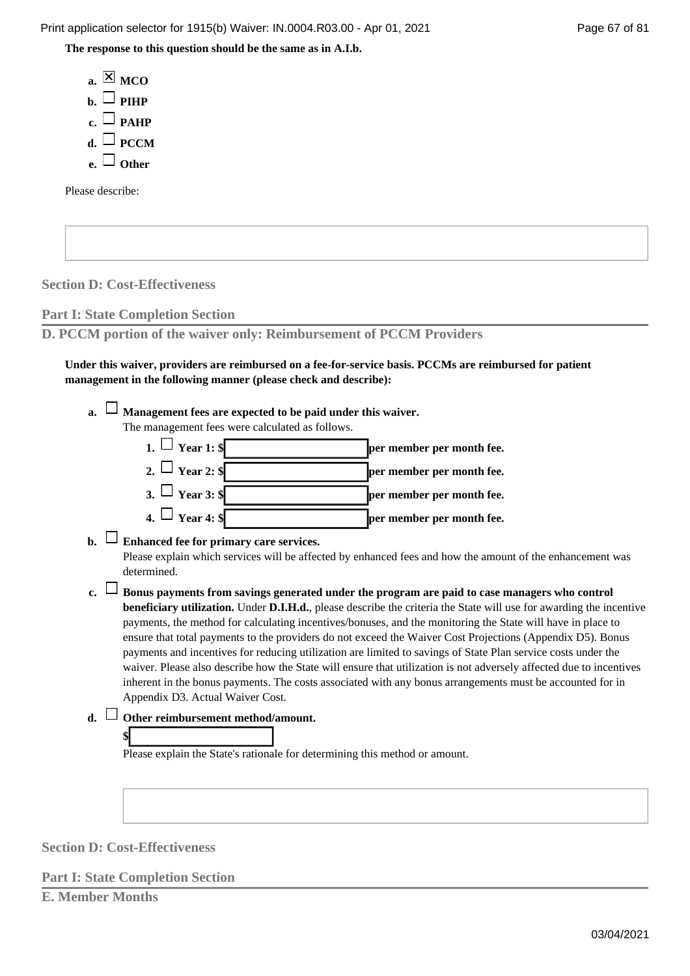Print application selector for 1915(b) Waiver: IN.0004.R03.00 - Apr 01, 2021 Page 67 of 81

**The response to this question should be the same as in A.I.b.**

 $a. \boxtimes MCO$  $\mathbf{b}$ .  $\Box$  PIHP  $c. \Box$  PAHP  $d. \Box$  PCCM **e. Other**

Please describe:

**Section D: Cost-Effectiveness**

**Part I: State Completion Section**

**D. PCCM portion of the waiver only: Reimbursement of PCCM Providers**

**Under this waiver, providers are reimbursed on a fee-for-service basis. PCCMs are reimbursed for patient management in the following manner (please check and describe):**

**Management fees are expected to be paid under this waiver. a.**  The management fees were calculated as follows.

**1.**  $\Box$  **Year 1: \$ per member per month fee.** 

2.  $\Box$  **Year 2:**  $\oint$  **per member per month fee.** 

- $\overline{\text{3.}}$   $\overline{\text{1.}}$  **Year 3:**  $\overline{\text{s}}$  **per member per month fee.**
- $\overline{a}$ .  $\overline{a}$  **Pear 4:**  $\overline{\ast}$  **per member per month fee.**

**Enhanced fee for primary care services. b.** 

Please explain which services will be affected by enhanced fees and how the amount of the enhancement was determined.

- **Bonus payments from savings generated under the program are paid to case managers who control c. beneficiary utilization.** Under **D.I.H.d.**, please describe the criteria the State will use for awarding the incentive payments, the method for calculating incentives/bonuses, and the monitoring the State will have in place to ensure that total payments to the providers do not exceed the Waiver Cost Projections (Appendix D5). Bonus payments and incentives for reducing utilization are limited to savings of State Plan service costs under the waiver. Please also describe how the State will ensure that utilization is not adversely affected due to incentives inherent in the bonus payments. The costs associated with any bonus arrangements must be accounted for in Appendix D3. Actual Waiver Cost.
- **Other reimbursement method/amount. d.**



Please explain the State's rationale for determining this method or amount.

**Section D: Cost-Effectiveness**

**Part I: State Completion Section**

**E. Member Months**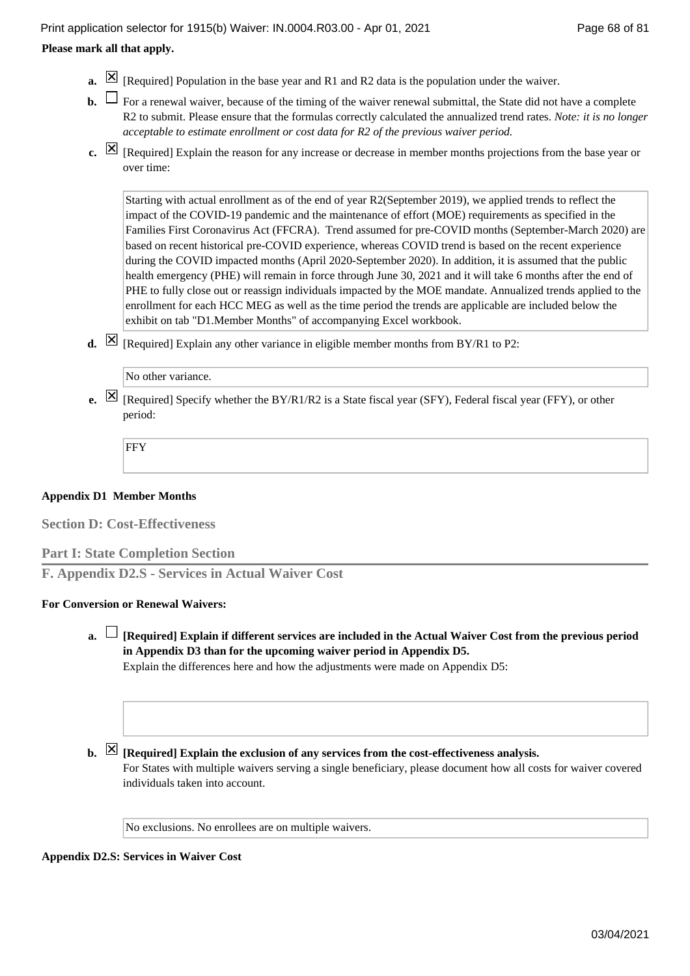### **Please mark all that apply.**

- **a.**  $[\mathbb{X}]$  [Required] Population in the base year and R1 and R2 data is the population under the waiver.
- **b.**  $\Box$  For a renewal waiver, because of the timing of the waiver renewal submittal, the State did not have a complete R2 to submit. Please ensure that the formulas correctly calculated the annualized trend rates. *Note: it is no longer acceptable to estimate enrollment or cost data for R2 of the previous waiver period.*
- [Required] Explain the reason for any increase or decrease in member months projections from the base year or **c.**  over time:

Starting with actual enrollment as of the end of year R2(September 2019), we applied trends to reflect the impact of the COVID-19 pandemic and the maintenance of effort (MOE) requirements as specified in the Families First Coronavirus Act (FFCRA). Trend assumed for pre-COVID months (September-March 2020) are based on recent historical pre-COVID experience, whereas COVID trend is based on the recent experience during the COVID impacted months (April 2020-September 2020). In addition, it is assumed that the public health emergency (PHE) will remain in force through June 30, 2021 and it will take 6 months after the end of PHE to fully close out or reassign individuals impacted by the MOE mandate. Annualized trends applied to the enrollment for each HCC MEG as well as the time period the trends are applicable are included below the exhibit on tab "D1.Member Months" of accompanying Excel workbook.

**d.**  $\boxtimes$  [Required] Explain any other variance in eligible member months from BY/R1 to P2:

[Required] Specify whether the BY/R1/R2 is a State fiscal year (SFY), Federal fiscal year (FFY), or other **e.**  period:

FFY

### **Appendix D1 Member Months**

**Section D: Cost-Effectiveness**

### **Part I: State Completion Section**

**F. Appendix D2.S - Services in Actual Waiver Cost**

### **For Conversion or Renewal Waivers:**

**[Required] Explain if different services are included in the Actual Waiver Cost from the previous period a. in Appendix D3 than for the upcoming waiver period in Appendix D5.** Explain the differences here and how the adjustments were made on Appendix D5:

### **b.**  $\boxtimes$  [Required] Explain the exclusion of any services from the cost-effectiveness analysis.

For States with multiple waivers serving a single beneficiary, please document how all costs for waiver covered individuals taken into account.

No exclusions. No enrollees are on multiple waivers.

# **Appendix D2.S: Services in Waiver Cost**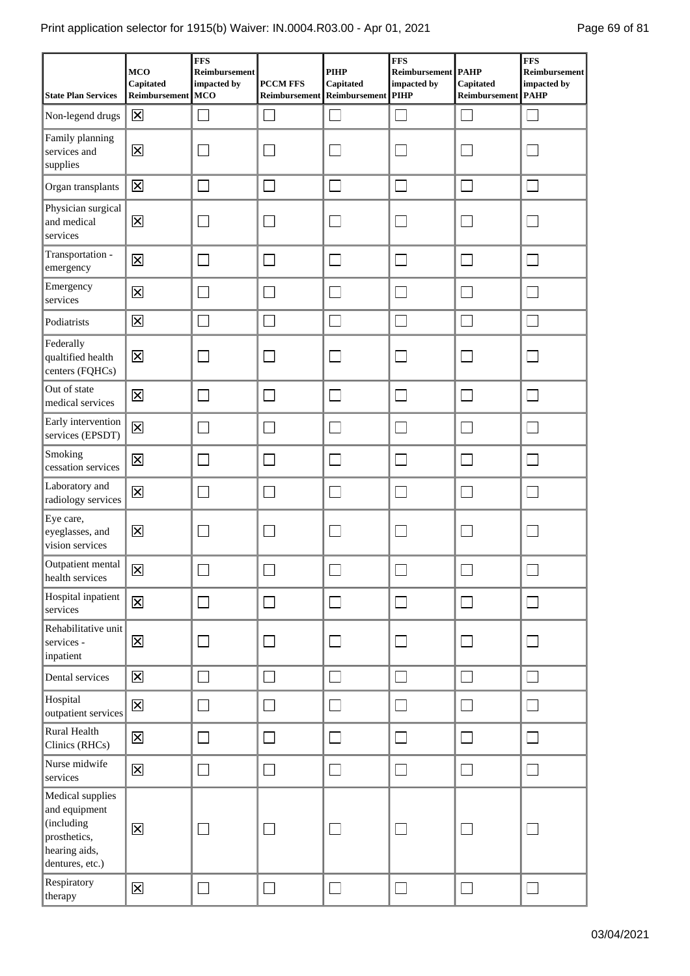| <b>State Plan Services</b>                                                                          | <b>MCO</b><br>Capitated<br>Reimbursement | <b>FFS</b><br>Reimbursement<br>impacted by<br><b>MCO</b> | <b>PCCM FFS</b><br>Reimbursement | <b>PIHP</b><br>Capitated<br><b>Reimbursement</b> | FFS<br>Reimbursement PAHP<br>impacted by<br><b>PIHP</b> | Capitated<br>Reimbursement | <b>FFS</b><br>Reimbursement<br>impacted by<br><b>PAHP</b> |
|-----------------------------------------------------------------------------------------------------|------------------------------------------|----------------------------------------------------------|----------------------------------|--------------------------------------------------|---------------------------------------------------------|----------------------------|-----------------------------------------------------------|
| Non-legend drugs                                                                                    | $\overline{\mathsf{x}}$                  | J.                                                       |                                  | $\mathcal{L}_{\mathcal{A}}$                      |                                                         | J.                         |                                                           |
| Family planning<br>services and<br>supplies                                                         | $\overline{\mathsf{x}}$                  |                                                          |                                  |                                                  |                                                         |                            |                                                           |
| Organ transplants                                                                                   | $\overline{\mathsf{x}}$                  |                                                          |                                  |                                                  |                                                         |                            |                                                           |
| Physician surgical<br>and medical<br>services                                                       | $\overline{\mathsf{x}}$                  |                                                          |                                  |                                                  |                                                         |                            |                                                           |
| Transportation -<br>emergency                                                                       | $\overline{\mathsf{x}}$                  |                                                          |                                  |                                                  |                                                         |                            |                                                           |
| Emergency<br>services                                                                               | $\overline{\mathsf{x}}$                  |                                                          |                                  |                                                  |                                                         |                            |                                                           |
| Podiatrists                                                                                         | $\overline{\mathsf{x}}$                  | $\mathcal{L}_{\mathcal{A}}$                              | $\sim$                           |                                                  |                                                         | $\sim$                     | ×                                                         |
| Federally<br>qualtified health<br>centers (FQHCs)                                                   | $\overline{\mathsf{x}}$                  |                                                          |                                  |                                                  |                                                         |                            |                                                           |
| Out of state<br>medical services                                                                    | $\overline{\mathsf{x}}$                  |                                                          |                                  |                                                  |                                                         |                            |                                                           |
| Early intervention<br>services (EPSDT)                                                              | $\overline{\mathsf{x}}$                  |                                                          |                                  |                                                  |                                                         |                            |                                                           |
| Smoking<br>cessation services                                                                       | $\overline{\mathsf{x}}$                  | Ξ                                                        |                                  |                                                  |                                                         | $\mathbf{L}$               |                                                           |
| Laboratory and<br>radiology services                                                                | $\overline{\mathsf{x}}$                  |                                                          |                                  |                                                  |                                                         |                            |                                                           |
| Eye care,<br>eyeglasses, and<br>vision services                                                     | $\overline{\mathsf{x}}$                  |                                                          |                                  |                                                  |                                                         |                            |                                                           |
| Outpatient mental<br>health services                                                                | $\overline{\mathsf{x}}$                  |                                                          |                                  |                                                  |                                                         |                            |                                                           |
| Hospital inpatient<br>services                                                                      | $\overline{\mathsf{x}}$                  | $\Box$                                                   | J                                | $\Box$                                           | $\mathcal{L}_{\mathcal{A}}$                             | $\overline{\phantom{a}}$   | ┓                                                         |
| Rehabilitative unit<br>services -<br>inpatient                                                      | $\overline{\mathsf{x}}$                  |                                                          |                                  |                                                  |                                                         |                            |                                                           |
| Dental services                                                                                     | $\overline{\mathsf{x}}$                  |                                                          |                                  | $\sim$                                           |                                                         | $\sim$                     | $\mathcal{L}$                                             |
| Hospital<br>outpatient services                                                                     | $\overline{\mathsf{x}}$                  |                                                          |                                  | J.                                               |                                                         | J.                         | $\sim$                                                    |
| Rural Health<br>Clinics (RHCs)                                                                      | $\overline{\mathsf{x}}$                  | Ξ                                                        | $\mathcal{L}_{\mathcal{A}}$      |                                                  |                                                         | Ξ                          | $\mathcal{L}$                                             |
| Nurse midwife<br>services                                                                           | $\overline{\mathsf{x}}$                  | $\Box$                                                   |                                  | $\mathcal{L}_{\mathcal{A}}$                      |                                                         | Ξ                          | $\mathcal{L}$                                             |
| Medical supplies<br>and equipment<br>(including<br>prosthetics,<br>hearing aids,<br>dentures, etc.) | $\overline{\mathsf{x}}$                  |                                                          |                                  |                                                  |                                                         |                            |                                                           |
| Respiratory<br>therapy                                                                              | $\overline{\mathsf{x}}$                  |                                                          |                                  | J.                                               |                                                         |                            |                                                           |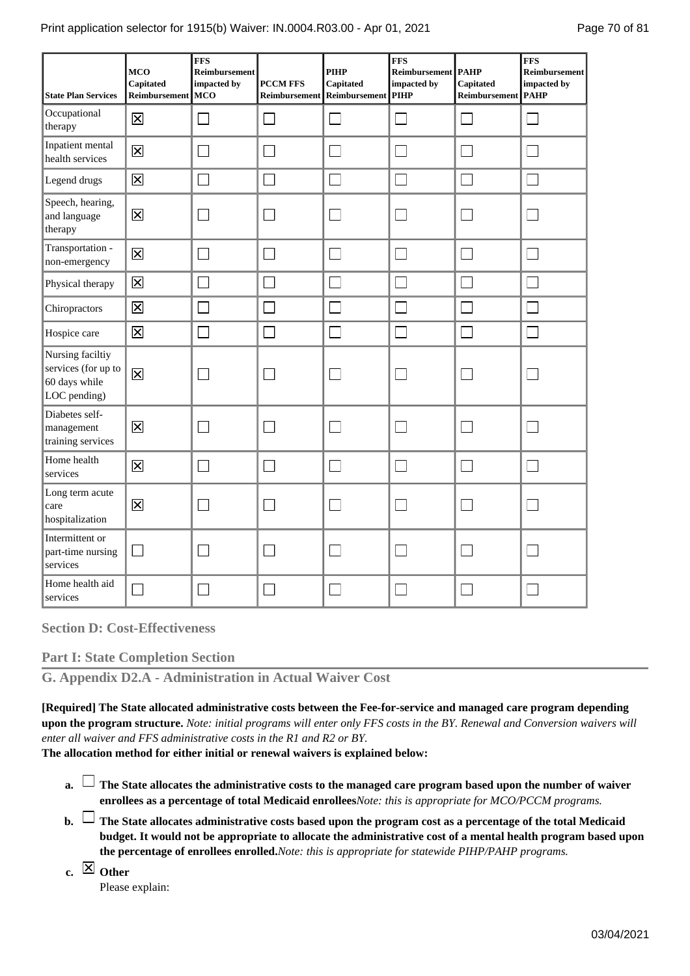| <b>State Plan Services</b>                                               | <b>MCO</b><br>Capitated<br>Reimbursement MCO | <b>FFS</b><br><b>Reimbursement</b><br>impacted by | <b>PCCM FFS</b><br>Reimbursement | PIHP<br>Capitated<br>Reimbursement | <b>FFS</b><br>Reimbursement   PAHP<br>impacted by<br><b>PIHP</b> | Capitated<br>Reimbursement | <b>FFS</b><br><b>Reimbursement</b><br>impacted by<br><b>PAHP</b> |
|--------------------------------------------------------------------------|----------------------------------------------|---------------------------------------------------|----------------------------------|------------------------------------|------------------------------------------------------------------|----------------------------|------------------------------------------------------------------|
| Occupational<br>therapy                                                  | $\overline{\mathsf{x}}$                      | $\sim$                                            |                                  |                                    |                                                                  | $\sim$                     |                                                                  |
| Inpatient mental<br>health services                                      | $\overline{\mathsf{x}}$                      |                                                   |                                  |                                    |                                                                  |                            |                                                                  |
| Legend drugs                                                             | $\overline{\mathsf{x}}$                      |                                                   |                                  | $\Box$                             | a i                                                              | $\mathbf{L}$               |                                                                  |
| Speech, hearing,<br>and language<br>therapy                              | $\overline{\mathsf{x}}$                      |                                                   |                                  |                                    |                                                                  |                            |                                                                  |
| Transportation -<br>non-emergency                                        | $\overline{\mathsf{x}}$                      | $\sim$                                            |                                  | $\mathbf{I}$                       |                                                                  | I.                         |                                                                  |
| Physical therapy                                                         | $\overline{\mathsf{x}}$                      | $\mathcal{L}$                                     |                                  |                                    |                                                                  |                            |                                                                  |
| Chiropractors                                                            | $\overline{\mathsf{x}}$                      | ×                                                 |                                  | $\mathbb{R}^2$                     |                                                                  |                            |                                                                  |
| Hospice care                                                             | $\overline{\mathsf{x}}$                      | П                                                 |                                  | $\Box$                             |                                                                  | Г                          |                                                                  |
| Nursing faciltiy<br>services (for up to<br>60 days while<br>LOC pending) | $\overline{\mathsf{x}}$                      |                                                   |                                  |                                    |                                                                  |                            |                                                                  |
| Diabetes self-<br>management<br>training services                        | $\overline{\mathsf{x}}$                      |                                                   |                                  |                                    |                                                                  |                            |                                                                  |
| Home health<br>services                                                  | $\overline{\mathsf{x}}$                      | ٦                                                 |                                  | $\mathcal{L}_{\mathcal{A}}$        |                                                                  |                            |                                                                  |
| Long term acute<br>care<br>hospitalization                               | $\overline{\mathsf{x}}$                      |                                                   |                                  |                                    |                                                                  |                            |                                                                  |
| Intermittent or<br>part-time nursing<br>services                         |                                              |                                                   |                                  |                                    |                                                                  |                            |                                                                  |
| Home health aid<br>services                                              |                                              |                                                   |                                  |                                    |                                                                  |                            |                                                                  |

**Section D: Cost-Effectiveness**

**Part I: State Completion Section**

**G. Appendix D2.A - Administration in Actual Waiver Cost**

**[Required] The State allocated administrative costs between the Fee-for-service and managed care program depending upon the program structure.** *Note: initial programs will enter only FFS costs in the BY. Renewal and Conversion waivers will enter all waiver and FFS administrative costs in the R1 and R2 or BY.*

**The allocation method for either initial or renewal waivers is explained below:**

- **The State allocates the administrative costs to the managed care program based upon the number of waiver a. enrollees as a percentage of total Medicaid enrollees***Note: this is appropriate for MCO/PCCM programs.*
- **The State allocates administrative costs based upon the program cost as a percentage of the total Medicaid b. budget. It would not be appropriate to allocate the administrative cost of a mental health program based upon the percentage of enrollees enrolled.***Note: this is appropriate for statewide PIHP/PAHP programs.*
- **Other c.**

Please explain: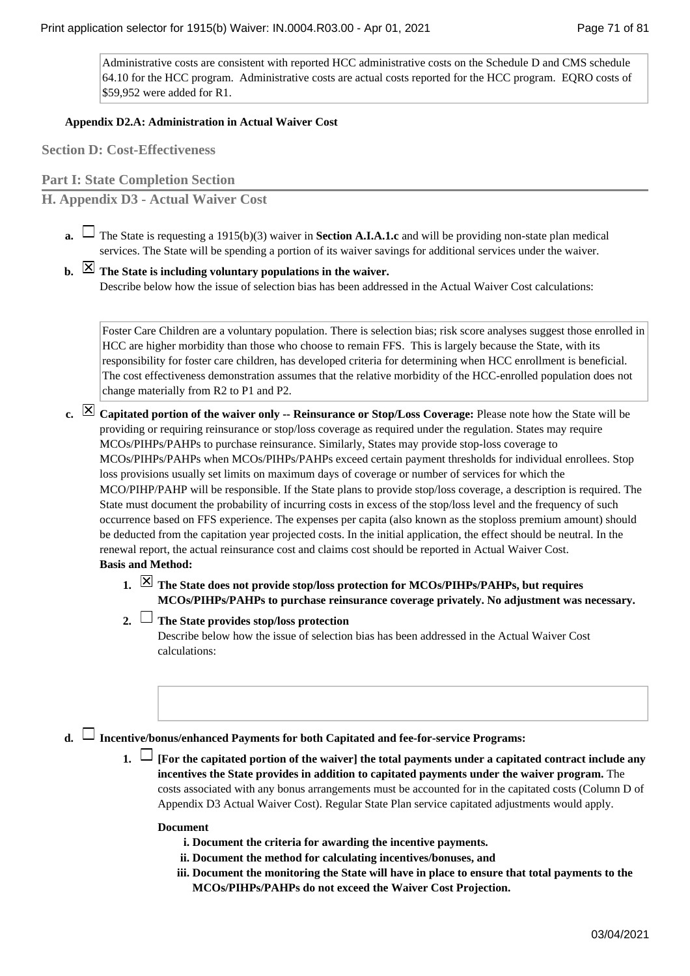Administrative costs are consistent with reported HCC administrative costs on the Schedule D and CMS schedule 64.10 for the HCC program. Administrative costs are actual costs reported for the HCC program. EQRO costs of \$59,952 were added for R1.

# **Appendix D2.A: Administration in Actual Waiver Cost**

**Section D: Cost-Effectiveness**

**Part I: State Completion Section**

**H. Appendix D3 - Actual Waiver Cost**

The State is requesting a 1915(b)(3) waiver in **Section A.I.A.1.c** and will be providing non-state plan medical **a.**  services. The State will be spending a portion of its waiver savings for additional services under the waiver.

**The State is including voluntary populations in the waiver. b.** 

Describe below how the issue of selection bias has been addressed in the Actual Waiver Cost calculations:

Foster Care Children are a voluntary population. There is selection bias; risk score analyses suggest those enrolled in HCC are higher morbidity than those who choose to remain FFS. This is largely because the State, with its responsibility for foster care children, has developed criteria for determining when HCC enrollment is beneficial. The cost effectiveness demonstration assumes that the relative morbidity of the HCC-enrolled population does not change materially from R2 to P1 and P2.

- **Capitated portion of the waiver only -- Reinsurance or Stop/Loss Coverage:** Please note how the State will be **c.**  providing or requiring reinsurance or stop/loss coverage as required under the regulation. States may require MCOs/PIHPs/PAHPs to purchase reinsurance. Similarly, States may provide stop-loss coverage to MCOs/PIHPs/PAHPs when MCOs/PIHPs/PAHPs exceed certain payment thresholds for individual enrollees. Stop loss provisions usually set limits on maximum days of coverage or number of services for which the MCO/PIHP/PAHP will be responsible. If the State plans to provide stop/loss coverage, a description is required. The State must document the probability of incurring costs in excess of the stop/loss level and the frequency of such occurrence based on FFS experience. The expenses per capita (also known as the stoploss premium amount) should be deducted from the capitation year projected costs. In the initial application, the effect should be neutral. In the renewal report, the actual reinsurance cost and claims cost should be reported in Actual Waiver Cost. **Basis and Method:**
	- **The State does not provide stop/loss protection for MCOs/PIHPs/PAHPs, but requires MCOs/PIHPs/PAHPs to purchase reinsurance coverage privately. No adjustment was necessary.**
	- **The State provides stop/loss protection 2.**

Describe below how the issue of selection bias has been addressed in the Actual Waiver Cost calculations:

### **Incentive/bonus/enhanced Payments for both Capitated and fee-for-service Programs: d.**

**[For the capitated portion of the waiver] the total payments under a capitated contract include any incentives the State provides in addition to capitated payments under the waiver program.** The costs associated with any bonus arrangements must be accounted for in the capitated costs (Column D of Appendix D3 Actual Waiver Cost). Regular State Plan service capitated adjustments would apply.

### **Document**

- **i. Document the criteria for awarding the incentive payments.**
- **ii. Document the method for calculating incentives/bonuses, and**
- iii. Document the monitoring the State will have in place to ensure that total payments to the **MCOs/PIHPs/PAHPs do not exceed the Waiver Cost Projection.**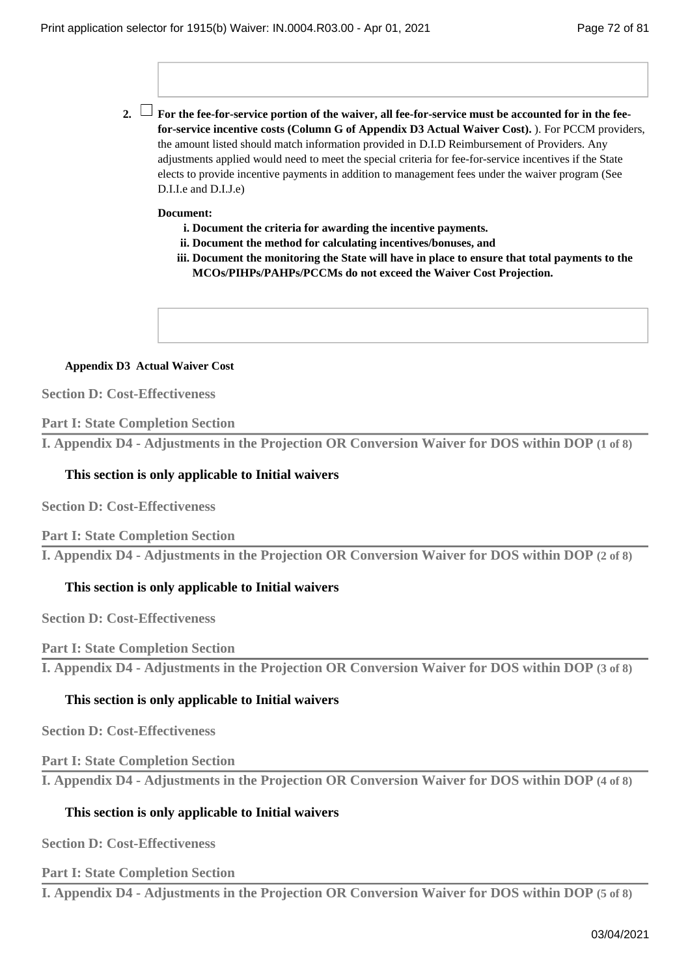**For the fee-for-service portion of the waiver, all fee-for-service must be accounted for in the fee-2. for-service incentive costs (Column G of Appendix D3 Actual Waiver Cost).** ). For PCCM providers, the amount listed should match information provided in D.I.D Reimbursement of Providers. Any adjustments applied would need to meet the special criteria for fee-for-service incentives if the State elects to provide incentive payments in addition to management fees under the waiver program (See D.I.I.e and D.I.J.e)

### **Document:**

- **i. Document the criteria for awarding the incentive payments.**
- **ii. Document the method for calculating incentives/bonuses, and**
- iii. Document the monitoring the State will have in place to ensure that total payments to the **MCOs/PIHPs/PAHPs/PCCMs do not exceed the Waiver Cost Projection.**

### **Appendix D3 Actual Waiver Cost**

**Section D: Cost-Effectiveness**

### **Part I: State Completion Section**

**I. Appendix D4 - Adjustments in the Projection OR Conversion Waiver for DOS within DOP (1 of 8)**

## **This section is only applicable to Initial waivers**

**Section D: Cost-Effectiveness**

**Part I: State Completion Section**

**I. Appendix D4 - Adjustments in the Projection OR Conversion Waiver for DOS within DOP (2 of 8)**

### **This section is only applicable to Initial waivers**

**Section D: Cost-Effectiveness**

# **Part I: State Completion Section**

**I. Appendix D4 - Adjustments in the Projection OR Conversion Waiver for DOS within DOP (3 of 8)**

### **This section is only applicable to Initial waivers**

**Section D: Cost-Effectiveness**

### **Part I: State Completion Section**

**I. Appendix D4 - Adjustments in the Projection OR Conversion Waiver for DOS within DOP (4 of 8)**

### **This section is only applicable to Initial waivers**

**Section D: Cost-Effectiveness**

**Part I: State Completion Section**

**I. Appendix D4 - Adjustments in the Projection OR Conversion Waiver for DOS within DOP (5 of 8)**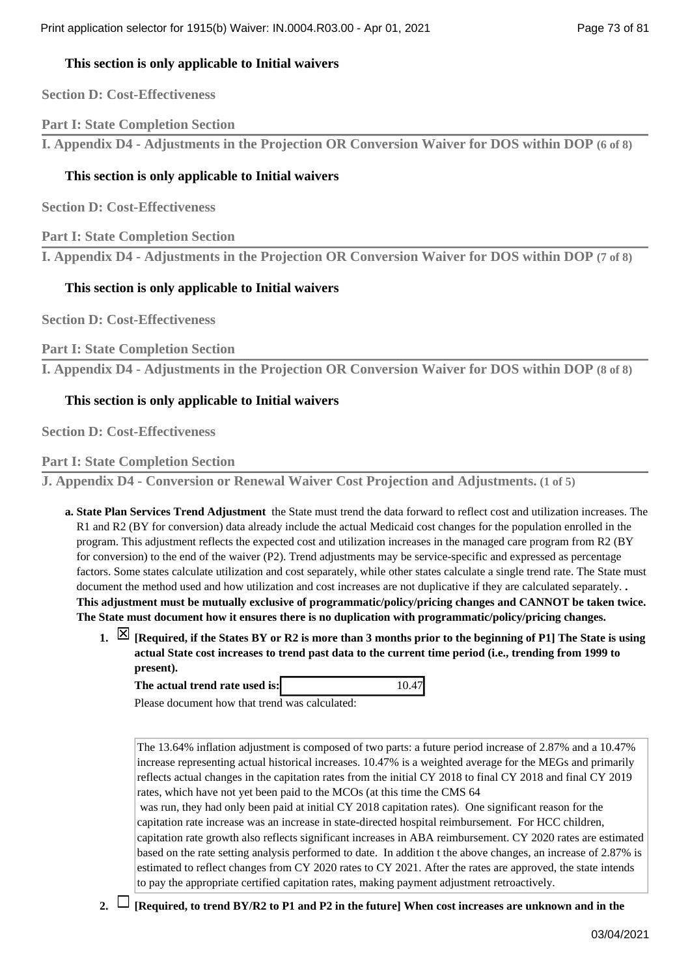## **This section is only applicable to Initial waivers**

**Section D: Cost-Effectiveness**

**Part I: State Completion Section**

**I. Appendix D4 - Adjustments in the Projection OR Conversion Waiver for DOS within DOP (6 of 8)**

# **This section is only applicable to Initial waivers**

**Section D: Cost-Effectiveness**

**Part I: State Completion Section**

**I. Appendix D4 - Adjustments in the Projection OR Conversion Waiver for DOS within DOP (7 of 8)**

## **This section is only applicable to Initial waivers**

**Section D: Cost-Effectiveness**

**Part I: State Completion Section**

**I. Appendix D4 - Adjustments in the Projection OR Conversion Waiver for DOS within DOP (8 of 8)**

## **This section is only applicable to Initial waivers**

**Section D: Cost-Effectiveness**

**Part I: State Completion Section**

**J. Appendix D4 - Conversion or Renewal Waiver Cost Projection and Adjustments. (1 of 5)**

- **State Plan Services Trend Adjustment** the State must trend the data forward to reflect cost and utilization increases. The **a.**  R1 and R2 (BY for conversion) data already include the actual Medicaid cost changes for the population enrolled in the program. This adjustment reflects the expected cost and utilization increases in the managed care program from R2 (BY for conversion) to the end of the waiver (P2). Trend adjustments may be service-specific and expressed as percentage factors. Some states calculate utilization and cost separately, while other states calculate a single trend rate. The State must document the method used and how utilization and cost increases are not duplicative if they are calculated separately. **. This adjustment must be mutually exclusive of programmatic/policy/pricing changes and CANNOT be taken twice. The State must document how it ensures there is no duplication with programmatic/policy/pricing changes.**
	- **[Required, if the States BY or R2 is more than 3 months prior to the beginning of P1] The State is using 1. actual State cost increases to trend past data to the current time period (i.e., trending from 1999 to present).**

**The actual trend rate used is:** 10.47

Please document how that trend was calculated:

The 13.64% inflation adjustment is composed of two parts: a future period increase of 2.87% and a 10.47% increase representing actual historical increases. 10.47% is a weighted average for the MEGs and primarily reflects actual changes in the capitation rates from the initial CY 2018 to final CY 2018 and final CY 2019 rates, which have not yet been paid to the MCOs (at this time the CMS 64 was run, they had only been paid at initial CY 2018 capitation rates). One significant reason for the capitation rate increase was an increase in state-directed hospital reimbursement. For HCC children,

capitation rate growth also reflects significant increases in ABA reimbursement. CY 2020 rates are estimated based on the rate setting analysis performed to date. In addition t the above changes, an increase of 2.87% is estimated to reflect changes from CY 2020 rates to CY 2021. After the rates are approved, the state intends to pay the appropriate certified capitation rates, making payment adjustment retroactively.

- 
- **2. [Required, to trend BY/R2 to P1 and P2 in the future] When cost increases are unknown and in the**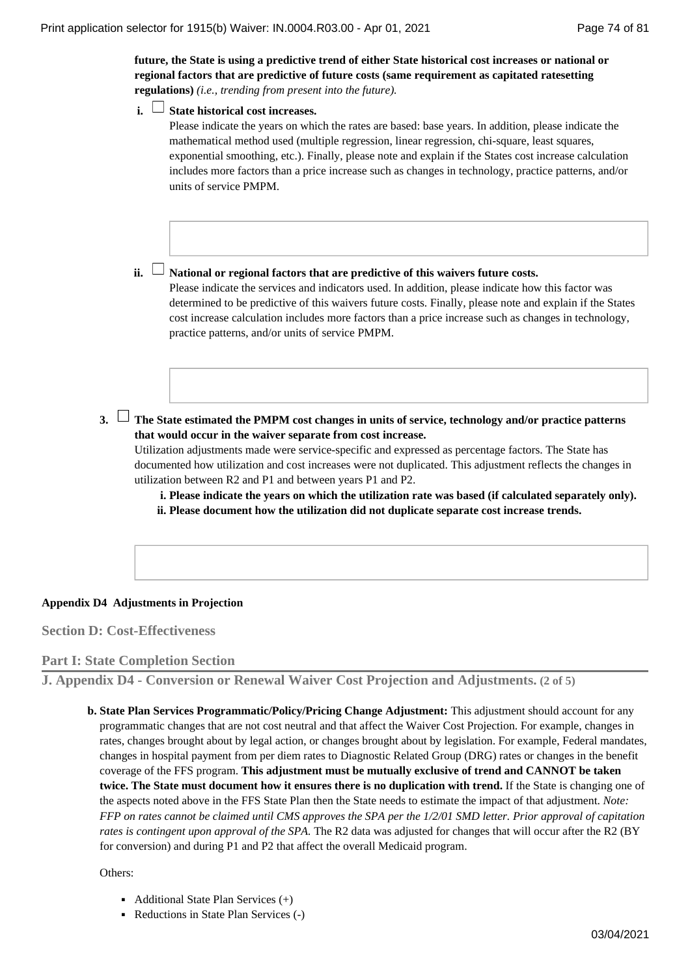**future, the State is using a predictive trend of either State historical cost increases or national or regional factors that are predictive of future costs (same requirement as capitated ratesetting regulations)** *(i.e., trending from present into the future).*

**State historical cost increases. i.** 

Please indicate the years on which the rates are based: base years. In addition, please indicate the mathematical method used (multiple regression, linear regression, chi-square, least squares, exponential smoothing, etc.). Finally, please note and explain if the States cost increase calculation includes more factors than a price increase such as changes in technology, practice patterns, and/or units of service PMPM.

#### **ii. └┘ National or regional factors that are predictive of this waivers future costs.**

Please indicate the services and indicators used. In addition, please indicate how this factor was determined to be predictive of this waivers future costs. Finally, please note and explain if the States cost increase calculation includes more factors than a price increase such as changes in technology, practice patterns, and/or units of service PMPM.

**The State estimated the PMPM cost changes in units of service, technology and/or practice patterns 3. that would occur in the waiver separate from cost increase.**

Utilization adjustments made were service-specific and expressed as percentage factors. The State has documented how utilization and cost increases were not duplicated. This adjustment reflects the changes in utilization between R2 and P1 and between years P1 and P2.

**i. Please indicate the years on which the utilization rate was based (if calculated separately only). ii. Please document how the utilization did not duplicate separate cost increase trends.**

### **Appendix D4 Adjustments in Projection**

**Section D: Cost-Effectiveness**

**Part I: State Completion Section**

**J. Appendix D4 - Conversion or Renewal Waiver Cost Projection and Adjustments. (2 of 5)**

**b. State Plan Services Programmatic/Policy/Pricing Change Adjustment:** This adjustment should account for any programmatic changes that are not cost neutral and that affect the Waiver Cost Projection. For example, changes in rates, changes brought about by legal action, or changes brought about by legislation. For example, Federal mandates, changes in hospital payment from per diem rates to Diagnostic Related Group (DRG) rates or changes in the benefit coverage of the FFS program. **This adjustment must be mutually exclusive of trend and CANNOT be taken twice. The State must document how it ensures there is no duplication with trend.** If the State is changing one of the aspects noted above in the FFS State Plan then the State needs to estimate the impact of that adjustment. *Note: FFP on rates cannot be claimed until CMS approves the SPA per the 1/2/01 SMD letter. Prior approval of capitation rates is contingent upon approval of the SPA.* The R2 data was adjusted for changes that will occur after the R2 (BY for conversion) and during P1 and P2 that affect the overall Medicaid program.

Others:

- Additional State Plan Services (+)
- Reductions in State Plan Services (-)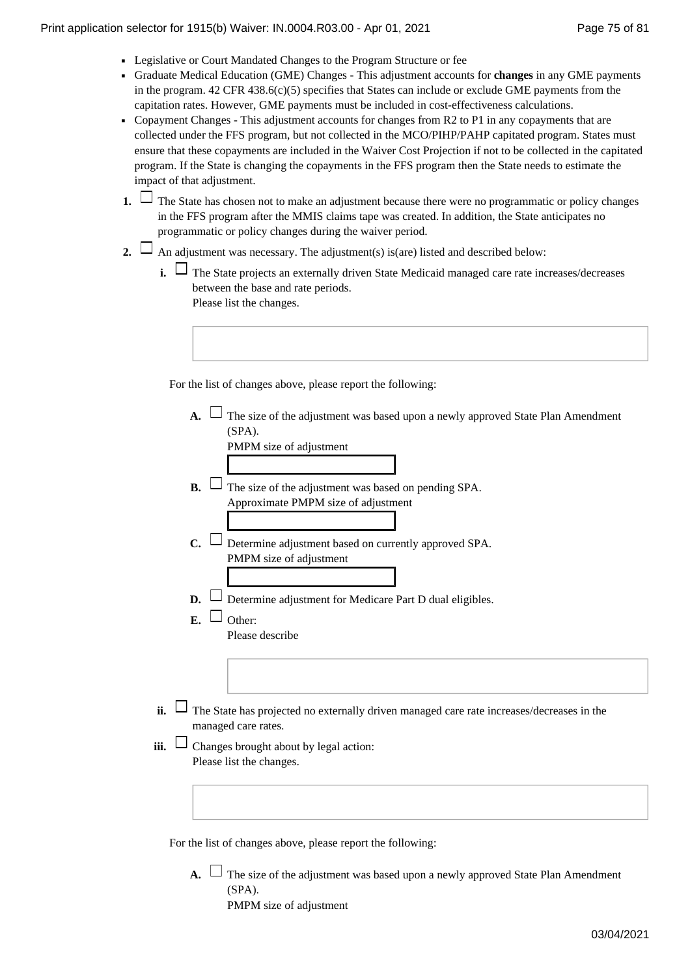- Legislative or Court Mandated Changes to the Program Structure or fee
- Graduate Medical Education (GME) Changes This adjustment accounts for **changes** in any GME payments in the program.  $42$  CFR  $438.6(c)(5)$  specifies that States can include or exclude GME payments from the capitation rates. However, GME payments must be included in cost-effectiveness calculations.
- Copayment Changes This adjustment accounts for changes from R2 to P1 in any copayments that are collected under the FFS program, but not collected in the MCO/PIHP/PAHP capitated program. States must ensure that these copayments are included in the Waiver Cost Projection if not to be collected in the capitated program. If the State is changing the copayments in the FFS program then the State needs to estimate the impact of that adjustment.
- The State has chosen not to make an adjustment because there were no programmatic or policy changes **1.**  in the FFS program after the MMIS claims tape was created. In addition, the State anticipates no programmatic or policy changes during the waiver period.
- 2.  $\Box$  An adjustment was necessary. The adjustment(s) is(are) listed and described below:
	- **i.** □ The State projects an externally driven State Medicaid managed care rate increases/decreases between the base and rate periods. Please list the changes.

For the list of changes above, please report the following:

| The size of the adjustment was based upon a newly approved State Plan Amendment           |
|-------------------------------------------------------------------------------------------|
| (SPA).                                                                                    |
| PMPM size of adjustment                                                                   |
|                                                                                           |
| The size of the adjustment was based on pending SPA.<br>$\mathbf{B}$ .                    |
| Approximate PMPM size of adjustment                                                       |
|                                                                                           |
| Determine adjustment based on currently approved SPA.<br>$\mathbf{C}$                     |
| PMPM size of adjustment                                                                   |
|                                                                                           |
| Determine adjustment for Medicare Part D dual eligibles.<br>D.                            |
| $\mathbf{F}$ .                                                                            |
| Other:                                                                                    |
| Please describe                                                                           |
|                                                                                           |
|                                                                                           |
|                                                                                           |
| The State has projected no externally driven managed care rate increases/decreases in the |
| managed care rates.                                                                       |
|                                                                                           |
| Changes brought about by legal action:                                                    |
| Please list the changes.                                                                  |
|                                                                                           |
|                                                                                           |
|                                                                                           |
|                                                                                           |

For the list of changes above, please report the following:

**ii.** 

**iii.** 

A.  $\Box$  The size of the adjustment was based upon a newly approved State Plan Amendment (SPA). PMPM size of adjustment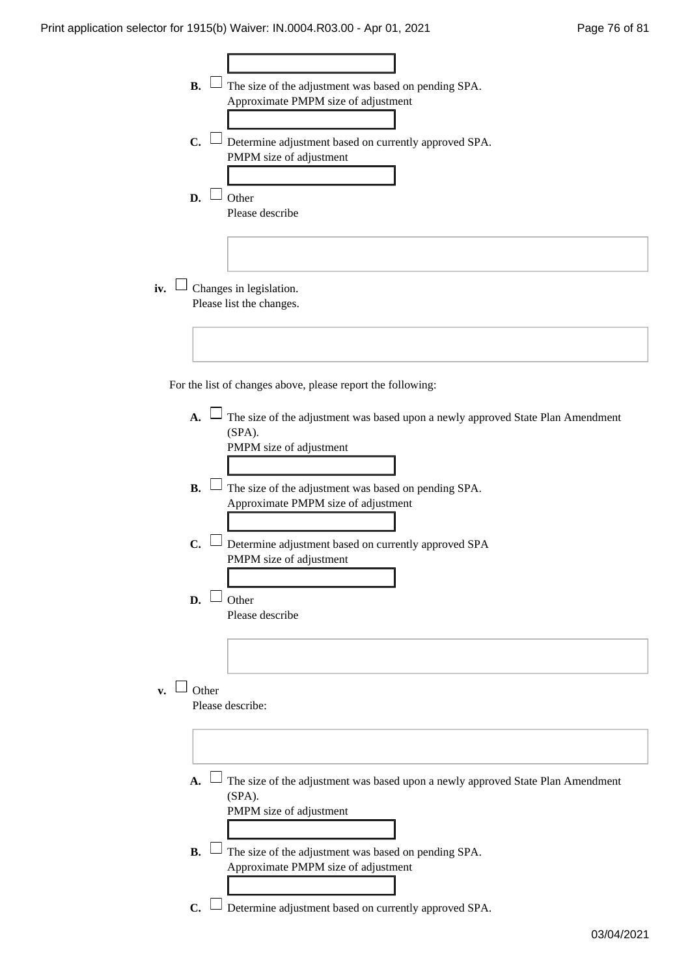$\overline{\Gamma}$ 

|     | <b>B.</b>                | The size of the adjustment was based on pending SPA.                            |
|-----|--------------------------|---------------------------------------------------------------------------------|
|     |                          | Approximate PMPM size of adjustment                                             |
|     |                          |                                                                                 |
|     |                          |                                                                                 |
|     | C.                       | Determine adjustment based on currently approved SPA.                           |
|     | PMPM size of adjustment  |                                                                                 |
|     |                          |                                                                                 |
|     |                          |                                                                                 |
|     | Other<br>D.              |                                                                                 |
|     | Please describe          |                                                                                 |
|     |                          |                                                                                 |
|     |                          |                                                                                 |
|     |                          |                                                                                 |
|     |                          |                                                                                 |
|     |                          |                                                                                 |
| iv. | Changes in legislation.  |                                                                                 |
|     | Please list the changes. |                                                                                 |
|     |                          |                                                                                 |
|     |                          |                                                                                 |
|     |                          |                                                                                 |
|     |                          |                                                                                 |
|     |                          |                                                                                 |
|     |                          | For the list of changes above, please report the following:                     |
|     |                          |                                                                                 |
|     | $\mathbf{A}$ .           | The size of the adjustment was based upon a newly approved State Plan Amendment |
|     | (SPA).                   |                                                                                 |
|     | PMPM size of adjustment  |                                                                                 |
|     |                          |                                                                                 |
|     |                          |                                                                                 |
|     | <b>B.</b>                |                                                                                 |
|     |                          | $\perp$ The size of the adjustment was based on pending SPA.                    |
|     |                          | Approximate PMPM size of adjustment                                             |
|     |                          |                                                                                 |
|     |                          |                                                                                 |
|     | C.                       | Determine adjustment based on currently approved SPA                            |
|     | PMPM size of adjustment  |                                                                                 |
|     |                          |                                                                                 |
|     |                          |                                                                                 |
|     | D.<br>Other              |                                                                                 |
|     | Please describe          |                                                                                 |
|     |                          |                                                                                 |
|     |                          |                                                                                 |
|     |                          |                                                                                 |
|     |                          |                                                                                 |
|     | Other                    |                                                                                 |
| v.  |                          |                                                                                 |
|     | Please describe:         |                                                                                 |
|     |                          |                                                                                 |
|     |                          |                                                                                 |
|     |                          |                                                                                 |
|     |                          |                                                                                 |
|     | $\mathbf{A}$ .           | The size of the adjustment was based upon a newly approved State Plan Amendment |
|     | (SPA).                   |                                                                                 |
|     |                          |                                                                                 |
|     | PMPM size of adjustment  |                                                                                 |
|     |                          |                                                                                 |
|     |                          |                                                                                 |
|     | <b>B.</b>                | The size of the adjustment was based on pending SPA.                            |
|     |                          | Approximate PMPM size of adjustment                                             |
|     |                          |                                                                                 |
|     |                          |                                                                                 |
|     | $C_{\bullet}$            | Determine adjustment based on currently approved SPA.                           |

 $\overline{\mathbf{1}}$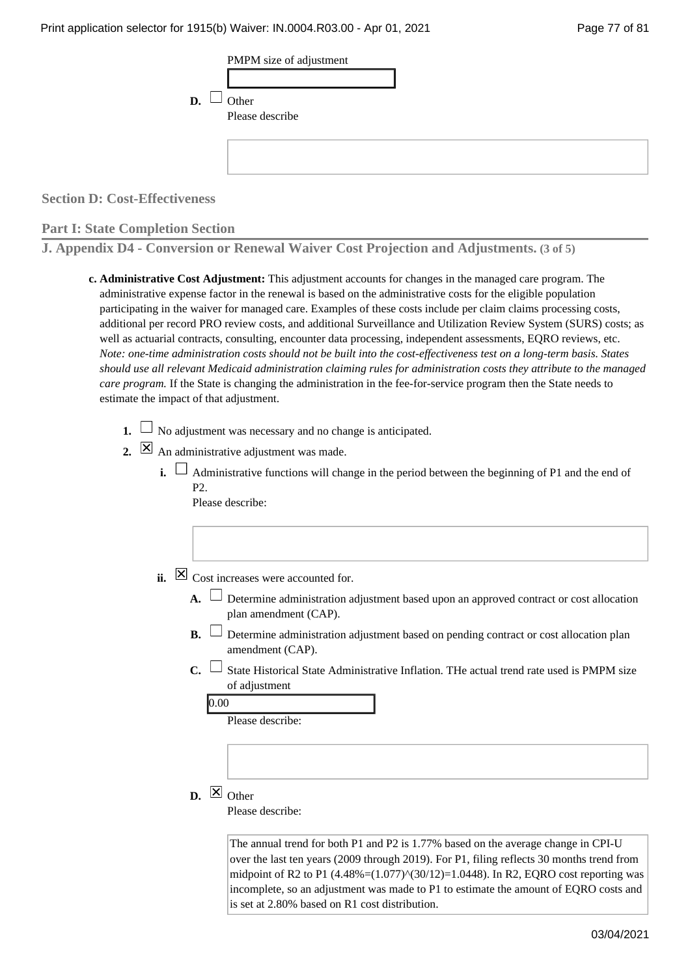| D. | $\Box$ Other<br>Please describe |
|----|---------------------------------|
|    |                                 |

**Section D: Cost-Effectiveness**

### **Part I: State Completion Section**

**J. Appendix D4 - Conversion or Renewal Waiver Cost Projection and Adjustments. (3 of 5)**

- **Administrative Cost Adjustment:** This adjustment accounts for changes in the managed care program. The **c.**  administrative expense factor in the renewal is based on the administrative costs for the eligible population participating in the waiver for managed care. Examples of these costs include per claim claims processing costs, additional per record PRO review costs, and additional Surveillance and Utilization Review System (SURS) costs; as well as actuarial contracts, consulting, encounter data processing, independent assessments, EQRO reviews, etc. *Note: one-time administration costs should not be built into the cost-effectiveness test on a long-term basis. States should use all relevant Medicaid administration claiming rules for administration costs they attribute to the managed care program.* If the State is changing the administration in the fee-for-service program then the State needs to estimate the impact of that adjustment.
	- **1.**  $\Box$  No adjustment was necessary and no change is anticipated.
	- An administrative adjustment was made. **2.** 
		- **i.**  $\Box$  Administrative functions will change in the period between the beginning of P1 and the end of  $P<sub>2</sub>$ Please describe:

| $\boxtimes$ Cost increases were accounted for.<br>ii. |  |
|-------------------------------------------------------|--|
|-------------------------------------------------------|--|

- A. └ Determine administration adjustment based upon an approved contract or cost allocation plan amendment (CAP).
- $\Box$  Determine administration adjustment based on pending contract or cost allocation plan amendment (CAP). **B.**
- $\Box$  State Historical State Administrative Inflation. THe actual trend rate used is PMPM size of adjustment **C.**

| I<br>۰,<br>×<br>×<br>٠ |
|------------------------|

Please describe:

 $\mathbf{D}$ .  $\Delta$  Other

Please describe:

The annual trend for both P1 and P2 is 1.77% based on the average change in CPI-U over the last ten years (2009 through 2019). For P1, filing reflects 30 months trend from midpoint of R2 to P1 (4.48%=(1.077)^(30/12)=1.0448). In R2, EQRO cost reporting was incomplete, so an adjustment was made to P1 to estimate the amount of EQRO costs and is set at 2.80% based on R1 cost distribution.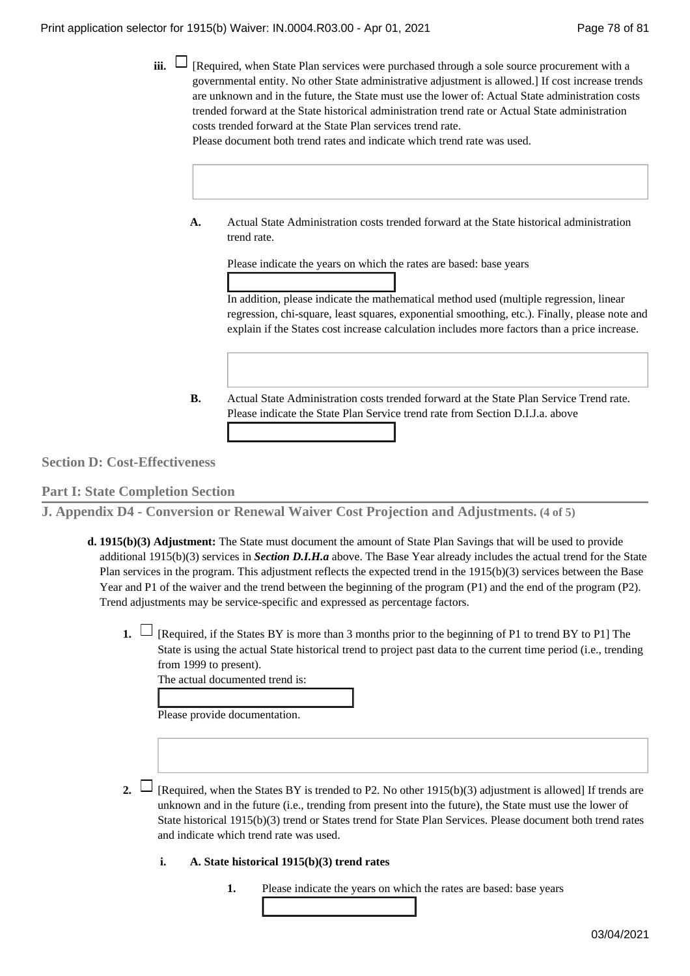**iii.**  $\Box$  [Required, when State Plan services were purchased through a sole source procurement with a governmental entity. No other State administrative adjustment is allowed.] If cost increase trends are unknown and in the future, the State must use the lower of: Actual State administration costs trended forward at the State historical administration trend rate or Actual State administration costs trended forward at the State Plan services trend rate.

Please document both trend rates and indicate which trend rate was used.

Actual State Administration costs trended forward at the State historical administration trend rate. **A.** 

Please indicate the years on which the rates are based: base years

In addition, please indicate the mathematical method used (multiple regression, linear regression, chi-square, least squares, exponential smoothing, etc.). Finally, please note and explain if the States cost increase calculation includes more factors than a price increase.

Actual State Administration costs trended forward at the State Plan Service Trend rate. Please indicate the State Plan Service trend rate from Section D.I.J.a. above **B.** 

**Section D: Cost-Effectiveness**

**Part I: State Completion Section**

**J. Appendix D4 - Conversion or Renewal Waiver Cost Projection and Adjustments. (4 of 5)**

- **1915(b)(3) Adjustment:** The State must document the amount of State Plan Savings that will be used to provide **d.**  additional 1915(b)(3) services in *Section D.I.H.a* above. The Base Year already includes the actual trend for the State Plan services in the program. This adjustment reflects the expected trend in the 1915(b)(3) services between the Base Year and P1 of the waiver and the trend between the beginning of the program (P1) and the end of the program (P2). Trend adjustments may be service-specific and expressed as percentage factors.
	- **1.**  $\Box$  [Required, if the States BY is more than 3 months prior to the beginning of P1 to trend BY to P1] The State is using the actual State historical trend to project past data to the current time period (i.e., trending from 1999 to present).

The actual documented trend is:

Please provide documentation.

- 2.  $\Box$  [Required, when the States BY is trended to P2. No other 1915(b)(3) adjustment is allowed] If trends are unknown and in the future (i.e., trending from present into the future), the State must use the lower of State historical 1915(b)(3) trend or States trend for State Plan Services. Please document both trend rates and indicate which trend rate was used.
	- **i.** A. State historical 1915(b)(3) trend rates
		- **1.** Please indicate the years on which the rates are based: base years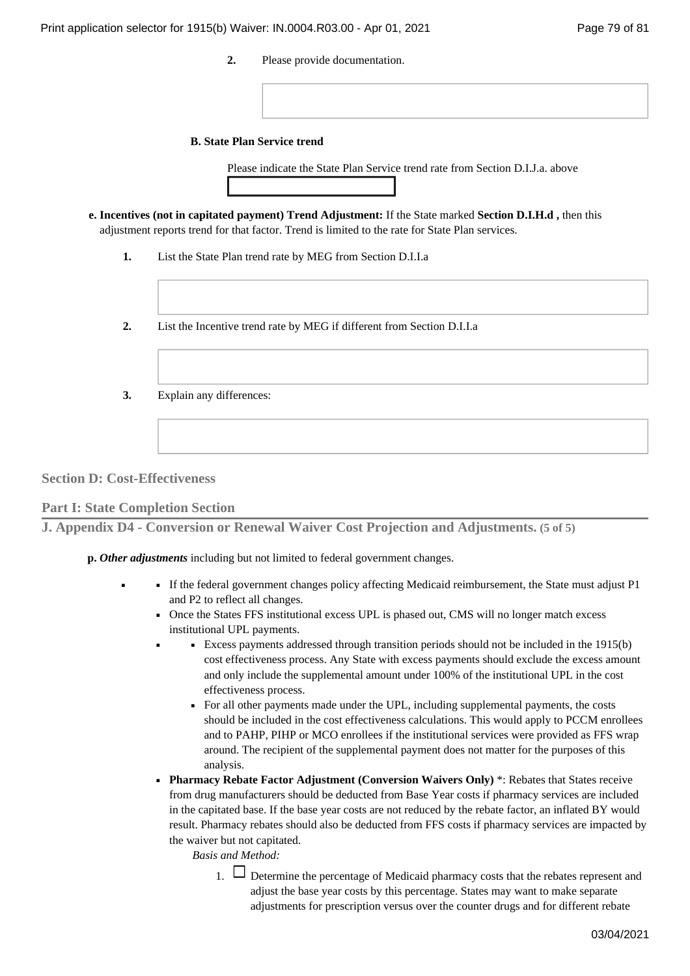**2.** Please provide documentation.

#### **State Plan Service trend B.**

Please indicate the State Plan Service trend rate from Section D.I.J.a. above

- **Incentives (not in capitated payment) Trend Adjustment:** If the State marked **Section D.I.H.d ,** then this **e.**  adjustment reports trend for that factor. Trend is limited to the rate for State Plan services.
	- **1.** List the State Plan trend rate by MEG from Section D.I.I.a
	- **2.** List the Incentive trend rate by MEG if different from Section D.I.I.a
	- **3.** Explain any differences:

**Section D: Cost-Effectiveness**

■

**Part I: State Completion Section**

■

**J. Appendix D4 - Conversion or Renewal Waiver Cost Projection and Adjustments. (5 of 5)**

*Other adjustments* including but not limited to federal government changes. **p.** 

- If the federal government changes policy affecting Medicaid reimbursement, the State must adjust P1 and P2 to reflect all changes.
	- Once the States FFS institutional excess UPL is phased out, CMS will no longer match excess institutional UPL payments.
		- Excess payments addressed through transition periods should not be included in the 1915(b) cost effectiveness process. Any State with excess payments should exclude the excess amount and only include the supplemental amount under 100% of the institutional UPL in the cost effectiveness process.
			- For all other payments made under the UPL, including supplemental payments, the costs should be included in the cost effectiveness calculations. This would apply to PCCM enrollees and to PAHP, PIHP or MCO enrollees if the institutional services were provided as FFS wrap around. The recipient of the supplemental payment does not matter for the purposes of this analysis.
	- **Pharmacy Rebate Factor Adjustment (Conversion Waivers Only) \*: Rebates that States receive** from drug manufacturers should be deducted from Base Year costs if pharmacy services are included in the capitated base. If the base year costs are not reduced by the rebate factor, an inflated BY would result. Pharmacy rebates should also be deducted from FFS costs if pharmacy services are impacted by the waiver but not capitated.

*Basis and Method:*

1.  $\Box$  Determine the percentage of Medicaid pharmacy costs that the rebates represent and adjust the base year costs by this percentage. States may want to make separate adjustments for prescription versus over the counter drugs and for different rebate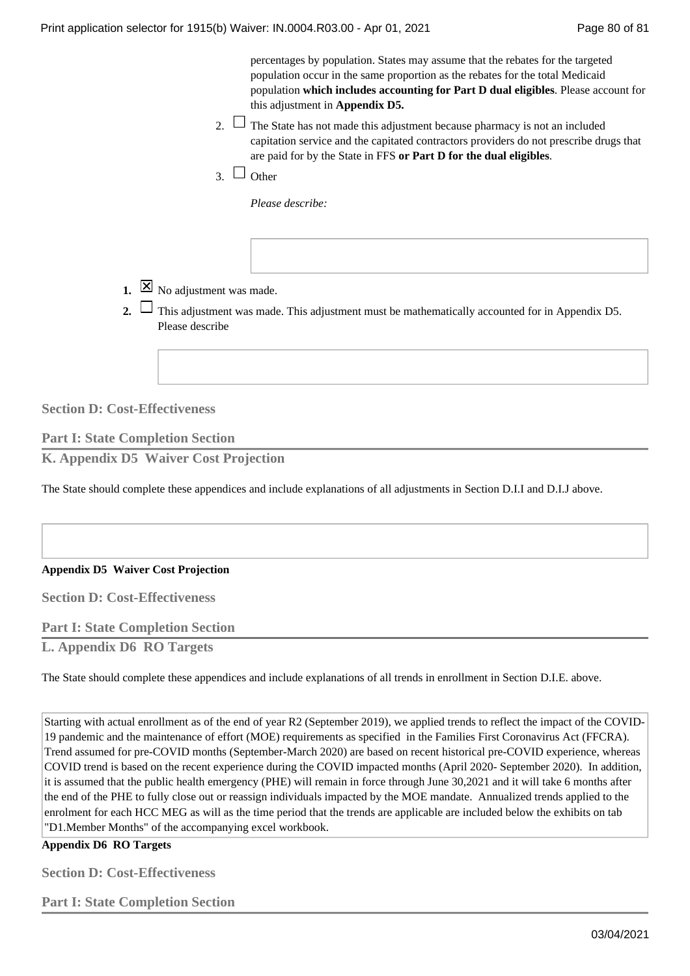|                             | percentages by population. States may assume that the rebates for the targeted<br>population occur in the same proportion as the rebates for the total Medicaid<br>population which includes accounting for Part D dual eligibles. Please account for<br>this adjustment in <b>Appendix D5.</b> |
|-----------------------------|-------------------------------------------------------------------------------------------------------------------------------------------------------------------------------------------------------------------------------------------------------------------------------------------------|
|                             | 2. $\Box$ The State has not made this adjustment because pharmacy is not an included<br>capitation service and the capitated contractors providers do not prescribe drugs that<br>are paid for by the State in FFS or Part D for the dual eligibles.                                            |
| $\overline{3}$ $\Box$ Other |                                                                                                                                                                                                                                                                                                 |

*Please describe:*

**1.**  $\boxed{\times}$  No adjustment was made.

This adjustment was made. This adjustment must be mathematically accounted for in Appendix D5. **2.**  Please describe

**Section D: Cost-Effectiveness**

**Part I: State Completion Section K. Appendix D5 Waiver Cost Projection**

The State should complete these appendices and include explanations of all adjustments in Section D.I.I and D.I.J above.

### **Appendix D5 Waiver Cost Projection**

**Section D: Cost-Effectiveness**

**Part I: State Completion Section**

**L. Appendix D6 RO Targets**

The State should complete these appendices and include explanations of all trends in enrollment in Section D.I.E. above.

Starting with actual enrollment as of the end of year R2 (September 2019), we applied trends to reflect the impact of the COVID-19 pandemic and the maintenance of effort (MOE) requirements as specified in the Families First Coronavirus Act (FFCRA). Trend assumed for pre-COVID months (September-March 2020) are based on recent historical pre-COVID experience, whereas COVID trend is based on the recent experience during the COVID impacted months (April 2020- September 2020). In addition, it is assumed that the public health emergency (PHE) will remain in force through June 30,2021 and it will take 6 months after the end of the PHE to fully close out or reassign individuals impacted by the MOE mandate. Annualized trends applied to the enrolment for each HCC MEG as will as the time period that the trends are applicable are included below the exhibits on tab "D1.Member Months" of the accompanying excel workbook.

**Appendix D6 RO Targets**

**Section D: Cost-Effectiveness**

**Part I: State Completion Section**